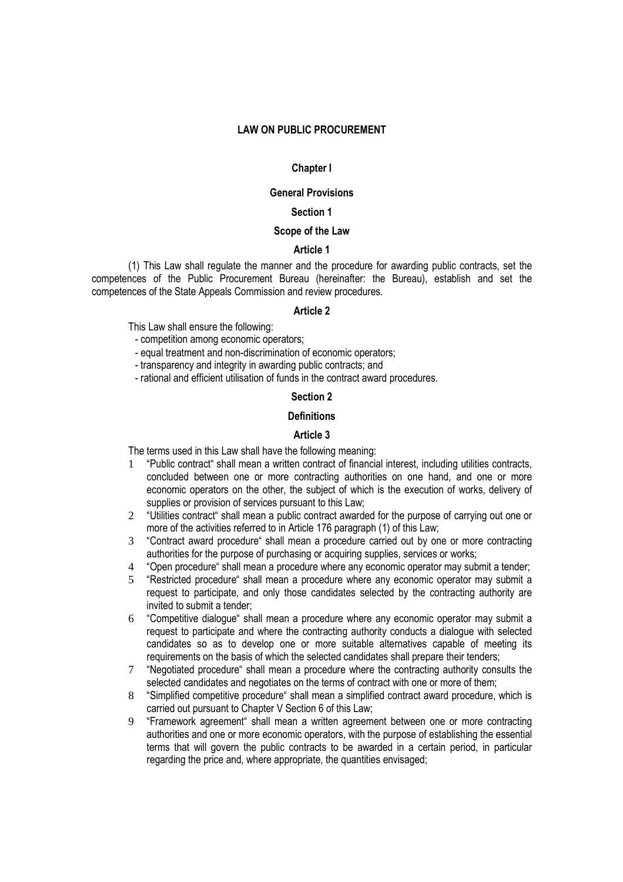# LAW ON PUBLIC PROCUREMENT

# Chapter I

## General Provisions

# Section 1

# Scope of the Law

### Article 1

(1) This Law shall regulate the manner and the procedure for awarding public contracts, set the competences of the Public Procurement Bureau (hereinafter: the Bureau), establish and set the competences of the State Appeals Commission and review procedures.

# Article 2

This Law shall ensure the following:

- competition among economic operators;
- equal treatment and non-discrimination of economic operators;
- transparency and integrity in awarding public contracts; and
- rational and efficient utilisation of funds in the contract award procedures.

## Section 2

## **Definitions**

### Article 3

The terms used in this Law shall have the following meaning:

- 1 "Public contract" shall mean a written contract of financial interest, including utilities contracts, concluded between one or more contracting authorities on one hand, and one or more economic operators on the other, the subject of which is the execution of works, delivery of supplies or provision of services pursuant to this Law;
- 2 "Utilities contract" shall mean a public contract awarded for the purpose of carrying out one or more of the activities referred to in Article 176 paragraph (1) of this Law;
- 3 "Contract award procedure" shall mean a procedure carried out by one or more contracting authorities for the purpose of purchasing or acquiring supplies, services or works;
- 4 "Open procedure" shall mean a procedure where any economic operator may submit a tender;
- 5 "Restricted procedure" shall mean a procedure where any economic operator may submit a request to participate, and only those candidates selected by the contracting authority are invited to submit a tender;
- 6 "Competitive dialogue" shall mean a procedure where any economic operator may submit a request to participate and where the contracting authority conducts a dialogue with selected candidates so as to develop one or more suitable alternatives capable of meeting its requirements on the basis of which the selected candidates shall prepare their tenders;
- 7 "Negotiated procedure" shall mean a procedure where the contracting authority consults the selected candidates and negotiates on the terms of contract with one or more of them;
- 8 "Simplified competitive procedure" shall mean a simplified contract award procedure, which is carried out pursuant to Chapter V Section 6 of this Law;
- 9 "Framework agreement" shall mean a written agreement between one or more contracting authorities and one or more economic operators, with the purpose of establishing the essential terms that will govern the public contracts to be awarded in a certain period, in particular regarding the price and, where appropriate, the quantities envisaged;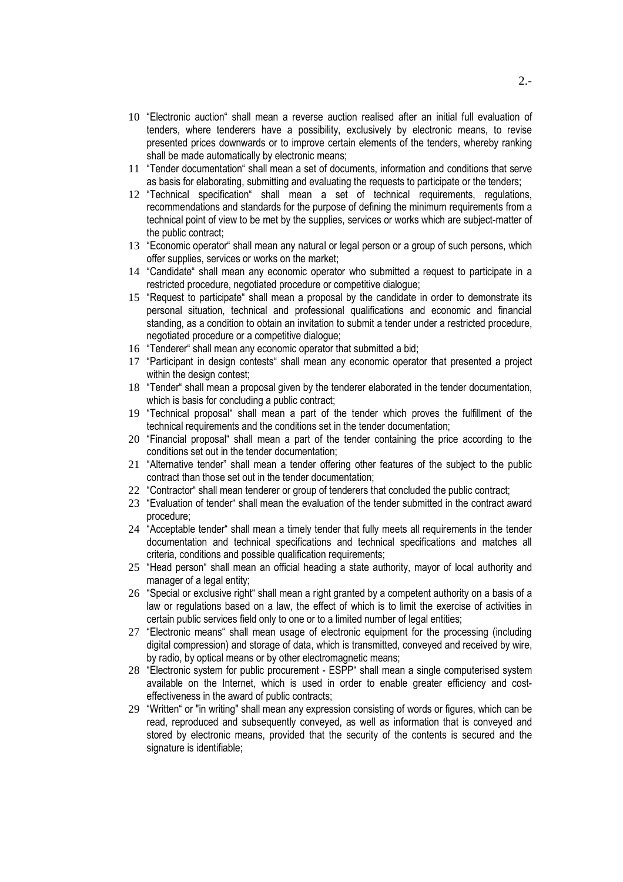- 10 "Electronic auction" shall mean a reverse auction realised after an initial full evaluation of tenders, where tenderers have a possibility, exclusively by electronic means, to revise presented prices downwards or to improve certain elements of the tenders, whereby ranking shall be made automatically by electronic means;
- 11 "Tender documentation" shall mean a set of documents, information and conditions that serve as basis for elaborating, submitting and evaluating the requests to participate or the tenders;
- 12 "Technical specification" shall mean a set of technical requirements, regulations, recommendations and standards for the purpose of defining the minimum requirements from a technical point of view to be met by the supplies, services or works which are subject-matter of the public contract;
- 13 "Economic operator" shall mean any natural or legal person or a group of such persons, which offer supplies, services or works on the market;
- 14 "Candidate" shall mean any economic operator who submitted a request to participate in a restricted procedure, negotiated procedure or competitive dialogue;
- 15 "Request to participate" shall mean a proposal by the candidate in order to demonstrate its personal situation, technical and professional qualifications and economic and financial standing, as a condition to obtain an invitation to submit a tender under a restricted procedure, negotiated procedure or a competitive dialogue;
- 16 "Tenderer" shall mean any economic operator that submitted a bid;
- 17 "Participant in design contests" shall mean any economic operator that presented a project within the design contest:
- 18 "Tender" shall mean a proposal given by the tenderer elaborated in the tender documentation, which is basis for concluding a public contract:
- 19 "Technical proposal" shall mean a part of the tender which proves the fulfillment of the technical requirements and the conditions set in the tender documentation;
- 20 "Financial proposal" shall mean a part of the tender containing the price according to the conditions set out in the tender documentation;
- 21 "Alternative tender" shall mean a tender offering other features of the subject to the public contract than those set out in the tender documentation;
- 22 "Contractor" shall mean tenderer or group of tenderers that concluded the public contract;
- 23 "Evaluation of tender" shall mean the evaluation of the tender submitted in the contract award procedure;
- 24 "Acceptable tender" shall mean a timely tender that fully meets all requirements in the tender documentation and technical specifications and technical specifications and matches all criteria, conditions and possible qualification requirements;
- 25 "Head person" shall mean an official heading a state authority, mayor of local authority and manager of a legal entity;
- 26 "Special or exclusive right" shall mean a right granted by a competent authority on a basis of a law or regulations based on a law, the effect of which is to limit the exercise of activities in certain public services field only to one or to a limited number of legal entities;
- 27 "Electronic means" shall mean usage of electronic equipment for the processing (including digital compression) and storage of data, which is transmitted, conveyed and received by wire, by radio, by optical means or by other electromagnetic means;
- 28 "Electronic system for public procurement ESPP" shall mean a single computerised system available on the Internet, which is used in order to enable greater efficiency and costeffectiveness in the award of public contracts;
- 29 "Written" or "in writing" shall mean any expression consisting of words or figures, which can be read, reproduced and subsequently conveyed, as well as information that is conveyed and stored by electronic means, provided that the security of the contents is secured and the signature is identifiable;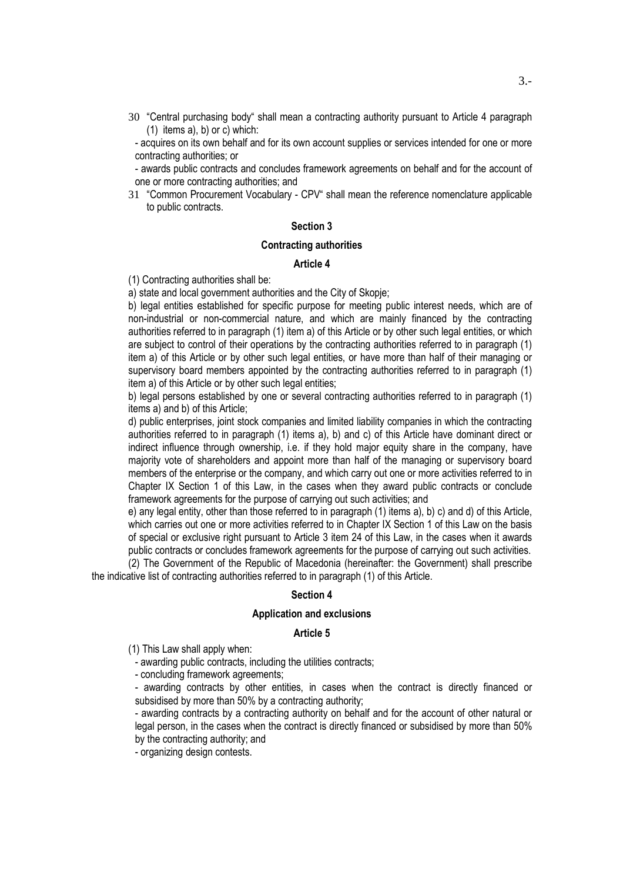- 30 "Central purchasing body" shall mean a contracting authority pursuant to Article 4 paragraph (1) items a), b) or c) which:
- acquires on its own behalf and for its own account supplies or services intended for one or more contracting authorities; or

- awards public contracts and concludes framework agreements on behalf and for the account of one or more contracting authorities; and

31 "Common Procurement Vocabulary - CPV" shall mean the reference nomenclature applicable to public contracts.

# Section 3

# Contracting authorities

#### Article 4

(1) Contracting authorities shall be:

a) state and local government authorities and the City of Skopje;

b) legal entities established for specific purpose for meeting public interest needs, which are of non-industrial or non-commercial nature, and which are mainly financed by the contracting authorities referred to in paragraph (1) item a) of this Article or by other such legal entities, or which are subject to control of their operations by the contracting authorities referred to in paragraph (1) item a) of this Article or by other such legal entities, or have more than half of their managing or supervisory board members appointed by the contracting authorities referred to in paragraph (1) item a) of this Article or by other such legal entities;

b) legal persons established by one or several contracting authorities referred to in paragraph (1) items a) and b) of this Article;

d) public enterprises, joint stock companies and limited liability companies in which the contracting authorities referred to in paragraph (1) items a), b) and c) of this Article have dominant direct or indirect influence through ownership, i.e. if they hold major equity share in the company, have majority vote of shareholders and appoint more than half of the managing or supervisory board members of the enterprise or the company, and which carry out one or more activities referred to in Chapter IX Section 1 of this Law, in the cases when they award public contracts or conclude framework agreements for the purpose of carrying out such activities; and

e) any legal entity, other than those referred to in paragraph (1) items a), b) c) and d) of this Article, which carries out one or more activities referred to in Chapter IX Section 1 of this Law on the basis of special or exclusive right pursuant to Article 3 item 24 of this Law, in the cases when it awards public contracts or concludes framework agreements for the purpose of carrying out such activities.

(2) The Government of the Republic of Macedonia (hereinafter: the Government) shall prescribe the indicative list of contracting authorities referred to in paragraph (1) of this Article.

## Section 4

# Application and exclusions

#### Article 5

(1) This Law shall apply when:

- awarding public contracts, including the utilities contracts;

- concluding framework agreements;

- awarding contracts by other entities, in cases when the contract is directly financed or subsidised by more than 50% by a contracting authority;

- awarding contracts by a contracting authority on behalf and for the account of other natural or legal person, in the cases when the contract is directly financed or subsidised by more than 50% by the contracting authority; and

- organizing design contests.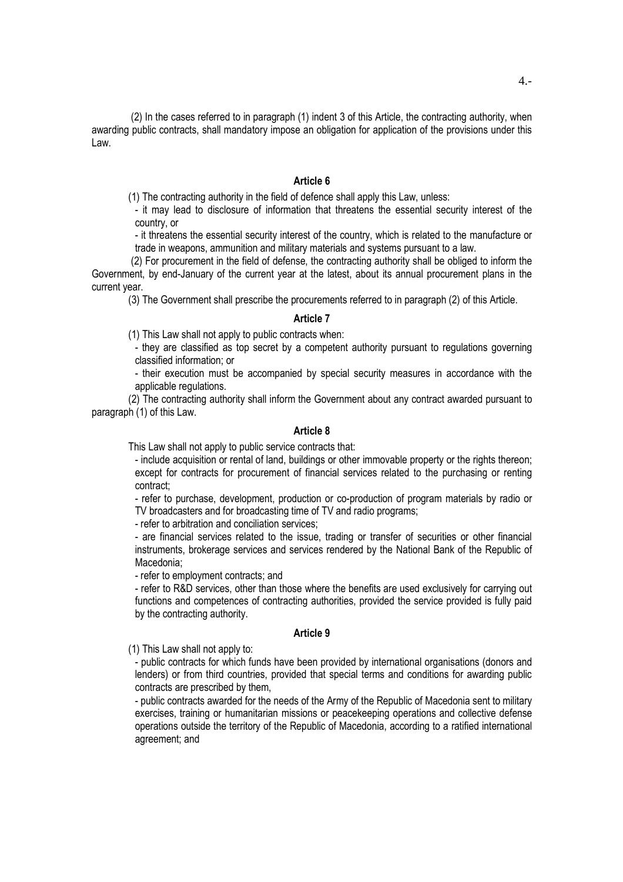(2) In the cases referred to in paragraph (1) indent 3 of this Article, the contracting authority, when awarding public contracts, shall mandatory impose an obligation for application of the provisions under this Law.

# Article 6

(1) The contracting authority in the field of defence shall apply this Law, unless:

- it may lead to disclosure of information that threatens the essential security interest of the country, or

- it threatens the essential security interest of the country, which is related to the manufacture or trade in weapons, ammunition and military materials and systems pursuant to a law.

 (2) For procurement in the field of defense, the contracting authority shall be obliged to inform the Government, by end-January of the current year at the latest, about its annual procurement plans in the current year.

(3) The Government shall prescribe the procurements referred to in paragraph (2) of this Article.

## Article 7

(1) This Law shall not apply to public contracts when:

- they are classified as top secret by a competent authority pursuant to regulations governing classified information; or

- their execution must be accompanied by special security measures in accordance with the applicable regulations.

(2) The contracting authority shall inform the Government about any contract awarded pursuant to paragraph (1) of this Law.

# Article 8

This Law shall not apply to public service contracts that:

- include acquisition or rental of land, buildings or other immovable property or the rights thereon; except for contracts for procurement of financial services related to the purchasing or renting contract;

- refer to purchase, development, production or co-production of program materials by radio or TV broadcasters and for broadcasting time of TV and radio programs;

- refer to arbitration and conciliation services;

- are financial services related to the issue, trading or transfer of securities or other financial instruments, brokerage services and services rendered by the National Bank of the Republic of Macedonia;

- refer to employment contracts; and

- refer to R&D services, other than those where the benefits are used exclusively for carrying out functions and competences of contracting authorities, provided the service provided is fully paid by the contracting authority.

### Article 9

(1) This Law shall not apply to:

- public contracts for which funds have been provided by international organisations (donors and lenders) or from third countries, provided that special terms and conditions for awarding public contracts are prescribed by them,

- public contracts awarded for the needs of the Army of the Republic of Macedonia sent to military exercises, training or humanitarian missions or peacekeeping operations and collective defense operations outside the territory of the Republic of Macedonia, according to a ratified international agreement; and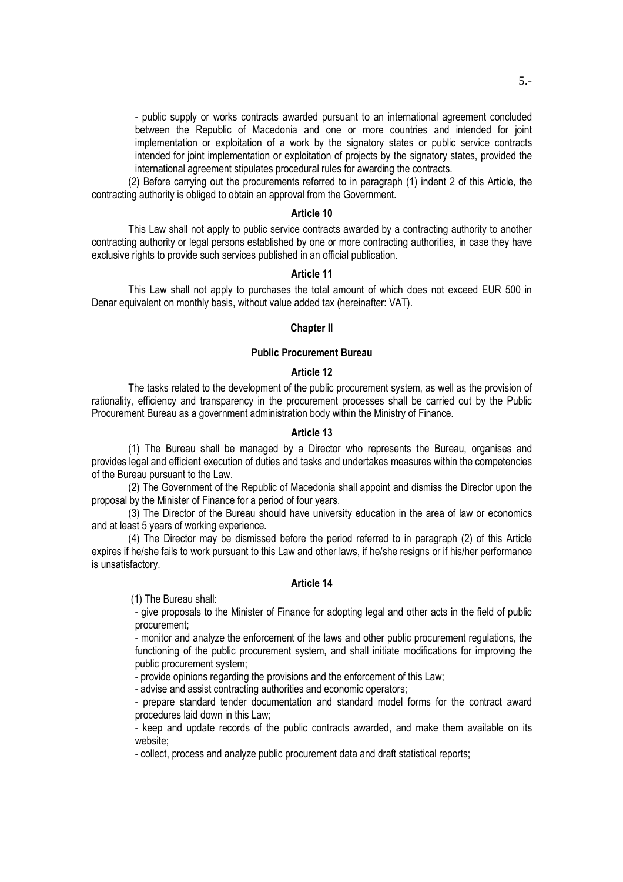- public supply or works contracts awarded pursuant to an international agreement concluded between the Republic of Macedonia and one or more countries and intended for joint implementation or exploitation of a work by the signatory states or public service contracts intended for joint implementation or exploitation of projects by the signatory states, provided the international agreement stipulates procedural rules for awarding the contracts.

(2) Before carrying out the procurements referred to in paragraph (1) indent 2 of this Article, the contracting authority is obliged to obtain an approval from the Government.

### Article 10

This Law shall not apply to public service contracts awarded by a contracting authority to another contracting authority or legal persons established by one or more contracting authorities, in case they have exclusive rights to provide such services published in an official publication.

#### Article 11

This Law shall not apply to purchases the total amount of which does not exceed EUR 500 in Denar equivalent on monthly basis, without value added tax (hereinafter: VAT).

## Chapter II

# Public Procurement Bureau

# Article 12

The tasks related to the development of the public procurement system, as well as the provision of rationality, efficiency and transparency in the procurement processes shall be carried out by the Public Procurement Bureau as a government administration body within the Ministry of Finance.

#### Article 13

(1) The Bureau shall be managed by a Director who represents the Bureau, organises and provides legal and efficient execution of duties and tasks and undertakes measures within the competencies of the Bureau pursuant to the Law.

(2) The Government of the Republic of Macedonia shall appoint and dismiss the Director upon the proposal by the Minister of Finance for a period of four years.

(3) The Director of the Bureau should have university education in the area of law or economics and at least 5 years of working experience.

(4) The Director may be dismissed before the period referred to in paragraph (2) of this Article expires if he/she fails to work pursuant to this Law and other laws, if he/she resigns or if his/her performance is unsatisfactory.

### Article 14

(1) The Bureau shall:

- give proposals to the Minister of Finance for adopting legal and other acts in the field of public procurement;

- monitor and analyze the enforcement of the laws and other public procurement regulations, the functioning of the public procurement system, and shall initiate modifications for improving the public procurement system;

- provide opinions regarding the provisions and the enforcement of this Law;

- advise and assist contracting authorities and economic operators;

- prepare standard tender documentation and standard model forms for the contract award procedures laid down in this Law;

- keep and update records of the public contracts awarded, and make them available on its website;

- collect, process and analyze public procurement data and draft statistical reports;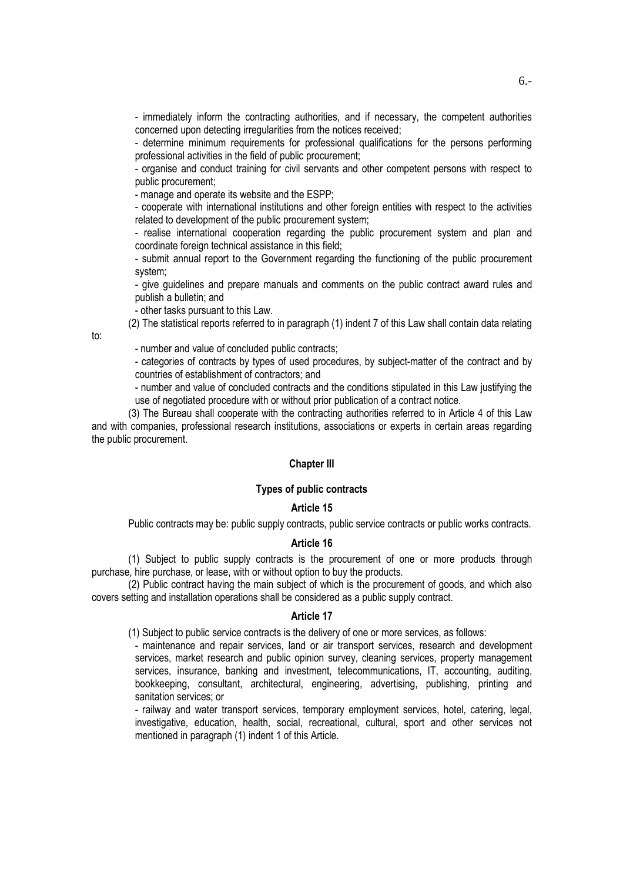- immediately inform the contracting authorities, and if necessary, the competent authorities concerned upon detecting irregularities from the notices received;

- determine minimum requirements for professional qualifications for the persons performing professional activities in the field of public procurement;

- organise and conduct training for civil servants and other competent persons with respect to public procurement;

- manage and operate its website and the ESPP;

- cooperate with international institutions and other foreign entities with respect to the activities related to development of the public procurement system;

- realise international cooperation regarding the public procurement system and plan and coordinate foreign technical assistance in this field;

- submit annual report to the Government regarding the functioning of the public procurement system;

- give guidelines and prepare manuals and comments on the public contract award rules and publish a bulletin; and

- other tasks pursuant to this Law.

(2) The statistical reports referred to in paragraph (1) indent 7 of this Law shall contain data relating

to:

- number and value of concluded public contracts;

- categories of contracts by types of used procedures, by subject-matter of the contract and by countries of establishment of contractors; and

- number and value of concluded contracts and the conditions stipulated in this Law justifying the use of negotiated procedure with or without prior publication of a contract notice.

(3) The Bureau shall cooperate with the contracting authorities referred to in Article 4 of this Law and with companies, professional research institutions, associations or experts in certain areas regarding the public procurement.

# Chapter III

# Types of public contracts

### Article 15

Public contracts may be: public supply contracts, public service contracts or public works contracts.

#### Article 16

(1) Subject to public supply contracts is the procurement of one or more products through purchase, hire purchase, or lease, with or without option to buy the products.

(2) Public contract having the main subject of which is the procurement of goods, and which also covers setting and installation operations shall be considered as a public supply contract.

#### Article 17

(1) Subject to public service contracts is the delivery of one or more services, as follows:

- maintenance and repair services, land or air transport services, research and development services, market research and public opinion survey, cleaning services, property management services, insurance, banking and investment, telecommunications, IT, accounting, auditing, bookkeeping, consultant, architectural, engineering, advertising, publishing, printing and sanitation services; or

- railway and water transport services, temporary employment services, hotel, catering, legal, investigative, education, health, social, recreational, cultural, sport and other services not mentioned in paragraph (1) indent 1 of this Article.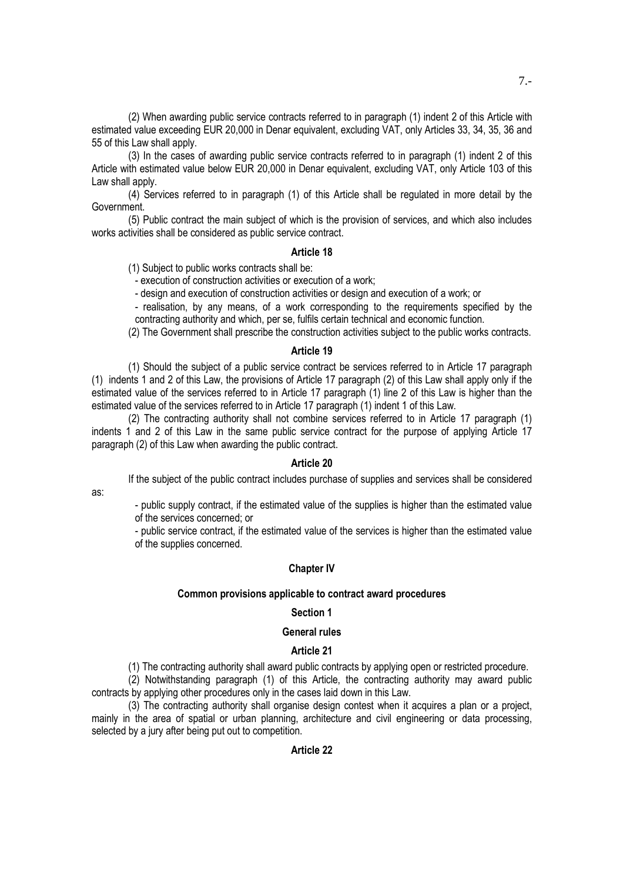(2) When awarding public service contracts referred to in paragraph (1) indent 2 of this Article with estimated value exceeding EUR 20,000 in Denar equivalent, excluding VAT, only Articles 33, 34, 35, 36 and 55 of this Law shall apply.

(3) In the cases of awarding public service contracts referred to in paragraph (1) indent 2 of this Article with estimated value below EUR 20,000 in Denar equivalent, excluding VAT, only Article 103 of this Law shall apply.

(4) Services referred to in paragraph (1) of this Article shall be regulated in more detail by the Government.

(5) Public contract the main subject of which is the provision of services, and which also includes works activities shall be considered as public service contract.

#### Article 18

(1) Subject to public works contracts shall be:

- execution of construction activities or execution of a work;

- design and execution of construction activities or design and execution of a work; or

- realisation, by any means, of a work corresponding to the requirements specified by the contracting authority and which, per se, fulfils certain technical and economic function.

(2) The Government shall prescribe the construction activities subject to the public works contracts.

# Article 19

(1) Should the subject of a public service contract be services referred to in Article 17 paragraph (1) indents 1 and 2 of this Law, the provisions of Article 17 paragraph (2) of this Law shall apply only if the estimated value of the services referred to in Article 17 paragraph (1) line 2 of this Law is higher than the estimated value of the services referred to in Article 17 paragraph (1) indent 1 of this Law.

(2) The contracting authority shall not combine services referred to in Article 17 paragraph (1) indents 1 and 2 of this Law in the same public service contract for the purpose of applying Article 17 paragraph (2) of this Law when awarding the public contract.

## Article 20

If the subject of the public contract includes purchase of supplies and services shall be considered

as:

- public supply contract, if the estimated value of the supplies is higher than the estimated value of the services concerned; or

- public service contract, if the estimated value of the services is higher than the estimated value of the supplies concerned.

# Chapter IV

#### Common provisions applicable to contract award procedures

# Section 1

### General rules

### Article 21

(1) The contracting authority shall award public contracts by applying open or restricted procedure.

(2) Notwithstanding paragraph (1) of this Article, the contracting authority may award public contracts by applying other procedures only in the cases laid down in this Law.

(3) The contracting authority shall organise design contest when it acquires a plan or a project, mainly in the area of spatial or urban planning, architecture and civil engineering or data processing, selected by a jury after being put out to competition.

# Article 22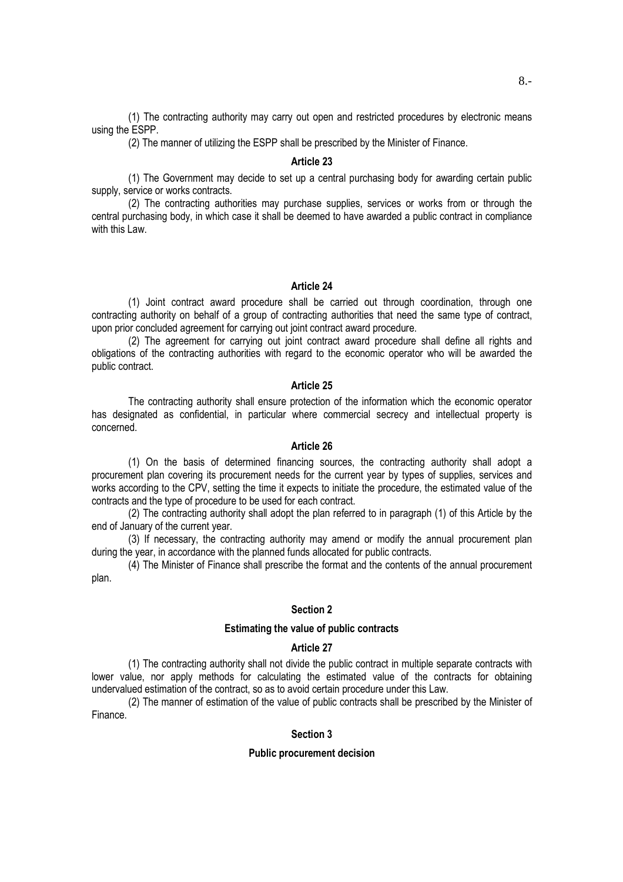(1) The contracting authority may carry out open and restricted procedures by electronic means using the ESPP.

(2) The manner of utilizing the ESPP shall be prescribed by the Minister of Finance.

#### Article 23

(1) The Government may decide to set up a central purchasing body for awarding certain public supply, service or works contracts.

(2) The contracting authorities may purchase supplies, services or works from or through the central purchasing body, in which case it shall be deemed to have awarded a public contract in compliance with this Law.

### Article 24

(1) Joint contract award procedure shall be carried out through coordination, through one contracting authority on behalf of a group of contracting authorities that need the same type of contract, upon prior concluded agreement for carrying out joint contract award procedure.

(2) The agreement for carrying out joint contract award procedure shall define all rights and obligations of the contracting authorities with regard to the economic operator who will be awarded the public contract.

# Article 25

The contracting authority shall ensure protection of the information which the economic operator has designated as confidential, in particular where commercial secrecy and intellectual property is concerned.

#### Article 26

(1) On the basis of determined financing sources, the contracting authority shall adopt a procurement plan covering its procurement needs for the current year by types of supplies, services and works according to the CPV, setting the time it expects to initiate the procedure, the estimated value of the contracts and the type of procedure to be used for each contract.

(2) The contracting authority shall adopt the plan referred to in paragraph (1) of this Article by the end of January of the current year.

(3) If necessary, the contracting authority may amend or modify the annual procurement plan during the year, in accordance with the planned funds allocated for public contracts.

(4) The Minister of Finance shall prescribe the format and the contents of the annual procurement plan.

# Section 2

### Estimating the value of public contracts

## Article 27

(1) The contracting authority shall not divide the public contract in multiple separate contracts with lower value, nor apply methods for calculating the estimated value of the contracts for obtaining undervalued estimation of the contract, so as to avoid certain procedure under this Law.

(2) The manner of estimation of the value of public contracts shall be prescribed by the Minister of Finance.

# Section 3

# Public procurement decision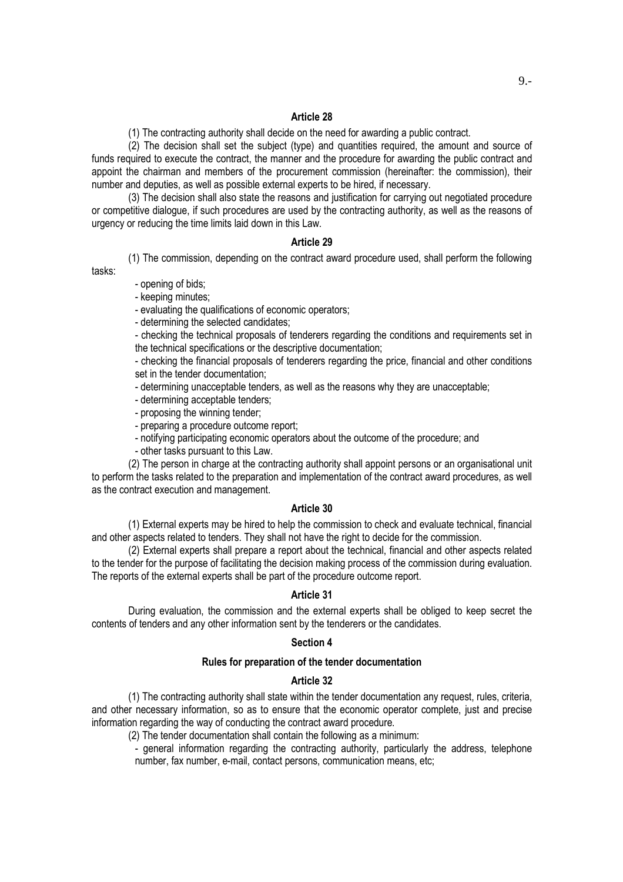#### Article 28

(1) The contracting authority shall decide on the need for awarding a public contract.

(2) The decision shall set the subject (type) and quantities required, the amount and source of funds required to execute the contract, the manner and the procedure for awarding the public contract and appoint the chairman and members of the procurement commission (hereinafter: the commission), their number and deputies, as well as possible external experts to be hired, if necessary.

(3) The decision shall also state the reasons and justification for carrying out negotiated procedure or competitive dialogue, if such procedures are used by the contracting authority, as well as the reasons of urgency or reducing the time limits laid down in this Law.

# Article 29

(1) The commission, depending on the contract award procedure used, shall perform the following tasks:

- opening of bids;
- keeping minutes;

- evaluating the qualifications of economic operators;

- determining the selected candidates;

- checking the technical proposals of tenderers regarding the conditions and requirements set in the technical specifications or the descriptive documentation;

- checking the financial proposals of tenderers regarding the price, financial and other conditions set in the tender documentation;

- determining unacceptable tenders, as well as the reasons why they are unacceptable;
- determining acceptable tenders;
- proposing the winning tender;
- preparing a procedure outcome report;
- notifying participating economic operators about the outcome of the procedure; and

- other tasks pursuant to this Law.

(2) The person in charge at the contracting authority shall appoint persons or an organisational unit to perform the tasks related to the preparation and implementation of the contract award procedures, as well as the contract execution and management.

## Article 30

(1) External experts may be hired to help the commission to check and evaluate technical, financial and other aspects related to tenders. They shall not have the right to decide for the commission.

(2) External experts shall prepare a report about the technical, financial and other aspects related to the tender for the purpose of facilitating the decision making process of the commission during evaluation. The reports of the external experts shall be part of the procedure outcome report.

# Article 31

During evaluation, the commission and the external experts shall be obliged to keep secret the contents of tenders and any other information sent by the tenderers or the candidates.

# Section 4

# Rules for preparation of the tender documentation

# Article 32

(1) The contracting authority shall state within the tender documentation any request, rules, criteria, and other necessary information, so as to ensure that the economic operator complete, just and precise information regarding the way of conducting the contract award procedure.

(2) The tender documentation shall contain the following as a minimum:

- general information regarding the contracting authority, particularly the address, telephone number, fax number, e-mail, contact persons, communication means, etc;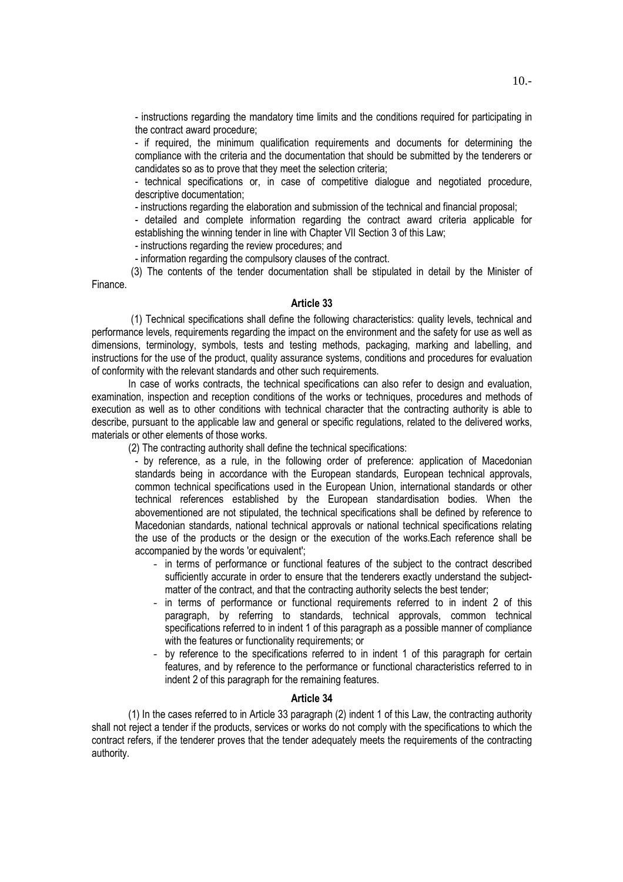- instructions regarding the mandatory time limits and the conditions required for participating in the contract award procedure;

- if required, the minimum qualification requirements and documents for determining the compliance with the criteria and the documentation that should be submitted by the tenderers or candidates so as to prove that they meet the selection criteria;

- technical specifications or, in case of competitive dialogue and negotiated procedure, descriptive documentation;

- instructions regarding the elaboration and submission of the technical and financial proposal;

- detailed and complete information regarding the contract award criteria applicable for establishing the winning tender in line with Chapter VII Section 3 of this Law;

- instructions regarding the review procedures; and

- information regarding the compulsory clauses of the contract.

 (3) The contents of the tender documentation shall be stipulated in detail by the Minister of **Finance** 

## Article 33

 (1) Technical specifications shall define the following characteristics: quality levels, technical and performance levels, requirements regarding the impact on the environment and the safety for use as well as dimensions, terminology, symbols, tests and testing methods, packaging, marking and labelling, and instructions for the use of the product, quality assurance systems, conditions and procedures for evaluation of conformity with the relevant standards and other such requirements.

In case of works contracts, the technical specifications can also refer to design and evaluation, examination, inspection and reception conditions of the works or techniques, procedures and methods of execution as well as to other conditions with technical character that the contracting authority is able to describe, pursuant to the applicable law and general or specific regulations, related to the delivered works, materials or other elements of those works.

(2) The contracting authority shall define the technical specifications:

- by reference, as a rule, in the following order of preference: application of Macedonian standards being in accordance with the European standards, European technical approvals, common technical specifications used in the European Union, international standards or other technical references established by the European standardisation bodies. When the abovementioned are not stipulated, the technical specifications shall be defined by reference to Macedonian standards, national technical approvals or national technical specifications relating the use of the products or the design or the execution of the works.Each reference shall be accompanied by the words 'or equivalent':

- in terms of performance or functional features of the subject to the contract described sufficiently accurate in order to ensure that the tenderers exactly understand the subjectmatter of the contract, and that the contracting authority selects the best tender;
- in terms of performance or functional requirements referred to in indent 2 of this paragraph, by referring to standards, technical approvals, common technical specifications referred to in indent 1 of this paragraph as a possible manner of compliance with the features or functionality requirements; or
- by reference to the specifications referred to in indent 1 of this paragraph for certain features, and by reference to the performance or functional characteristics referred to in indent 2 of this paragraph for the remaining features.

#### Article 34

(1) In the cases referred to in Article 33 paragraph (2) indent 1 of this Law, the contracting authority shall not reject a tender if the products, services or works do not comply with the specifications to which the contract refers, if the tenderer proves that the tender adequately meets the requirements of the contracting authority.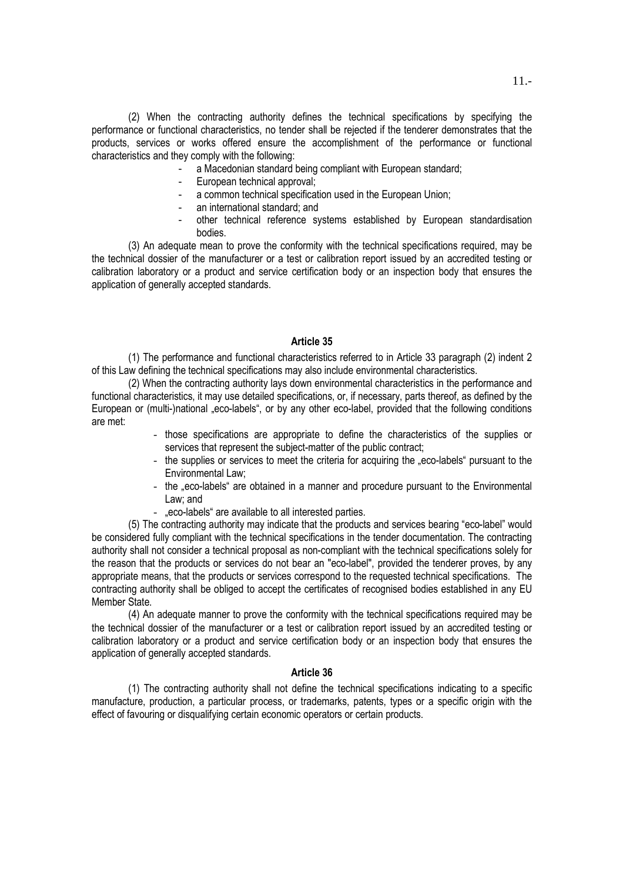(2) When the contracting authority defines the technical specifications by specifying the performance or functional characteristics, no tender shall be rejected if the tenderer demonstrates that the products, services or works offered ensure the accomplishment of the performance or functional characteristics and they comply with the following:

- a Macedonian standard being compliant with European standard;
- European technical approval;
- a common technical specification used in the European Union;
- an international standard; and
- other technical reference systems established by European standardisation bodies.

(3) An adequate mean to prove the conformity with the technical specifications required, may be the technical dossier of the manufacturer or a test or calibration report issued by an accredited testing or calibration laboratory or a product and service certification body or an inspection body that ensures the application of generally accepted standards.

# Article 35

(1) The performance and functional characteristics referred to in Article 33 paragraph (2) indent 2 of this Law defining the technical specifications may also include environmental characteristics.

(2) When the contracting authority lays down environmental characteristics in the performance and functional characteristics, it may use detailed specifications, or, if necessary, parts thereof, as defined by the European or (multi-)national "eco-labels", or by any other eco-label, provided that the following conditions are met:

- those specifications are appropriate to define the characteristics of the supplies or services that represent the subject-matter of the public contract;
- the supplies or services to meet the criteria for acquiring the "eco-labels" pursuant to the Environmental Law;
- the "eco-labels" are obtained in a manner and procedure pursuant to the Environmental Law; and
- .eco-labels" are available to all interested parties.

(5) The contracting authority may indicate that the products and services bearing "eco-label" would be considered fully compliant with the technical specifications in the tender documentation. The contracting authority shall not consider a technical proposal as non-compliant with the technical specifications solely for the reason that the products or services do not bear an "eco-label", provided the tenderer proves, by any appropriate means, that the products or services correspond to the requested technical specifications. The contracting authority shall be obliged to accept the certificates of recognised bodies established in any EU Member State.

(4) An adequate manner to prove the conformity with the technical specifications required may be the technical dossier of the manufacturer or a test or calibration report issued by an accredited testing or calibration laboratory or a product and service certification body or an inspection body that ensures the application of generally accepted standards.

### Article 36

(1) The contracting authority shall not define the technical specifications indicating to a specific manufacture, production, a particular process, or trademarks, patents, types or a specific origin with the effect of favouring or disqualifying certain economic operators or certain products.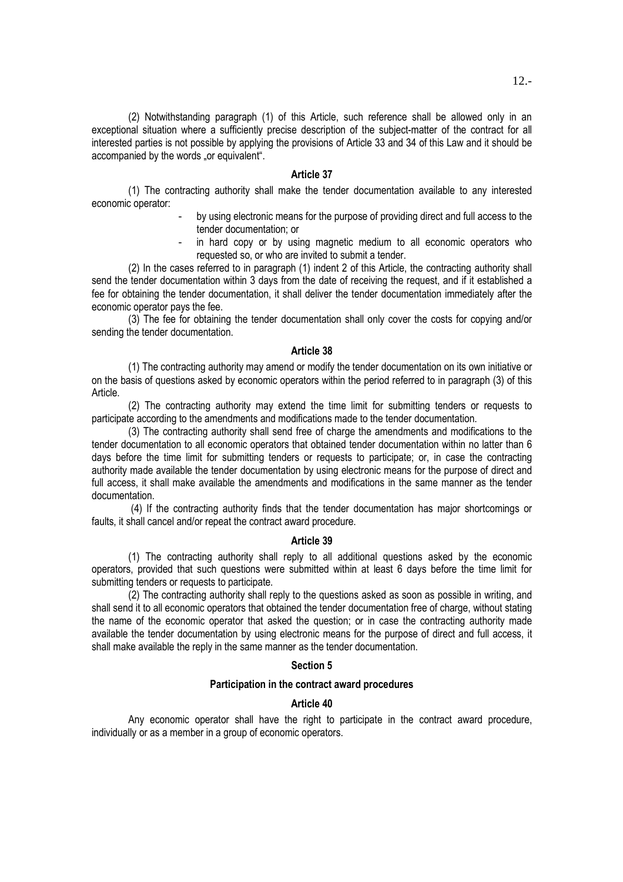(2) Notwithstanding paragraph (1) of this Article, such reference shall be allowed only in an exceptional situation where a sufficiently precise description of the subject-matter of the contract for all interested parties is not possible by applying the provisions of Article 33 and 34 of this Law and it should be accompanied by the words .or equivalent".

#### Article 37

(1) The contracting authority shall make the tender documentation available to any interested economic operator:

- by using electronic means for the purpose of providing direct and full access to the tender documentation; or
- in hard copy or by using magnetic medium to all economic operators who requested so, or who are invited to submit a tender.

(2) In the cases referred to in paragraph (1) indent 2 of this Article, the contracting authority shall send the tender documentation within 3 days from the date of receiving the request, and if it established a fee for obtaining the tender documentation, it shall deliver the tender documentation immediately after the economic operator pays the fee.

(3) The fee for obtaining the tender documentation shall only cover the costs for copying and/or sending the tender documentation.

# Article 38

(1) The contracting authority may amend or modify the tender documentation on its own initiative or on the basis of questions asked by economic operators within the period referred to in paragraph (3) of this Article.

(2) The contracting authority may extend the time limit for submitting tenders or requests to participate according to the amendments and modifications made to the tender documentation.

(3) The contracting authority shall send free of charge the amendments and modifications to the tender documentation to all economic operators that obtained tender documentation within no latter than 6 days before the time limit for submitting tenders or requests to participate; or, in case the contracting authority made available the tender documentation by using electronic means for the purpose of direct and full access, it shall make available the amendments and modifications in the same manner as the tender documentation.

 (4) If the contracting authority finds that the tender documentation has major shortcomings or faults, it shall cancel and/or repeat the contract award procedure.

#### Article 39

(1) The contracting authority shall reply to all additional questions asked by the economic operators, provided that such questions were submitted within at least 6 days before the time limit for submitting tenders or requests to participate.

(2) The contracting authority shall reply to the questions asked as soon as possible in writing, and shall send it to all economic operators that obtained the tender documentation free of charge, without stating the name of the economic operator that asked the question; or in case the contracting authority made available the tender documentation by using electronic means for the purpose of direct and full access, it shall make available the reply in the same manner as the tender documentation.

### Section 5

### Participation in the contract award procedures

### Article 40

Any economic operator shall have the right to participate in the contract award procedure, individually or as a member in a group of economic operators.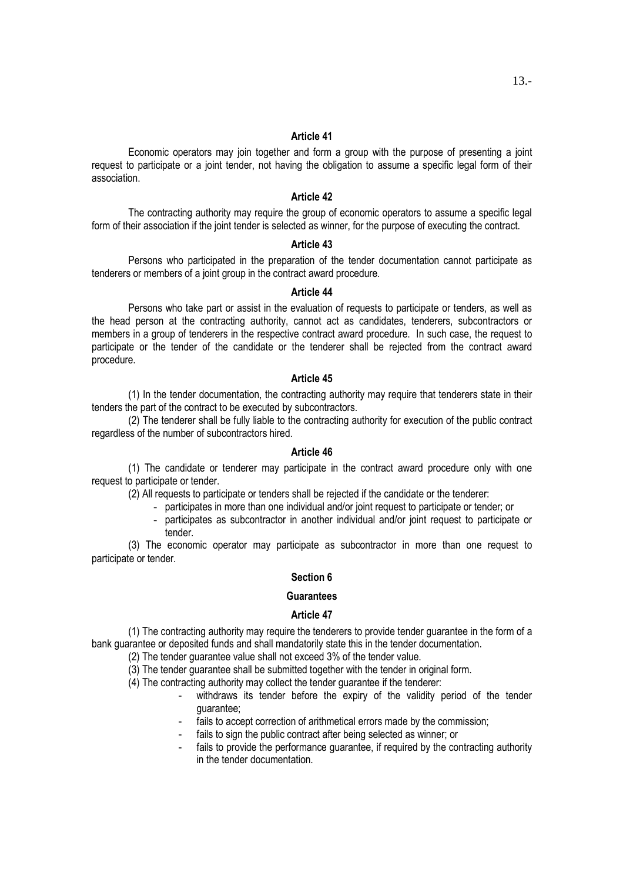### Article 41

Economic operators may join together and form a group with the purpose of presenting a joint request to participate or a joint tender, not having the obligation to assume a specific legal form of their association.

# Article 42

The contracting authority may require the group of economic operators to assume a specific legal form of their association if the joint tender is selected as winner, for the purpose of executing the contract.

#### Article 43

Persons who participated in the preparation of the tender documentation cannot participate as tenderers or members of a joint group in the contract award procedure.

### Article 44

Persons who take part or assist in the evaluation of requests to participate or tenders, as well as the head person at the contracting authority, cannot act as candidates, tenderers, subcontractors or members in a group of tenderers in the respective contract award procedure. In such case, the request to participate or the tender of the candidate or the tenderer shall be rejected from the contract award procedure.

#### Article 45

(1) In the tender documentation, the contracting authority may require that tenderers state in their tenders the part of the contract to be executed by subcontractors.

(2) The tenderer shall be fully liable to the contracting authority for execution of the public contract regardless of the number of subcontractors hired.

## Article 46

(1) The candidate or tenderer may participate in the contract award procedure only with one request to participate or tender.

(2) All requests to participate or tenders shall be rejected if the candidate or the tenderer:

- participates in more than one individual and/or joint request to participate or tender; or
- participates as subcontractor in another individual and/or joint request to participate or tender.

(3) The economic operator may participate as subcontractor in more than one request to participate or tender.

### Section 6

#### **Guarantees**

# Article 47

(1) The contracting authority may require the tenderers to provide tender guarantee in the form of a bank guarantee or deposited funds and shall mandatorily state this in the tender documentation.

(2) The tender guarantee value shall not exceed 3% of the tender value.

(3) The tender guarantee shall be submitted together with the tender in original form.

(4) The contracting authority may collect the tender guarantee if the tenderer:

- withdraws its tender before the expiry of the validity period of the tender guarantee;
- fails to accept correction of arithmetical errors made by the commission;
- fails to sign the public contract after being selected as winner; or
- fails to provide the performance quarantee, if required by the contracting authority in the tender documentation.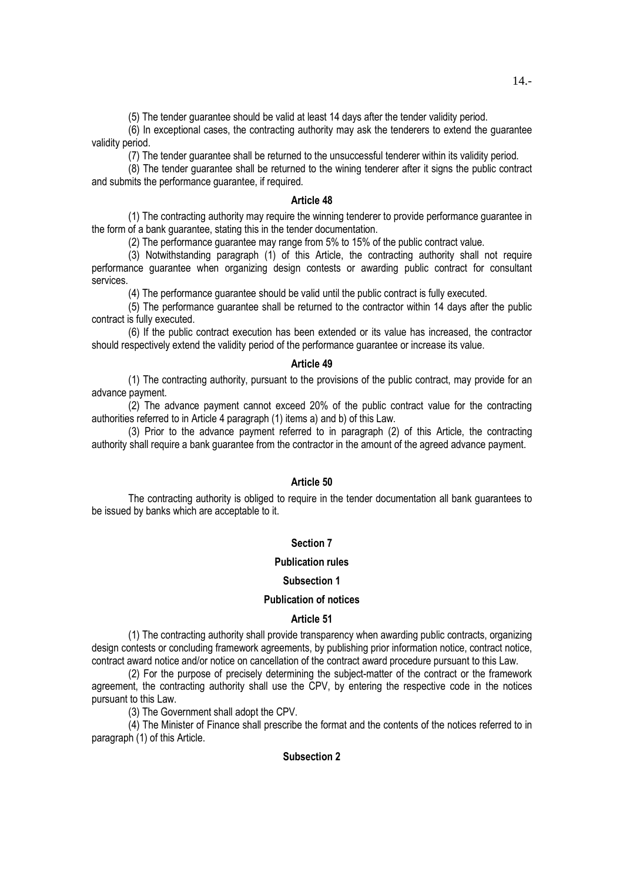(5) The tender guarantee should be valid at least 14 days after the tender validity period.

(6) In exceptional cases, the contracting authority may ask the tenderers to extend the guarantee validity period.

(7) The tender guarantee shall be returned to the unsuccessful tenderer within its validity period.

(8) The tender guarantee shall be returned to the wining tenderer after it signs the public contract and submits the performance guarantee, if required.

## Article 48

(1) The contracting authority may require the winning tenderer to provide performance guarantee in the form of a bank guarantee, stating this in the tender documentation.

(2) The performance guarantee may range from 5% to 15% of the public contract value.

(3) Notwithstanding paragraph (1) of this Article, the contracting authority shall not require performance guarantee when organizing design contests or awarding public contract for consultant services.

(4) The performance guarantee should be valid until the public contract is fully executed.

(5) The performance guarantee shall be returned to the contractor within 14 days after the public contract is fully executed.

(6) If the public contract execution has been extended or its value has increased, the contractor should respectively extend the validity period of the performance guarantee or increase its value.

# Article 49

(1) The contracting authority, pursuant to the provisions of the public contract, may provide for an advance payment.

(2) The advance payment cannot exceed 20% of the public contract value for the contracting authorities referred to in Article 4 paragraph (1) items a) and b) of this Law.

(3) Prior to the advance payment referred to in paragraph (2) of this Article, the contracting authority shall require a bank guarantee from the contractor in the amount of the agreed advance payment.

# Article 50

The contracting authority is obliged to require in the tender documentation all bank guarantees to be issued by banks which are acceptable to it.

# Section 7

## Publication rules

## Subsection 1

## Publication of notices

## Article 51

(1) The contracting authority shall provide transparency when awarding public contracts, organizing design contests or concluding framework agreements, by publishing prior information notice, contract notice, contract award notice and/or notice on cancellation of the contract award procedure pursuant to this Law.

(2) For the purpose of precisely determining the subject-matter of the contract or the framework agreement, the contracting authority shall use the CPV, by entering the respective code in the notices pursuant to this Law.

(3) The Government shall adopt the CPV.

(4) The Minister of Finance shall prescribe the format and the contents of the notices referred to in paragraph (1) of this Article.

# Subsection 2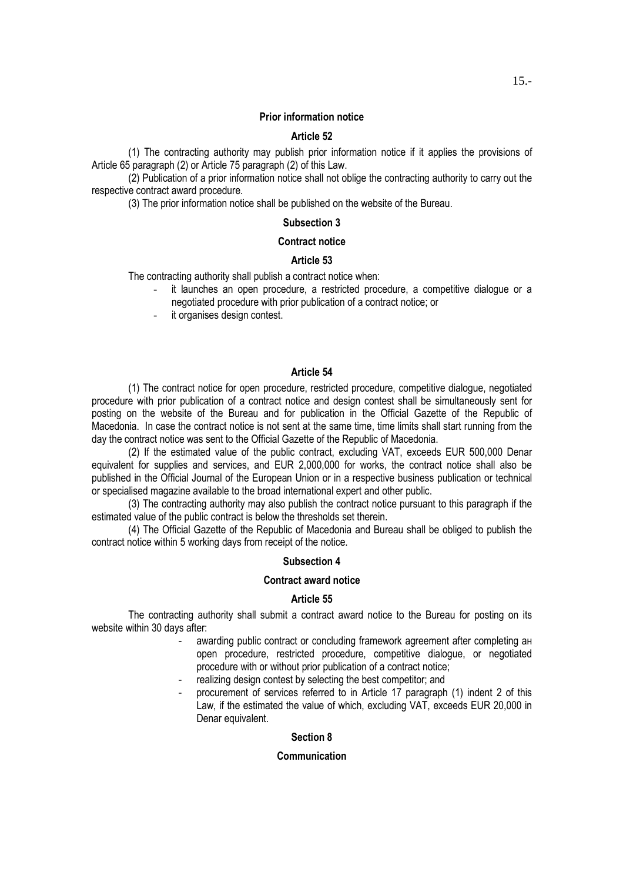### Prior information notice

# Article 52

(1) The contracting authority may publish prior information notice if it applies the provisions of Article 65 paragraph (2) or Article 75 paragraph (2) of this Law.

(2) Publication of a prior information notice shall not oblige the contracting authority to carry out the respective contract award procedure.

(3) The prior information notice shall be published on the website of the Bureau.

### Subsection 3

# Contract notice

## Article 53

The contracting authority shall publish a contract notice when:

- it launches an open procedure, a restricted procedure, a competitive dialogue or a negotiated procedure with prior publication of a contract notice; or
	- it organises design contest.

# Article 54

(1) The contract notice for open procedure, restricted procedure, competitive dialogue, negotiated procedure with prior publication of a contract notice and design contest shall be simultaneously sent for posting on the website of the Bureau and for publication in the Official Gazette of the Republic of Macedonia. In case the contract notice is not sent at the same time, time limits shall start running from the day the contract notice was sent to the Official Gazette of the Republic of Macedonia.

(2) If the estimated value of the public contract, excluding VAT, exceeds EUR 500,000 Denar equivalent for supplies and services, and EUR 2,000,000 for works, the contract notice shall also be published in the Official Journal of the European Union or in a respective business publication or technical or specialised magazine available to the broad international expert and other public.

(3) The contracting authority may also publish the contract notice pursuant to this paragraph if the estimated value of the public contract is below the thresholds set therein.

(4) The Official Gazette of the Republic of Macedonia and Bureau shall be obliged to publish the contract notice within 5 working days from receipt of the notice.

### Subsection 4

# Contract award notice

#### Article 55

The contracting authority shall submit a contract award notice to the Bureau for posting on its website within 30 days after:

- awarding public contract or concluding framework agreement after completing ан open procedure, restricted procedure, competitive dialogue, or negotiated procedure with or without prior publication of a contract notice;
- realizing design contest by selecting the best competitor; and
- procurement of services referred to in Article 17 paragraph (1) indent 2 of this Law, if the estimated the value of which, excluding VAT, exceeds EUR 20,000 in Denar equivalent.

### Section 8

# **Communication**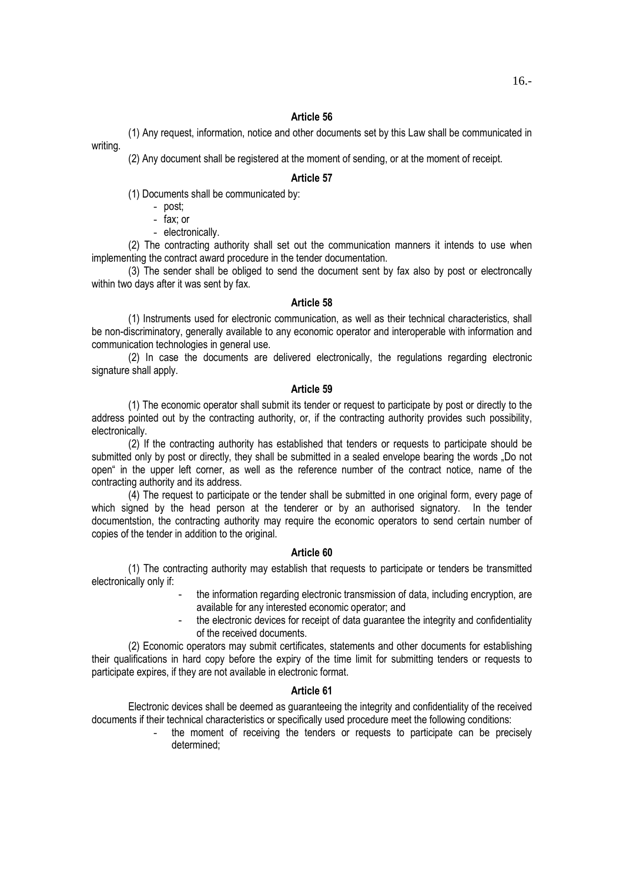### Article 56

(1) Any request, information, notice and other documents set by this Law shall be communicated in

writing.

(2) Any document shall be registered at the moment of sending, or at the moment of receipt.

## Article 57

(1) Documents shall be communicated by:

- post;
- fax; or
- electronically.

(2) The contracting authority shall set out the communication manners it intends to use when implementing the contract award procedure in the tender documentation.

(3) The sender shall be obliged to send the document sent by fax also by post or electroncally within two days after it was sent by fax.

## Article 58

(1) Instruments used for electronic communication, as well as their technical characteristics, shall be non-discriminatory, generally available to any economic operator and interoperable with information and communication technologies in general use.

(2) In case the documents are delivered electronically, the regulations regarding electronic signature shall apply.

# Article 59

(1) The economic operator shall submit its tender or request to participate by post or directly to the address pointed out by the contracting authority, or, if the contracting authority provides such possibility, electronically.

(2) If the contracting authority has established that tenders or requests to participate should be submitted only by post or directly, they shall be submitted in a sealed envelope bearing the words . Do not open" in the upper left corner, as well as the reference number of the contract notice, name of the contracting authority and its address.

(4) The request to participate or the tender shall be submitted in one original form, every page of which signed by the head person at the tenderer or by an authorised signatory. In the tender documentstion, the contracting authority may require the economic operators to send certain number of copies of the tender in addition to the original.

## Article 60

(1) The contracting authority may establish that requests to participate or tenders be transmitted electronically only if:

- the information regarding electronic transmission of data, including encryption, are available for any interested economic operator; and
	- the electronic devices for receipt of data guarantee the integrity and confidentiality of the received documents.

(2) Economic operators may submit certificates, statements and other documents for establishing their qualifications in hard copy before the expiry of the time limit for submitting tenders or requests to participate expires, if they are not available in electronic format.

## Article 61

Electronic devices shall be deemed as guaranteeing the integrity and confidentiality of the received documents if their technical characteristics or specifically used procedure meet the following conditions:

> the moment of receiving the tenders or requests to participate can be precisely determined;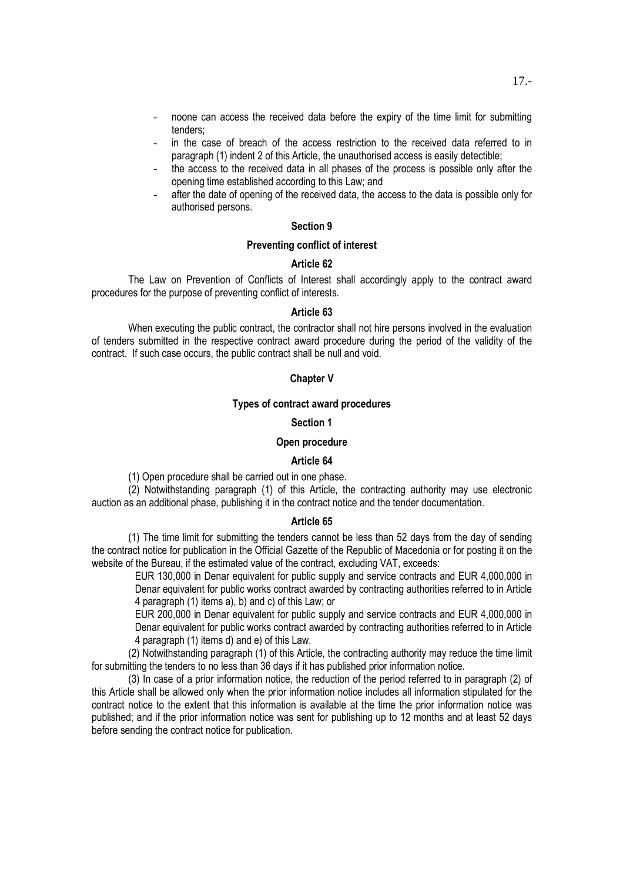- noone can access the received data before the expiry of the time limit for submitting tenders;
- in the case of breach of the access restriction to the received data referred to in paragraph (1) indent 2 of this Article, the unauthorised access is easily detectible;
- the access to the received data in all phases of the process is possible only after the opening time established according to this Law; and
- after the date of opening of the received data, the access to the data is possible only for authorised persons.

# Section 9

# Preventing conflict of interest

### Article 62

The Law on Prevention of Conflicts of Interest shall accordingly apply to the contract award procedures for the purpose of preventing conflict of interests.

### Article 63

When executing the public contract, the contractor shall not hire persons involved in the evaluation of tenders submitted in the respective contract award procedure during the period of the validity of the contract. If such case occurs, the public contract shall be null and void.

### Chapter V

# Types of contract award procedures

## Section 1

### Open procedure

#### Article 64

(1) Open procedure shall be carried out in one phase.

(2) Notwithstanding paragraph (1) of this Article, the contracting authority may use electronic auction as an additional phase, publishing it in the contract notice and the tender documentation.

### Article 65

(1) The time limit for submitting the tenders cannot be less than 52 days from the day of sending the contract notice for publication in the Official Gazette of the Republic of Macedonia or for posting it on the website of the Bureau, if the estimated value of the contract, excluding VAT, exceeds:

EUR 130,000 in Denar equivalent for public supply and service contracts and EUR 4,000,000 in Denar equivalent for public works contract awarded by contracting authorities referred to in Article 4 paragraph (1) items a), b) and c) of this Law; or

EUR 200,000 in Denar equivalent for public supply and service contracts and EUR 4,000,000 in Denar equivalent for public works contract awarded by contracting authorities referred to in Article 4 paragraph (1) items d) and e) of this Law.

(2) Notwithstanding paragraph (1) of this Article, the contracting authority may reduce the time limit for submitting the tenders to no less than 36 days if it has published prior information notice.

(3) In case of a prior information notice, the reduction of the period referred to in paragraph (2) of this Article shall be allowed only when the prior information notice includes all information stipulated for the contract notice to the extent that this information is available at the time the prior information notice was published; and if the prior information notice was sent for publishing up to 12 months and at least 52 days before sending the contract notice for publication.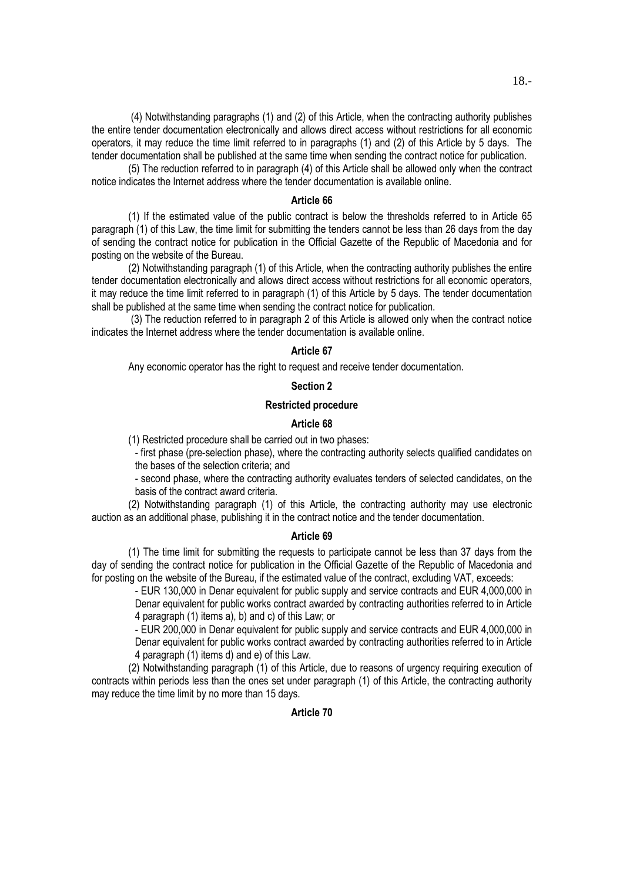(4) Notwithstanding paragraphs (1) and (2) of this Article, when the contracting authority publishes the entire tender documentation electronically and allows direct access without restrictions for all economic operators, it may reduce the time limit referred to in paragraphs (1) and (2) of this Article by 5 days. The tender documentation shall be published at the same time when sending the contract notice for publication.

(5) The reduction referred to in paragraph (4) of this Article shall be allowed only when the contract notice indicates the Internet address where the tender documentation is available online.

### Article 66

(1) If the estimated value of the public contract is below the thresholds referred to in Article 65 paragraph (1) of this Law, the time limit for submitting the tenders cannot be less than 26 days from the day of sending the contract notice for publication in the Official Gazette of the Republic of Macedonia and for posting on the website of the Bureau.

(2) Notwithstanding paragraph (1) of this Article, when the contracting authority publishes the entire tender documentation electronically and allows direct access without restrictions for all economic operators, it may reduce the time limit referred to in paragraph (1) of this Article by 5 days. The tender documentation shall be published at the same time when sending the contract notice for publication.

 (3) The reduction referred to in paragraph 2 of this Article is allowed only when the contract notice indicates the Internet address where the tender documentation is available online.

# Article 67

Any economic operator has the right to request and receive tender documentation.

### Section 2

### Restricted procedure

# Article 68

(1) Restricted procedure shall be carried out in two phases:

- first phase (pre-selection phase), where the contracting authority selects qualified candidates on the bases of the selection criteria; and

- second phase, where the contracting authority evaluates tenders of selected candidates, on the basis of the contract award criteria.

(2) Notwithstanding paragraph (1) of this Article, the contracting authority may use electronic auction as an additional phase, publishing it in the contract notice and the tender documentation.

# Article 69

(1) The time limit for submitting the requests to participate cannot be less than 37 days from the day of sending the contract notice for publication in the Official Gazette of the Republic of Macedonia and for posting on the website of the Bureau, if the estimated value of the contract, excluding VAT, exceeds:

- EUR 130,000 in Denar equivalent for public supply and service contracts and EUR 4,000,000 in Denar equivalent for public works contract awarded by contracting authorities referred to in Article 4 paragraph (1) items a), b) and c) of this Law; or

- EUR 200,000 in Denar equivalent for public supply and service contracts and EUR 4,000,000 in Denar equivalent for public works contract awarded by contracting authorities referred to in Article 4 paragraph (1) items d) and e) of this Law.

(2) Notwithstanding paragraph (1) of this Article, due to reasons of urgency requiring execution of contracts within periods less than the ones set under paragraph (1) of this Article, the contracting authority may reduce the time limit by no more than 15 days.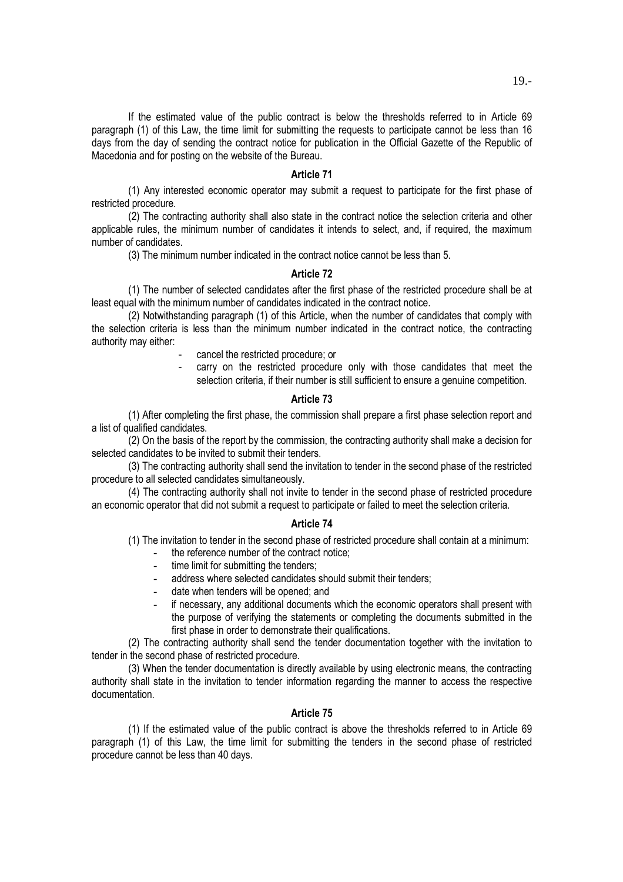If the estimated value of the public contract is below the thresholds referred to in Article 69 paragraph (1) of this Law, the time limit for submitting the requests to participate cannot be less than 16 days from the day of sending the contract notice for publication in the Official Gazette of the Republic of Macedonia and for posting on the website of the Bureau.

### Article 71

(1) Any interested economic operator may submit a request to participate for the first phase of restricted procedure.

(2) The contracting authority shall also state in the contract notice the selection criteria and other applicable rules, the minimum number of candidates it intends to select, and, if required, the maximum number of candidates.

(3) The minimum number indicated in the contract notice cannot be less than 5.

### Article 72

(1) The number of selected candidates after the first phase of the restricted procedure shall be at least equal with the minimum number of candidates indicated in the contract notice.

(2) Notwithstanding paragraph (1) of this Article, when the number of candidates that comply with the selection criteria is less than the minimum number indicated in the contract notice, the contracting authority may either:

- cancel the restricted procedure; or
- carry on the restricted procedure only with those candidates that meet the selection criteria, if their number is still sufficient to ensure a genuine competition.

#### Article 73

(1) After completing the first phase, the commission shall prepare a first phase selection report and a list of qualified candidates.

(2) On the basis of the report by the commission, the contracting authority shall make a decision for selected candidates to be invited to submit their tenders.

(3) The contracting authority shall send the invitation to tender in the second phase of the restricted procedure to all selected candidates simultaneously.

(4) The contracting authority shall not invite to tender in the second phase of restricted procedure an economic operator that did not submit a request to participate or failed to meet the selection criteria.

### Article 74

(1) The invitation to tender in the second phase of restricted procedure shall contain at a minimum:

- the reference number of the contract notice;
- time limit for submitting the tenders;
- address where selected candidates should submit their tenders;
- date when tenders will be opened; and
- if necessary, any additional documents which the economic operators shall present with the purpose of verifying the statements or completing the documents submitted in the first phase in order to demonstrate their qualifications.

(2) The contracting authority shall send the tender documentation together with the invitation to tender in the second phase of restricted procedure.

(3) When the tender documentation is directly available by using electronic means, the contracting authority shall state in the invitation to tender information regarding the manner to access the respective documentation.

### Article 75

(1) If the estimated value of the public contract is above the thresholds referred to in Article 69 paragraph (1) of this Law, the time limit for submitting the tenders in the second phase of restricted procedure cannot be less than 40 days.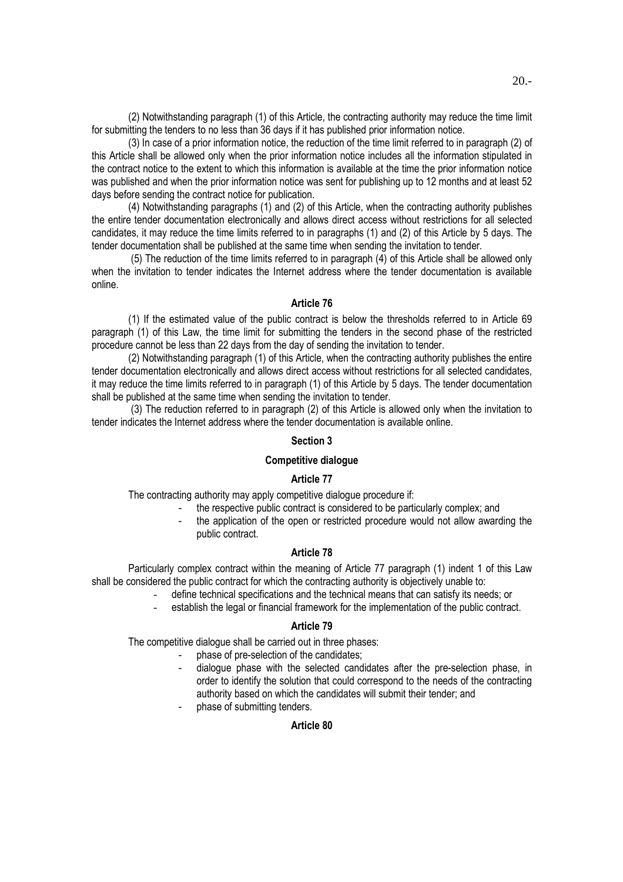(2) Notwithstanding paragraph (1) of this Article, the contracting authority may reduce the time limit for submitting the tenders to no less than 36 days if it has published prior information notice.

(3) In case of a prior information notice, the reduction of the time limit referred to in paragraph (2) of this Article shall be allowed only when the prior information notice includes all the information stipulated in the contract notice to the extent to which this information is available at the time the prior information notice was published and when the prior information notice was sent for publishing up to 12 months and at least 52 days before sending the contract notice for publication.

(4) Notwithstanding paragraphs (1) and (2) of this Article, when the contracting authority publishes the entire tender documentation electronically and allows direct access without restrictions for all selected candidates, it may reduce the time limits referred to in paragraphs (1) and (2) of this Article by 5 days. The tender documentation shall be published at the same time when sending the invitation to tender.

 (5) The reduction of the time limits referred to in paragraph (4) of this Article shall be allowed only when the invitation to tender indicates the Internet address where the tender documentation is available online.

## Article 76

(1) If the estimated value of the public contract is below the thresholds referred to in Article 69 paragraph (1) of this Law, the time limit for submitting the tenders in the second phase of the restricted procedure cannot be less than 22 days from the day of sending the invitation to tender.

(2) Notwithstanding paragraph (1) of this Article, when the contracting authority publishes the entire tender documentation electronically and allows direct access without restrictions for all selected candidates, it may reduce the time limits referred to in paragraph (1) of this Article by 5 days. The tender documentation shall be published at the same time when sending the invitation to tender.

 (3) The reduction referred to in paragraph (2) of this Article is allowed only when the invitation to tender indicates the Internet address where the tender documentation is available online.

# Section 3

# Competitive dialogue

## Article 77

The contracting authority may apply competitive dialogue procedure if:

- the respective public contract is considered to be particularly complex; and<br>the application of the open or restricted procedure would not allow award
	- the application of the open or restricted procedure would not allow awarding the public contract.

### Article 78

Particularly complex contract within the meaning of Article 77 paragraph (1) indent 1 of this Law shall be considered the public contract for which the contracting authority is objectively unable to:

- define technical specifications and the technical means that can satisfy its needs; or
- establish the legal or financial framework for the implementation of the public contract.

### Article 79

The competitive dialogue shall be carried out in three phases:

- phase of pre-selection of the candidates;
- dialogue phase with the selected candidates after the pre-selection phase, in order to identify the solution that could correspond to the needs of the contracting authority based on which the candidates will submit their tender; and
- phase of submitting tenders.

#### Article 80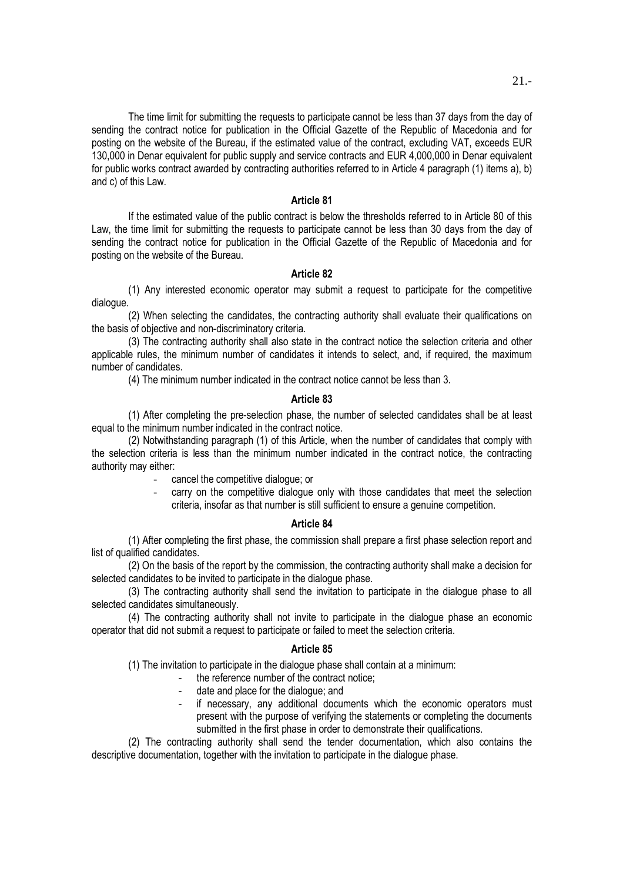The time limit for submitting the requests to participate cannot be less than 37 days from the day of sending the contract notice for publication in the Official Gazette of the Republic of Macedonia and for posting on the website of the Bureau, if the estimated value of the contract, excluding VAT, exceeds EUR 130,000 in Denar equivalent for public supply and service contracts and EUR 4,000,000 in Denar equivalent for public works contract awarded by contracting authorities referred to in Article 4 paragraph (1) items a), b) and c) of this Law.

# Article 81

If the estimated value of the public contract is below the thresholds referred to in Article 80 of this Law, the time limit for submitting the requests to participate cannot be less than 30 days from the day of sending the contract notice for publication in the Official Gazette of the Republic of Macedonia and for posting on the website of the Bureau.

# Article 82

(1) Any interested economic operator may submit a request to participate for the competitive dialogue.

(2) When selecting the candidates, the contracting authority shall evaluate their qualifications on the basis of objective and non-discriminatory criteria.

(3) The contracting authority shall also state in the contract notice the selection criteria and other applicable rules, the minimum number of candidates it intends to select, and, if required, the maximum number of candidates.

(4) The minimum number indicated in the contract notice cannot be less than 3.

## Article 83

(1) After completing the pre-selection phase, the number of selected candidates shall be at least equal to the minimum number indicated in the contract notice.

(2) Notwithstanding paragraph (1) of this Article, when the number of candidates that comply with the selection criteria is less than the minimum number indicated in the contract notice, the contracting authority may either:

- cancel the competitive dialogue; or
- carry on the competitive dialogue only with those candidates that meet the selection criteria, insofar as that number is still sufficient to ensure a genuine competition.

# Article 84

(1) After completing the first phase, the commission shall prepare a first phase selection report and list of qualified candidates.

(2) On the basis of the report by the commission, the contracting authority shall make a decision for selected candidates to be invited to participate in the dialogue phase.

(3) The contracting authority shall send the invitation to participate in the dialogue phase to all selected candidates simultaneously.

(4) The contracting authority shall not invite to participate in the dialogue phase an economic operator that did not submit a request to participate or failed to meet the selection criteria.

## Article 85

(1) The invitation to participate in the dialogue phase shall contain at a minimum:

- the reference number of the contract notice;
	- date and place for the dialogue; and
- if necessary, any additional documents which the economic operators must present with the purpose of verifying the statements or completing the documents submitted in the first phase in order to demonstrate their qualifications.

(2) The contracting authority shall send the tender documentation, which also contains the descriptive documentation, together with the invitation to participate in the dialogue phase.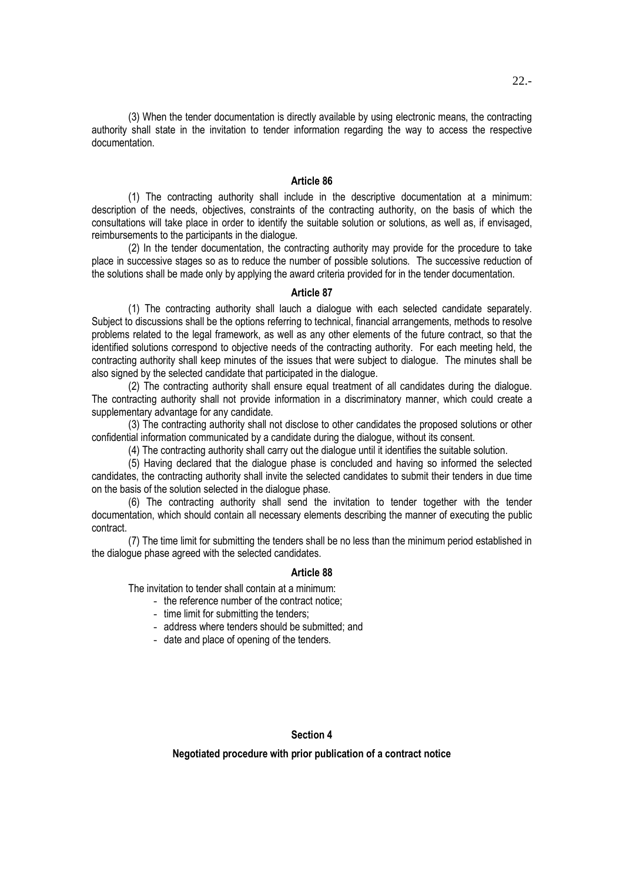(3) When the tender documentation is directly available by using electronic means, the contracting authority shall state in the invitation to tender information regarding the way to access the respective documentation.

### Article 86

(1) The contracting authority shall include in the descriptive documentation at a minimum: description of the needs, objectives, constraints of the contracting authority, on the basis of which the consultations will take place in order to identify the suitable solution or solutions, as well as, if envisaged, reimbursements to the participants in the dialogue.

(2) In the tender documentation, the contracting authority may provide for the procedure to take place in successive stages so as to reduce the number of possible solutions. The successive reduction of the solutions shall be made only by applying the award criteria provided for in the tender documentation.

#### Article 87

(1) The contracting authority shall lauch a dialogue with each selected candidate separately. Subject to discussions shall be the options referring to technical, financial arrangements, methods to resolve problems related to the legal framework, as well as any other elements of the future contract, so that the identified solutions correspond to objective needs of the contracting authority. For each meeting held, the contracting authority shall keep minutes of the issues that were subject to dialogue. The minutes shall be also signed by the selected candidate that participated in the dialogue.

(2) The contracting authority shall ensure equal treatment of all candidates during the dialogue. The contracting authority shall not provide information in a discriminatory manner, which could create a supplementary advantage for any candidate.

(3) The contracting authority shall not disclose to other candidates the proposed solutions or other confidential information communicated by a candidate during the dialogue, without its consent.

(4) The contracting authority shall carry out the dialogue until it identifies the suitable solution.

(5) Having declared that the dialogue phase is concluded and having so informed the selected candidates, the contracting authority shall invite the selected candidates to submit their tenders in due time on the basis of the solution selected in the dialogue phase.

(6) The contracting authority shall send the invitation to tender together with the tender documentation, which should contain all necessary elements describing the manner of executing the public contract.

(7) The time limit for submitting the tenders shall be no less than the minimum period established in the dialogue phase agreed with the selected candidates.

#### Article 88

The invitation to tender shall contain at a minimum:

- the reference number of the contract notice;
- time limit for submitting the tenders;
- address where tenders should be submitted; and
- date and place of opening of the tenders.

# Section 4

### Negotiated procedure with prior publication of a contract notice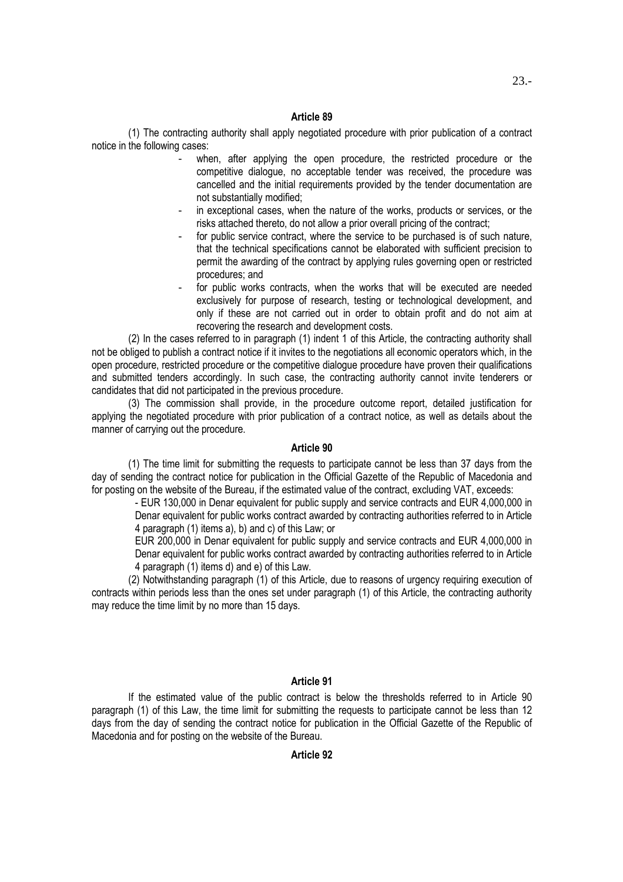#### Article 89

(1) The contracting authority shall apply negotiated procedure with prior publication of a contract notice in the following cases:

- when, after applying the open procedure, the restricted procedure or the competitive dialogue, no acceptable tender was received, the procedure was cancelled and the initial requirements provided by the tender documentation are not substantially modified;
- in exceptional cases, when the nature of the works, products or services, or the risks attached thereto, do not allow a prior overall pricing of the contract;
- for public service contract, where the service to be purchased is of such nature, that the technical specifications cannot be elaborated with sufficient precision to permit the awarding of the contract by applying rules governing open or restricted procedures; and
- for public works contracts, when the works that will be executed are needed exclusively for purpose of research, testing or technological development, and only if these are not carried out in order to obtain profit and do not aim at recovering the research and development costs.

(2) In the cases referred to in paragraph (1) indent 1 of this Article, the contracting authority shall not be obliged to publish a contract notice if it invites to the negotiations all economic operators which, in the open procedure, restricted procedure or the competitive dialogue procedure have proven their qualifications and submitted tenders accordingly. In such case, the contracting authority cannot invite tenderers or candidates that did not participated in the previous procedure.

(3) The commission shall provide, in the procedure outcome report, detailed justification for applying the negotiated procedure with prior publication of a contract notice, as well as details about the manner of carrying out the procedure.

## Article 90

(1) The time limit for submitting the requests to participate cannot be less than 37 days from the day of sending the contract notice for publication in the Official Gazette of the Republic of Macedonia and for posting on the website of the Bureau, if the estimated value of the contract, excluding VAT, exceeds:

- EUR 130,000 in Denar equivalent for public supply and service contracts and EUR 4,000,000 in Denar equivalent for public works contract awarded by contracting authorities referred to in Article 4 paragraph (1) items a), b) and c) of this Law; or

EUR 200,000 in Denar equivalent for public supply and service contracts and EUR 4,000,000 in Denar equivalent for public works contract awarded by contracting authorities referred to in Article 4 paragraph (1) items d) and e) of this Law.

(2) Notwithstanding paragraph (1) of this Article, due to reasons of urgency requiring execution of contracts within periods less than the ones set under paragraph (1) of this Article, the contracting authority may reduce the time limit by no more than 15 days.

# Article 91

If the estimated value of the public contract is below the thresholds referred to in Article 90 paragraph (1) of this Law, the time limit for submitting the requests to participate cannot be less than 12 days from the day of sending the contract notice for publication in the Official Gazette of the Republic of Macedonia and for posting on the website of the Bureau.

# Article 92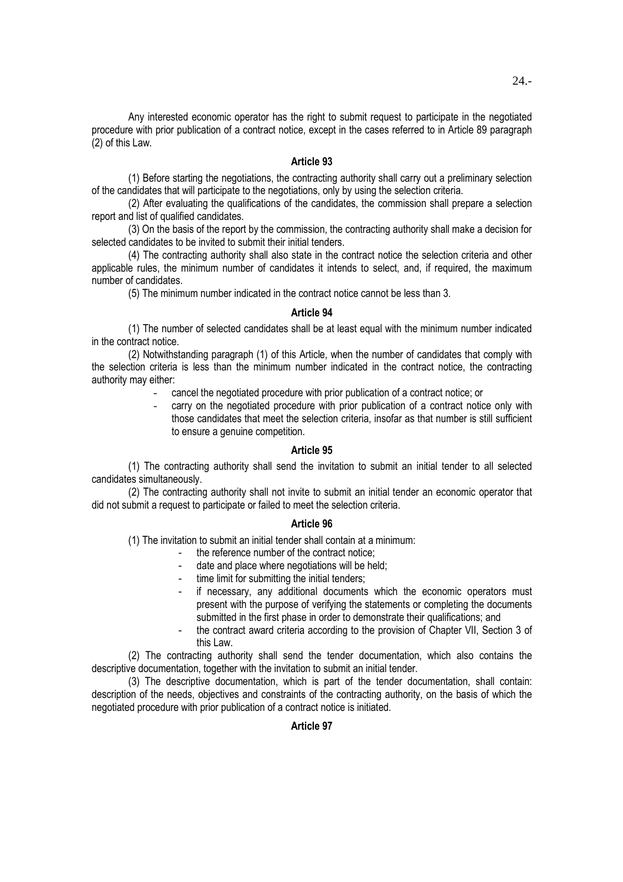# Article 93

(1) Before starting the negotiations, the contracting authority shall carry out a preliminary selection of the candidates that will participate to the negotiations, only by using the selection criteria.

(2) After evaluating the qualifications of the candidates, the commission shall prepare a selection report and list of qualified candidates.

(3) On the basis of the report by the commission, the contracting authority shall make a decision for selected candidates to be invited to submit their initial tenders.

(4) The contracting authority shall also state in the contract notice the selection criteria and other applicable rules, the minimum number of candidates it intends to select, and, if required, the maximum number of candidates.

(5) The minimum number indicated in the contract notice cannot be less than 3.

### Article 94

(1) The number of selected candidates shall be at least equal with the minimum number indicated in the contract notice.

(2) Notwithstanding paragraph (1) of this Article, when the number of candidates that comply with the selection criteria is less than the minimum number indicated in the contract notice, the contracting authority may either:

- cancel the negotiated procedure with prior publication of a contract notice; or
- carry on the negotiated procedure with prior publication of a contract notice only with those candidates that meet the selection criteria, insofar as that number is still sufficient to ensure a genuine competition.

# Article 95

(1) The contracting authority shall send the invitation to submit an initial tender to all selected candidates simultaneously.

(2) The contracting authority shall not invite to submit an initial tender an economic operator that did not submit a request to participate or failed to meet the selection criteria.

# Article 96

(1) The invitation to submit an initial tender shall contain at a minimum:

- the reference number of the contract notice;
- date and place where negotiations will be held;
- time limit for submitting the initial tenders;
- if necessary, any additional documents which the economic operators must present with the purpose of verifying the statements or completing the documents submitted in the first phase in order to demonstrate their qualifications; and
- the contract award criteria according to the provision of Chapter VII, Section 3 of this Law.

(2) The contracting authority shall send the tender documentation, which also contains the descriptive documentation, together with the invitation to submit an initial tender.

(3) The descriptive documentation, which is part of the tender documentation, shall contain: description of the needs, objectives and constraints of the contracting authority, on the basis of which the negotiated procedure with prior publication of a contract notice is initiated.

# Article 97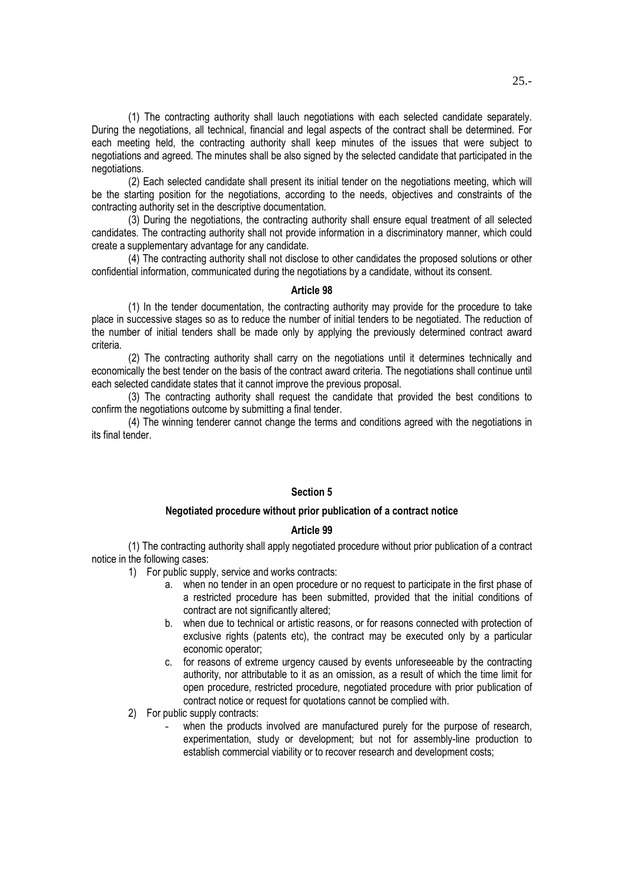(1) The contracting authority shall lauch negotiations with each selected candidate separately. During the negotiations, all technical, financial and legal aspects of the contract shall be determined. For each meeting held, the contracting authority shall keep minutes of the issues that were subject to negotiations and agreed. The minutes shall be also signed by the selected candidate that participated in the negotiations.

(2) Each selected candidate shall present its initial tender on the negotiations meeting, which will be the starting position for the negotiations, according to the needs, objectives and constraints of the contracting authority set in the descriptive documentation.

(3) During the negotiations, the contracting authority shall ensure equal treatment of all selected candidates. The contracting authority shall not provide information in a discriminatory manner, which could create a supplementary advantage for any candidate.

(4) The contracting authority shall not disclose to other candidates the proposed solutions or other confidential information, communicated during the negotiations by a candidate, without its consent.

#### Article 98

(1) In the tender documentation, the contracting authority may provide for the procedure to take place in successive stages so as to reduce the number of initial tenders to be negotiated. The reduction of the number of initial tenders shall be made only by applying the previously determined contract award criteria.

(2) The contracting authority shall carry on the negotiations until it determines technically and economically the best tender on the basis of the contract award criteria. The negotiations shall continue until each selected candidate states that it cannot improve the previous proposal.

(3) The contracting authority shall request the candidate that provided the best conditions to confirm the negotiations outcome by submitting a final tender.

(4) The winning tenderer cannot change the terms and conditions agreed with the negotiations in its final tender.

# Section 5

# Negotiated procedure without prior publication of a contract notice

#### Article 99

(1) The contracting authority shall apply negotiated procedure without prior publication of a contract notice in the following cases:

1) For public supply, service and works contracts:

- a. when no tender in an open procedure or no request to participate in the first phase of a restricted procedure has been submitted, provided that the initial conditions of contract are not significantly altered;
- b. when due to technical or artistic reasons, or for reasons connected with protection of exclusive rights (patents etc), the contract may be executed only by a particular economic operator;
- c. for reasons of extreme urgency caused by events unforeseeable by the contracting authority, nor attributable to it as an omission, as a result of which the time limit for open procedure, restricted procedure, negotiated procedure with prior publication of contract notice or request for quotations cannot be complied with.
- 2) For public supply contracts:
	- when the products involved are manufactured purely for the purpose of research, experimentation, study or development; but not for assembly-line production to establish commercial viability or to recover research and development costs;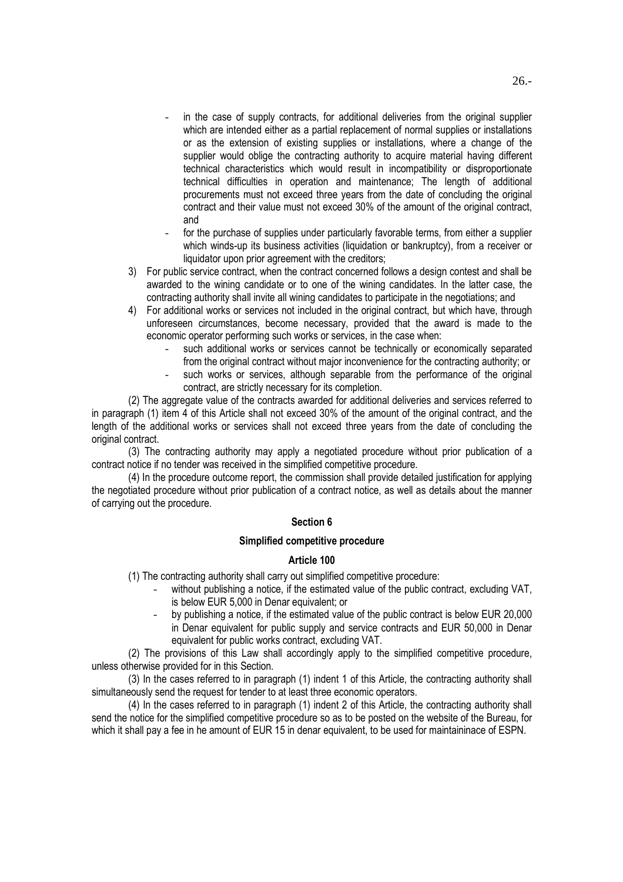- in the case of supply contracts, for additional deliveries from the original supplier which are intended either as a partial replacement of normal supplies or installations or as the extension of existing supplies or installations, where a change of the supplier would oblige the contracting authority to acquire material having different technical characteristics which would result in incompatibility or disproportionate technical difficulties in operation and maintenance; The length of additional procurements must not exceed three years from the date of concluding the original contract and their value must not exceed 30% of the amount of the original contract, and
- for the purchase of supplies under particularly favorable terms, from either a supplier which winds-up its business activities (liquidation or bankruptcy), from a receiver or liquidator upon prior agreement with the creditors;
- 3) For public service contract, when the contract concerned follows a design contest and shall be awarded to the wining candidate or to one of the wining candidates. In the latter case, the contracting authority shall invite all wining candidates to participate in the negotiations; and
- 4) For additional works or services not included in the original contract, but which have, through unforeseen circumstances, become necessary, provided that the award is made to the economic operator performing such works or services, in the case when:
	- such additional works or services cannot be technically or economically separated from the original contract without major inconvenience for the contracting authority; or
	- such works or services, although separable from the performance of the original contract, are strictly necessary for its completion.

(2) The aggregate value of the contracts awarded for additional deliveries and services referred to in paragraph (1) item 4 of this Article shall not exceed 30% of the amount of the original contract, and the length of the additional works or services shall not exceed three years from the date of concluding the original contract.

(3) The contracting authority may apply a negotiated procedure without prior publication of a contract notice if no tender was received in the simplified competitive procedure.

(4) In the procedure outcome report, the commission shall provide detailed justification for applying the negotiated procedure without prior publication of a contract notice, as well as details about the manner of carrying out the procedure.

# Section 6

## Simplified competitive procedure

## Article 100

(1) The contracting authority shall carry out simplified competitive procedure:

- without publishing a notice, if the estimated value of the public contract, excluding VAT, is below EUR 5,000 in Denar equivalent; or
- by publishing a notice, if the estimated value of the public contract is below EUR 20,000 in Denar equivalent for public supply and service contracts and EUR 50,000 in Denar equivalent for public works contract, excluding VAT.

(2) The provisions of this Law shall accordingly apply to the simplified competitive procedure, unless otherwise provided for in this Section.

(3) In the cases referred to in paragraph (1) indent 1 of this Article, the contracting authority shall simultaneously send the request for tender to at least three economic operators.

(4) In the cases referred to in paragraph (1) indent 2 of this Article, the contracting authority shall send the notice for the simplified competitive procedure so as to be posted on the website of the Bureau, for which it shall pay a fee in he amount of EUR 15 in denar equivalent, to be used for maintaininace of ESPN.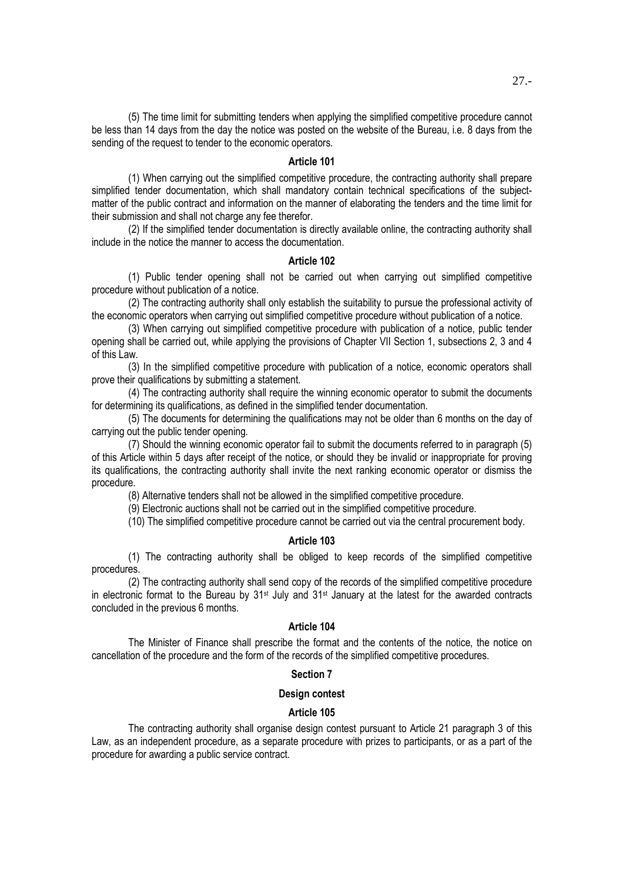(5) The time limit for submitting tenders when applying the simplified competitive procedure cannot be less than 14 days from the day the notice was posted on the website of the Bureau, i.e. 8 days from the sending of the request to tender to the economic operators.

#### Article 101

(1) When carrying out the simplified competitive procedure, the contracting authority shall prepare simplified tender documentation, which shall mandatory contain technical specifications of the subjectmatter of the public contract and information on the manner of elaborating the tenders and the time limit for their submission and shall not charge any fee therefor.

(2) If the simplified tender documentation is directly available online, the contracting authority shall include in the notice the manner to access the documentation.

## Article 102

(1) Public tender opening shall not be carried out when carrying out simplified competitive procedure without publication of a notice.

(2) The contracting authority shall only establish the suitability to pursue the professional activity of the economic operators when carrying out simplified competitive procedure without publication of a notice.

(3) When carrying out simplified competitive procedure with publication of a notice, public tender opening shall be carried out, while applying the provisions of Chapter VII Section 1, subsections 2, 3 and 4 of this Law.

(3) In the simplified competitive procedure with publication of a notice, economic operators shall prove their qualifications by submitting a statement.

(4) The contracting authority shall require the winning economic operator to submit the documents for determining its qualifications, as defined in the simplified tender documentation.

(5) The documents for determining the qualifications may not be older than 6 months on the day of carrying out the public tender opening.

(7) Should the winning economic operator fail to submit the documents referred to in paragraph (5) of this Article within 5 days after receipt of the notice, or should they be invalid or inappropriate for proving its qualifications, the contracting authority shall invite the next ranking economic operator or dismiss the procedure.

(8) Alternative tenders shall not be allowed in the simplified competitive procedure.

(9) Electronic auctions shall not be carried out in the simplified competitive procedure.

(10) The simplified competitive procedure cannot be carried out via the central procurement body.

## Article 103

(1) The contracting authority shall be obliged to keep records of the simplified competitive procedures.

(2) The contracting authority shall send copy of the records of the simplified competitive procedure in electronic format to the Bureau by 31<sup>st</sup> July and 31<sup>st</sup> January at the latest for the awarded contracts concluded in the previous 6 months.

## Article 104

The Minister of Finance shall prescribe the format and the contents of the notice, the notice on cancellation of the procedure and the form of the records of the simplified competitive procedures.

### Section 7

#### Design contest

### Article 105

The contracting authority shall organise design contest pursuant to Article 21 paragraph 3 of this Law, as an independent procedure, as a separate procedure with prizes to participants, or as a part of the procedure for awarding a public service contract.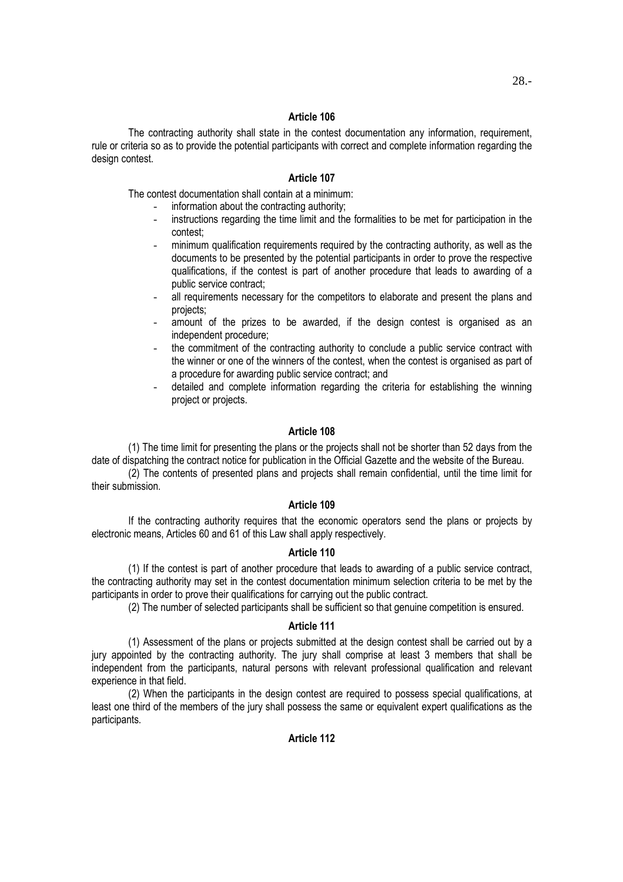### Article 106

The contracting authority shall state in the contest documentation any information, requirement, rule or criteria so as to provide the potential participants with correct and complete information regarding the design contest.

## Article 107

The contest documentation shall contain at a minimum:

- information about the contracting authority;
- instructions regarding the time limit and the formalities to be met for participation in the contest;
- minimum qualification requirements required by the contracting authority, as well as the documents to be presented by the potential participants in order to prove the respective qualifications, if the contest is part of another procedure that leads to awarding of a public service contract;
- all requirements necessary for the competitors to elaborate and present the plans and projects;
- amount of the prizes to be awarded, if the design contest is organised as an independent procedure;
- the commitment of the contracting authority to conclude a public service contract with the winner or one of the winners of the contest, when the contest is organised as part of a procedure for awarding public service contract; and
- detailed and complete information regarding the criteria for establishing the winning project or projects.

# Article 108

(1) The time limit for presenting the plans or the projects shall not be shorter than 52 days from the date of dispatching the contract notice for publication in the Official Gazette and the website of the Bureau.

(2) The contents of presented plans and projects shall remain confidential, until the time limit for their submission.

## Article 109

If the contracting authority requires that the economic operators send the plans or projects by electronic means, Articles 60 and 61 of this Law shall apply respectively.

### Article 110

(1) If the contest is part of another procedure that leads to awarding of a public service contract, the contracting authority may set in the contest documentation minimum selection criteria to be met by the participants in order to prove their qualifications for carrying out the public contract.

(2) The number of selected participants shall be sufficient so that genuine competition is ensured.

## Article 111

(1) Assessment of the plans or projects submitted at the design contest shall be carried out by a jury appointed by the contracting authority. The jury shall comprise at least 3 members that shall be independent from the participants, natural persons with relevant professional qualification and relevant experience in that field.

(2) When the participants in the design contest are required to possess special qualifications, at least one third of the members of the jury shall possess the same or equivalent expert qualifications as the participants.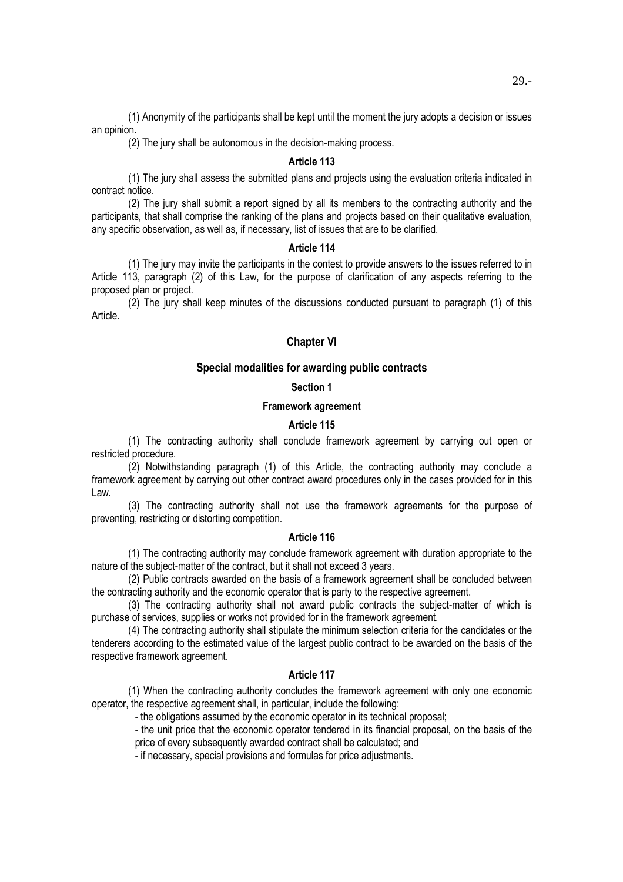29.-

(1) Anonymity of the participants shall be kept until the moment the jury adopts a decision or issues an opinion.

(2) The jury shall be autonomous in the decision-making process.

### Article 113

(1) The jury shall assess the submitted plans and projects using the evaluation criteria indicated in contract notice.

(2) The jury shall submit a report signed by all its members to the contracting authority and the participants, that shall comprise the ranking of the plans and projects based on their qualitative evaluation, any specific observation, as well as, if necessary, list of issues that are to be clarified.

#### Article 114

(1) The jury may invite the participants in the contest to provide answers to the issues referred to in Article 113, paragraph (2) of this Law, for the purpose of clarification of any aspects referring to the proposed plan or project.

(2) The jury shall keep minutes of the discussions conducted pursuant to paragraph (1) of this Article.

## Chapter VI

# Special modalities for awarding public contracts

### Section 1

# Framework agreement

# Article 115

(1) The contracting authority shall conclude framework agreement by carrying out open or restricted procedure.

(2) Notwithstanding paragraph (1) of this Article, the contracting authority may conclude a framework agreement by carrying out other contract award procedures only in the cases provided for in this Law.

(3) The contracting authority shall not use the framework agreements for the purpose of preventing, restricting or distorting competition.

#### Article 116

(1) The contracting authority may conclude framework agreement with duration appropriate to the nature of the subject-matter of the contract, but it shall not exceed 3 years.

(2) Public contracts awarded on the basis of a framework agreement shall be concluded between the contracting authority and the economic operator that is party to the respective agreement.

(3) The contracting authority shall not award public contracts the subject-matter of which is purchase of services, supplies or works not provided for in the framework agreement.

(4) The contracting authority shall stipulate the minimum selection criteria for the candidates or the tenderers according to the estimated value of the largest public contract to be awarded on the basis of the respective framework agreement.

### Article 117

(1) When the contracting authority concludes the framework agreement with only one economic operator, the respective agreement shall, in particular, include the following:

- the obligations assumed by the economic operator in its technical proposal;

- the unit price that the economic operator tendered in its financial proposal, on the basis of the price of every subsequently awarded contract shall be calculated; and

- if necessary, special provisions and formulas for price adjustments.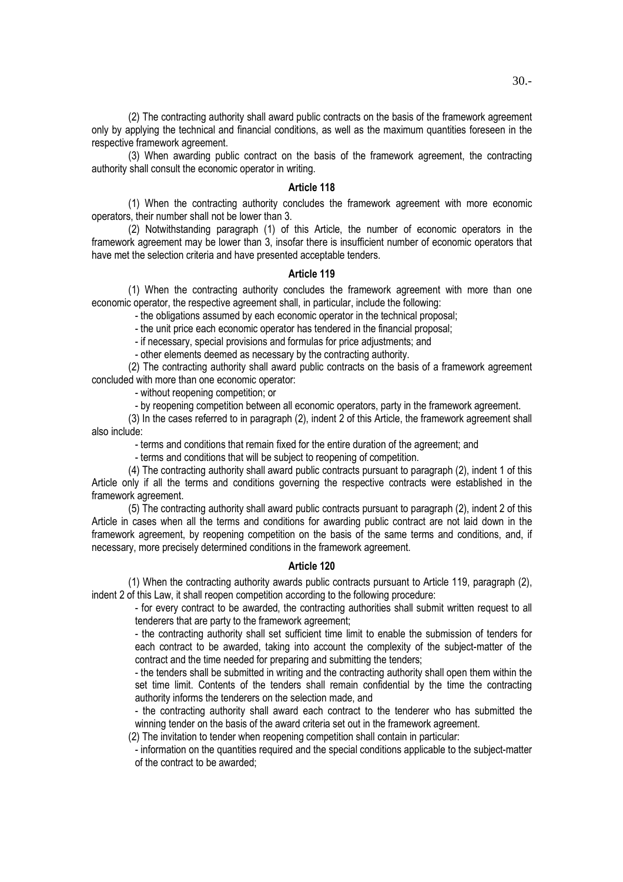(2) The contracting authority shall award public contracts on the basis of the framework agreement only by applying the technical and financial conditions, as well as the maximum quantities foreseen in the respective framework agreement.

(3) When awarding public contract on the basis of the framework agreement, the contracting authority shall consult the economic operator in writing.

## Article 118

(1) When the contracting authority concludes the framework agreement with more economic operators, their number shall not be lower than 3.

(2) Notwithstanding paragraph (1) of this Article, the number of economic operators in the framework agreement may be lower than 3, insofar there is insufficient number of economic operators that have met the selection criteria and have presented acceptable tenders.

#### Article 119

(1) When the contracting authority concludes the framework agreement with more than one economic operator, the respective agreement shall, in particular, include the following:

- the obligations assumed by each economic operator in the technical proposal;

- the unit price each economic operator has tendered in the financial proposal;

- if necessary, special provisions and formulas for price adjustments; and

- other elements deemed as necessary by the contracting authority.

(2) The contracting authority shall award public contracts on the basis of a framework agreement concluded with more than one economic operator:

- without reopening competition; or

- by reopening competition between all economic operators, party in the framework agreement.

(3) In the cases referred to in paragraph (2), indent 2 of this Article, the framework agreement shall also include:

- terms and conditions that remain fixed for the entire duration of the agreement; and

- terms and conditions that will be subject to reopening of competition.

(4) The contracting authority shall award public contracts pursuant to paragraph (2), indent 1 of this Article only if all the terms and conditions governing the respective contracts were established in the framework agreement.

(5) The contracting authority shall award public contracts pursuant to paragraph (2), indent 2 of this Article in cases when all the terms and conditions for awarding public contract are not laid down in the framework agreement, by reopening competition on the basis of the same terms and conditions, and, if necessary, more precisely determined conditions in the framework agreement.

#### Article 120

(1) When the contracting authority awards public contracts pursuant to Article 119, paragraph (2), indent 2 of this Law, it shall reopen competition according to the following procedure:

- for every contract to be awarded, the contracting authorities shall submit written request to all tenderers that are party to the framework agreement;

- the contracting authority shall set sufficient time limit to enable the submission of tenders for each contract to be awarded, taking into account the complexity of the subject-matter of the contract and the time needed for preparing and submitting the tenders;

- the tenders shall be submitted in writing and the contracting authority shall open them within the set time limit. Contents of the tenders shall remain confidential by the time the contracting authority informs the tenderers on the selection made, and

- the contracting authority shall award each contract to the tenderer who has submitted the winning tender on the basis of the award criteria set out in the framework agreement.

(2) The invitation to tender when reopening competition shall contain in particular:

- information on the quantities required and the special conditions applicable to the subject-matter of the contract to be awarded;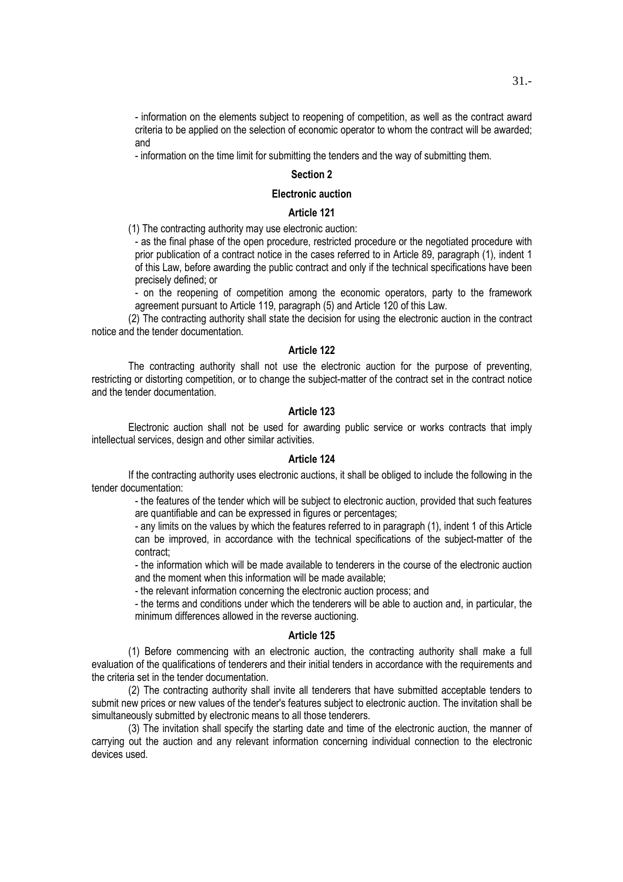- information on the elements subject to reopening of competition, as well as the contract award criteria to be applied on the selection of economic operator to whom the contract will be awarded; and

- information on the time limit for submitting the tenders and the way of submitting them.

# Section 2

# Electronic auction

# Article 121

(1) The contracting authority may use electronic auction:

- as the final phase of the open procedure, restricted procedure or the negotiated procedure with prior publication of a contract notice in the cases referred to in Article 89, paragraph (1), indent 1 of this Law, before awarding the public contract and only if the technical specifications have been precisely defined; or

- on the reopening of competition among the economic operators, party to the framework agreement pursuant to Article 119, paragraph (5) and Article 120 of this Law.

(2) The contracting authority shall state the decision for using the electronic auction in the contract notice and the tender documentation.

# Article 122

The contracting authority shall not use the electronic auction for the purpose of preventing, restricting or distorting competition, or to change the subject-matter of the contract set in the contract notice and the tender documentation.

# Article 123

Electronic auction shall not be used for awarding public service or works contracts that imply intellectual services, design and other similar activities.

### Article 124

If the contracting authority uses electronic auctions, it shall be obliged to include the following in the tender documentation:

- the features of the tender which will be subject to electronic auction, provided that such features are quantifiable and can be expressed in figures or percentages;

- any limits on the values by which the features referred to in paragraph (1), indent 1 of this Article can be improved, in accordance with the technical specifications of the subject-matter of the contract;

- the information which will be made available to tenderers in the course of the electronic auction and the moment when this information will be made available;

- the relevant information concerning the electronic auction process; and

- the terms and conditions under which the tenderers will be able to auction and, in particular, the minimum differences allowed in the reverse auctioning.

### Article 125

(1) Before commencing with an electronic auction, the contracting authority shall make a full evaluation of the qualifications of tenderers and their initial tenders in accordance with the requirements and the criteria set in the tender documentation.

(2) The contracting authority shall invite all tenderers that have submitted acceptable tenders to submit new prices or new values of the tender's features subject to electronic auction. The invitation shall be simultaneously submitted by electronic means to all those tenderers.

(3) The invitation shall specify the starting date and time of the electronic auction, the manner of carrying out the auction and any relevant information concerning individual connection to the electronic devices used.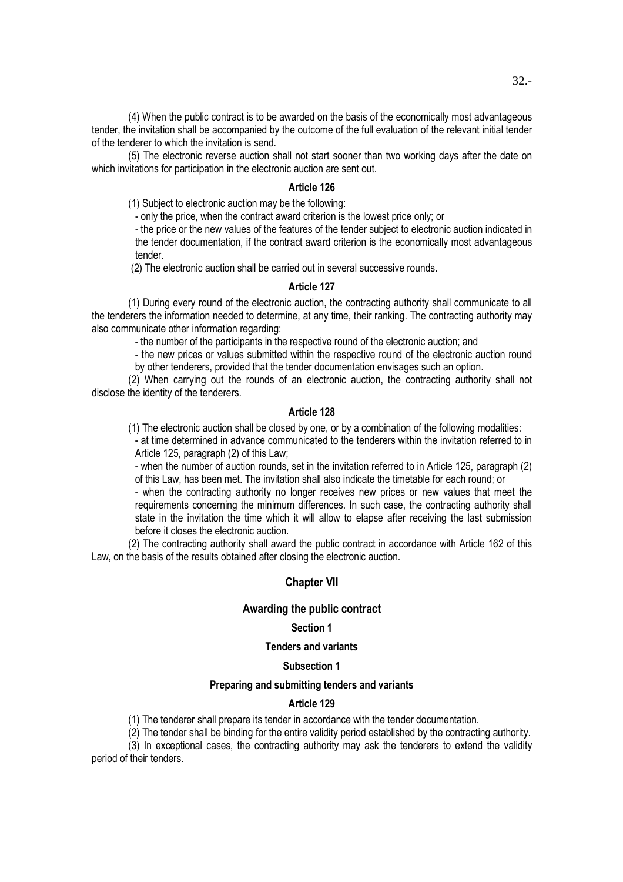(4) When the public contract is to be awarded on the basis of the economically most advantageous tender, the invitation shall be accompanied by the outcome of the full evaluation of the relevant initial tender of the tenderer to which the invitation is send.

(5) The electronic reverse auction shall not start sooner than two working days after the date on which invitations for participation in the electronic auction are sent out.

## Article 126

(1) Subject to electronic auction may be the following:

- only the price, when the contract award criterion is the lowest price only; or

- the price or the new values of the features of the tender subject to electronic auction indicated in the tender documentation, if the contract award criterion is the economically most advantageous tender.

(2) The electronic auction shall be carried out in several successive rounds.

## Article 127

(1) During every round of the electronic auction, the contracting authority shall communicate to all the tenderers the information needed to determine, at any time, their ranking. The contracting authority may also communicate other information regarding:

- the number of the participants in the respective round of the electronic auction; and

- the new prices or values submitted within the respective round of the electronic auction round by other tenderers, provided that the tender documentation envisages such an option.

(2) When carrying out the rounds of an electronic auction, the contracting authority shall not disclose the identity of the tenderers.

## Article 128

(1) The electronic auction shall be closed by one, or by a combination of the following modalities: - at time determined in advance communicated to the tenderers within the invitation referred to in Article 125, paragraph (2) of this Law;

- when the number of auction rounds, set in the invitation referred to in Article 125, paragraph (2) of this Law, has been met. The invitation shall also indicate the timetable for each round; or

- when the contracting authority no longer receives new prices or new values that meet the requirements concerning the minimum differences. In such case, the contracting authority shall state in the invitation the time which it will allow to elapse after receiving the last submission before it closes the electronic auction.

(2) The contracting authority shall award the public contract in accordance with Article 162 of this Law, on the basis of the results obtained after closing the electronic auction.

## Chapter VII

## Awarding the public contract

# Section 1

# Tenders and variants

# Subsection 1

### Preparing and submitting tenders and variants

## Article 129

(1) The tenderer shall prepare its tender in accordance with the tender documentation.

(2) The tender shall be binding for the entire validity period established by the contracting authority.

(3) In exceptional cases, the contracting authority may ask the tenderers to extend the validity period of their tenders.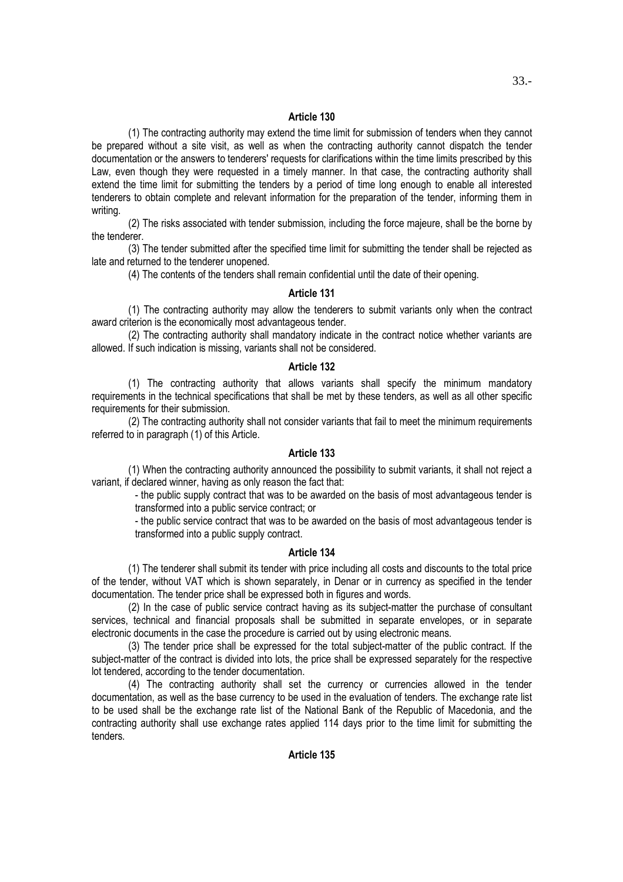(1) The contracting authority may extend the time limit for submission of tenders when they cannot be prepared without a site visit, as well as when the contracting authority cannot dispatch the tender documentation or the answers to tenderers' requests for clarifications within the time limits prescribed by this Law, even though they were requested in a timely manner. In that case, the contracting authority shall extend the time limit for submitting the tenders by a period of time long enough to enable all interested tenderers to obtain complete and relevant information for the preparation of the tender, informing them in writing.

(2) The risks associated with tender submission, including the force majeure, shall be the borne by the tenderer.

(3) The tender submitted after the specified time limit for submitting the tender shall be rejected as late and returned to the tenderer unopened.

(4) The contents of the tenders shall remain confidential until the date of their opening.

### Article 131

(1) The contracting authority may allow the tenderers to submit variants only when the contract award criterion is the economically most advantageous tender.

(2) The contracting authority shall mandatory indicate in the contract notice whether variants are allowed. If such indication is missing, variants shall not be considered.

### Article 132

(1) The contracting authority that allows variants shall specify the minimum mandatory requirements in the technical specifications that shall be met by these tenders, as well as all other specific requirements for their submission.

(2) The contracting authority shall not consider variants that fail to meet the minimum requirements referred to in paragraph (1) of this Article.

# Article 133

(1) When the contracting authority announced the possibility to submit variants, it shall not reject a variant, if declared winner, having as only reason the fact that:

- the public supply contract that was to be awarded on the basis of most advantageous tender is transformed into a public service contract; or

- the public service contract that was to be awarded on the basis of most advantageous tender is transformed into a public supply contract.

### Article 134

(1) The tenderer shall submit its tender with price including all costs and discounts to the total price of the tender, without VAT which is shown separately, in Denar or in currency as specified in the tender documentation. The tender price shall be expressed both in figures and words.

(2) In the case of public service contract having as its subject-matter the purchase of consultant services, technical and financial proposals shall be submitted in separate envelopes, or in separate electronic documents in the case the procedure is carried out by using electronic means.

 (3) The tender price shall be expressed for the total subject-matter of the public contract. If the subject-matter of the contract is divided into lots, the price shall be expressed separately for the respective lot tendered, according to the tender documentation.

(4) The contracting authority shall set the currency or currencies allowed in the tender documentation, as well as the base currency to be used in the evaluation of tenders. The exchange rate list to be used shall be the exchange rate list of the National Bank of the Republic of Macedonia, and the contracting authority shall use exchange rates applied 114 days prior to the time limit for submitting the tenders.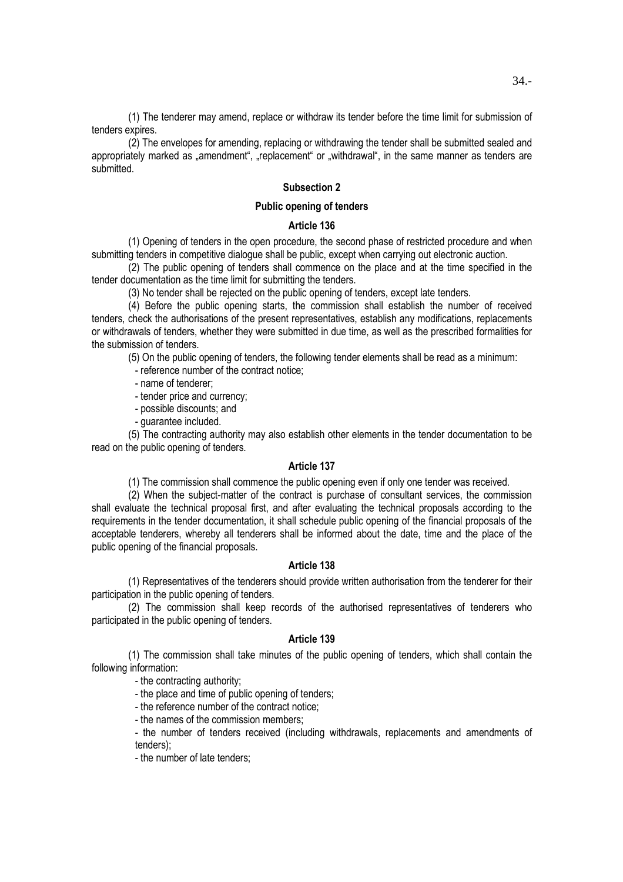(1) The tenderer may amend, replace or withdraw its tender before the time limit for submission of tenders expires.

(2) The envelopes for amending, replacing or withdrawing the tender shall be submitted sealed and appropriately marked as "amendment", "replacement" or "withdrawal", in the same manner as tenders are submitted.

# Subsection 2

# Public opening of tenders

# Article 136

(1) Opening of tenders in the open procedure, the second phase of restricted procedure and when submitting tenders in competitive dialogue shall be public, except when carrying out electronic auction.

(2) The public opening of tenders shall commence on the place and at the time specified in the tender documentation as the time limit for submitting the tenders.

(3) No tender shall be rejected on the public opening of tenders, except late tenders.

(4) Before the public opening starts, the commission shall establish the number of received tenders, check the authorisations of the present representatives, establish any modifications, replacements or withdrawals of tenders, whether they were submitted in due time, as well as the prescribed formalities for the submission of tenders.

(5) On the public opening of tenders, the following tender elements shall be read as a minimum:

- reference number of the contract notice;

- name of tenderer;
- tender price and currency;
- possible discounts; and
- guarantee included.

(5) The contracting authority may also establish other elements in the tender documentation to be read on the public opening of tenders.

#### Article 137

(1) The commission shall commence the public opening even if only one tender was received.

(2) When the subject-matter of the contract is purchase of consultant services, the commission shall evaluate the technical proposal first, and after evaluating the technical proposals according to the requirements in the tender documentation, it shall schedule public opening of the financial proposals of the acceptable tenderers, whereby all tenderers shall be informed about the date, time and the place of the public opening of the financial proposals.

## Article 138

(1) Representatives of the tenderers should provide written authorisation from the tenderer for their participation in the public opening of tenders.

(2) The commission shall keep records of the authorised representatives of tenderers who participated in the public opening of tenders.

### Article 139

(1) The commission shall take minutes of the public opening of tenders, which shall contain the following information:

- the contracting authority;

- the place and time of public opening of tenders;

- the reference number of the contract notice;

- the names of the commission members;

- the number of tenders received (including withdrawals, replacements and amendments of tenders);

- the number of late tenders;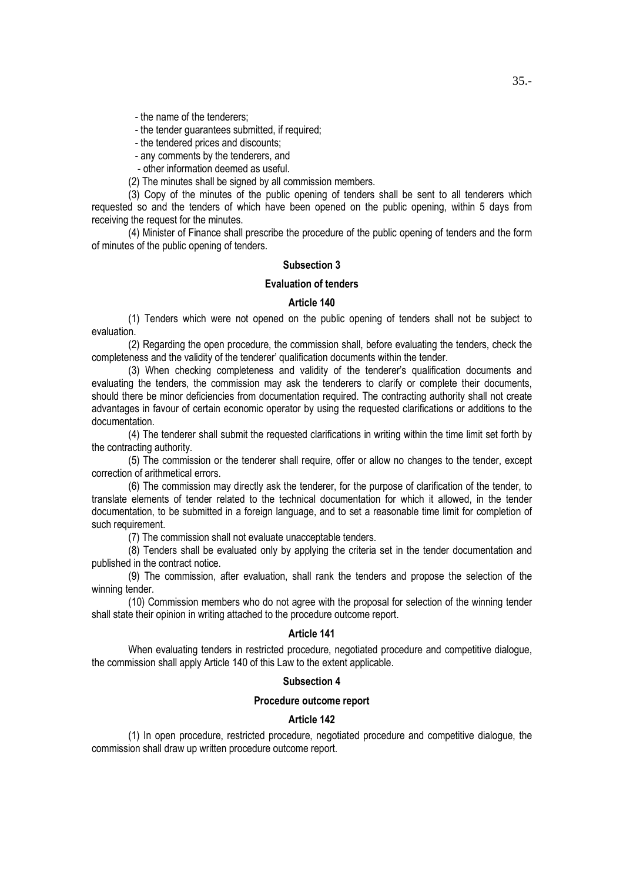- the name of the tenderers;

- the tender guarantees submitted, if required;

- the tendered prices and discounts;
- any comments by the tenderers, and
- other information deemed as useful.
- (2) The minutes shall be signed by all commission members.

(3) Copy of the minutes of the public opening of tenders shall be sent to all tenderers which requested so and the tenders of which have been opened on the public opening, within 5 days from receiving the request for the minutes.

(4) Minister of Finance shall prescribe the procedure of the public opening of tenders and the form of minutes of the public opening of tenders.

# Subsection 3

# Evaluation of tenders

### Article 140

(1) Tenders which were not opened on the public opening of tenders shall not be subject to evaluation.

(2) Regarding the open procedure, the commission shall, before evaluating the tenders, check the completeness and the validity of the tenderer' qualification documents within the tender.

(3) When checking completeness and validity of the tenderer's qualification documents and evaluating the tenders, the commission may ask the tenderers to clarify or complete their documents, should there be minor deficiencies from documentation required. The contracting authority shall not create advantages in favour of certain economic operator by using the requested clarifications or additions to the documentation.

(4) The tenderer shall submit the requested clarifications in writing within the time limit set forth by the contracting authority.

(5) The commission or the tenderer shall require, offer or allow no changes to the tender, except correction of arithmetical errors.

(6) The commission may directly ask the tenderer, for the purpose of clarification of the tender, to translate elements of tender related to the technical documentation for which it allowed, in the tender documentation, to be submitted in a foreign language, and to set a reasonable time limit for completion of such requirement.

(7) The commission shall not evaluate unacceptable tenders.

(8) Tenders shall be evaluated only by applying the criteria set in the tender documentation and published in the contract notice.

(9) The commission, after evaluation, shall rank the tenders and propose the selection of the winning tender.

(10) Commission members who do not agree with the proposal for selection of the winning tender shall state their opinion in writing attached to the procedure outcome report.

#### Article 141

When evaluating tenders in restricted procedure, negotiated procedure and competitive dialogue, the commission shall apply Article 140 of this Law to the extent applicable.

# Subsection 4

#### Procedure outcome report

### Article 142

(1) In open procedure, restricted procedure, negotiated procedure and competitive dialogue, the commission shall draw up written procedure outcome report.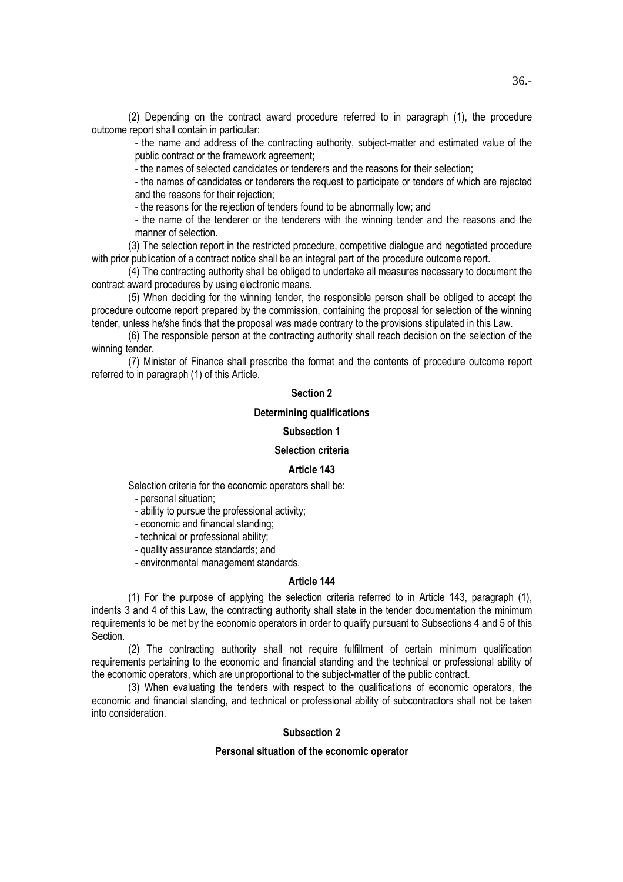(2) Depending on the contract award procedure referred to in paragraph (1), the procedure outcome report shall contain in particular:

- the name and address of the contracting authority, subject-matter and estimated value of the public contract or the framework agreement;

- the names of selected candidates or tenderers and the reasons for their selection;

- the names of candidates or tenderers the request to participate or tenders of which are rejected and the reasons for their rejection;

- the reasons for the rejection of tenders found to be abnormally low; and

- the name of the tenderer or the tenderers with the winning tender and the reasons and the manner of selection.

(3) The selection report in the restricted procedure, competitive dialogue and negotiated procedure with prior publication of a contract notice shall be an integral part of the procedure outcome report.

(4) The contracting authority shall be obliged to undertake all measures necessary to document the contract award procedures by using electronic means.

(5) When deciding for the winning tender, the responsible person shall be obliged to accept the procedure outcome report prepared by the commission, containing the proposal for selection of the winning tender, unless he/she finds that the proposal was made contrary to the provisions stipulated in this Law.

(6) The responsible person at the contracting authority shall reach decision on the selection of the winning tender.

(7) Minister of Finance shall prescribe the format and the contents of procedure outcome report referred to in paragraph (1) of this Article.

### Section 2

# Determining qualifications

# Subsection 1

### Selection criteria

## Article 143

Selection criteria for the economic operators shall be:

- personal situation;
- ability to pursue the professional activity;
- economic and financial standing;
- technical or professional ability;
- quality assurance standards; and
- environmental management standards.

#### Article 144

(1) For the purpose of applying the selection criteria referred to in Article 143, paragraph (1), indents 3 and 4 of this Law, the contracting authority shall state in the tender documentation the minimum requirements to be met by the economic operators in order to qualify pursuant to Subsections 4 and 5 of this **Section** 

(2) The contracting authority shall not require fulfillment of certain minimum qualification requirements pertaining to the economic and financial standing and the technical or professional ability of the economic operators, which are unproportional to the subject-matter of the public contract.

(3) When evaluating the tenders with respect to the qualifications of economic operators, the economic and financial standing, and technical or professional ability of subcontractors shall not be taken into consideration.

# Subsection 2

# Personal situation of the economic operator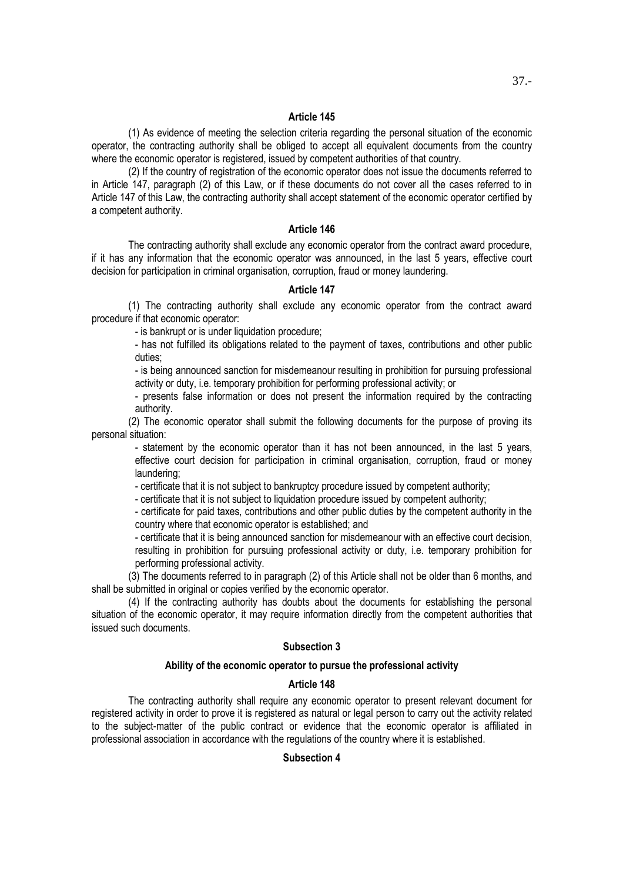#### Article 145

(1) As evidence of meeting the selection criteria regarding the personal situation of the economic operator, the contracting authority shall be obliged to accept all equivalent documents from the country where the economic operator is registered, issued by competent authorities of that country.

(2) If the country of registration of the economic operator does not issue the documents referred to in Article 147, paragraph (2) of this Law, or if these documents do not cover all the cases referred to in Article 147 of this Law, the contracting authority shall accept statement of the economic operator certified by a competent authority.

#### Article 146

The contracting authority shall exclude any economic operator from the contract award procedure, if it has any information that the economic operator was announced, in the last 5 years, effective court decision for participation in criminal organisation, corruption, fraud or money laundering.

### Article 147

(1) The contracting authority shall exclude any economic operator from the contract award procedure if that economic operator:

- is bankrupt or is under liquidation procedure;

- has not fulfilled its obligations related to the payment of taxes, contributions and other public duties;

- is being announced sanction for misdemeanour resulting in prohibition for pursuing professional activity or duty, i.e. temporary prohibition for performing professional activity; or

- presents false information or does not present the information required by the contracting authority.

(2) The economic operator shall submit the following documents for the purpose of proving its personal situation:

- statement by the economic operator than it has not been announced, in the last 5 years, effective court decision for participation in criminal organisation, corruption, fraud or money laundering;

- certificate that it is not subject to bankruptcy procedure issued by competent authority;

- certificate that it is not subject to liquidation procedure issued by competent authority;

- certificate for paid taxes, contributions and other public duties by the competent authority in the country where that economic operator is established; and

- certificate that it is being announced sanction for misdemeanour with an effective court decision, resulting in prohibition for pursuing professional activity or duty, i.e. temporary prohibition for performing professional activity.

(3) The documents referred to in paragraph (2) of this Article shall not be older than 6 months, and shall be submitted in original or copies verified by the economic operator.

(4) If the contracting authority has doubts about the documents for establishing the personal situation of the economic operator, it may require information directly from the competent authorities that issued such documents.

### Subsection 3

#### Ability of the economic operator to pursue the professional activity

#### Article 148

The contracting authority shall require any economic operator to present relevant document for registered activity in order to prove it is registered as natural or legal person to carry out the activity related to the subject-matter of the public contract or evidence that the economic operator is affiliated in professional association in accordance with the regulations of the country where it is established.

# Subsection 4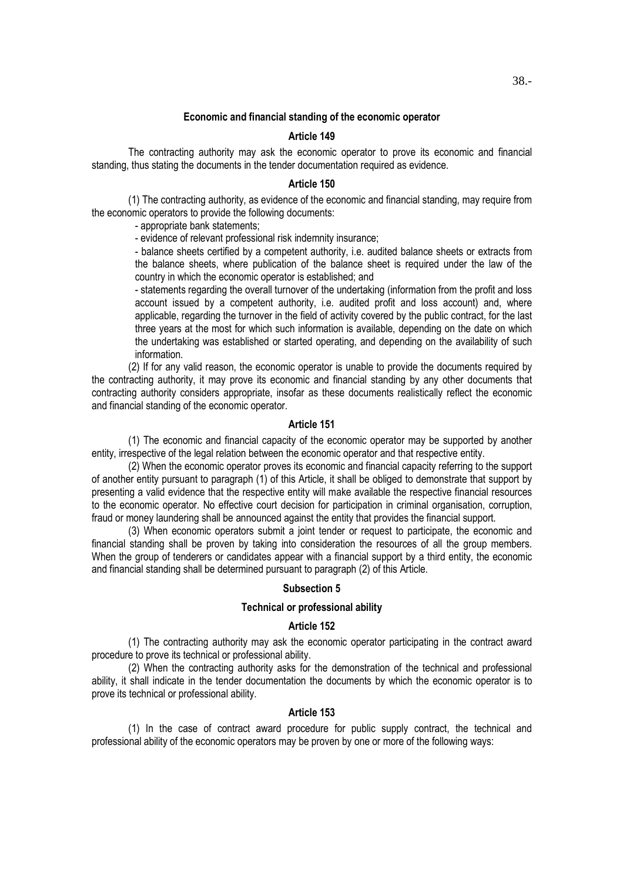## Economic and financial standing of the economic operator

# Article 149

The contracting authority may ask the economic operator to prove its economic and financial standing, thus stating the documents in the tender documentation required as evidence.

# Article 150

(1) The contracting authority, as evidence of the economic and financial standing, may require from the economic operators to provide the following documents:

- appropriate bank statements;

- evidence of relevant professional risk indemnity insurance;

- balance sheets certified by a competent authority, i.e. audited balance sheets or extracts from the balance sheets, where publication of the balance sheet is required under the law of the country in which the economic operator is established; and

- statements regarding the overall turnover of the undertaking (information from the profit and loss account issued by a competent authority, i.e. audited profit and loss account) and, where applicable, regarding the turnover in the field of activity covered by the public contract, for the last three years at the most for which such information is available, depending on the date on which the undertaking was established or started operating, and depending on the availability of such information.

(2) If for any valid reason, the economic operator is unable to provide the documents required by the contracting authority, it may prove its economic and financial standing by any other documents that contracting authority considers appropriate, insofar as these documents realistically reflect the economic and financial standing of the economic operator.

# Article 151

(1) The economic and financial capacity of the economic operator may be supported by another entity, irrespective of the legal relation between the economic operator and that respective entity.

(2) When the economic operator proves its economic and financial capacity referring to the support of another entity pursuant to paragraph (1) of this Article, it shall be obliged to demonstrate that support by presenting a valid evidence that the respective entity will make available the respective financial resources to the economic operator. No effective court decision for participation in criminal organisation, corruption, fraud or money laundering shall be announced against the entity that provides the financial support.

(3) When economic operators submit a joint tender or request to participate, the economic and financial standing shall be proven by taking into consideration the resources of all the group members. When the group of tenderers or candidates appear with a financial support by a third entity, the economic and financial standing shall be determined pursuant to paragraph (2) of this Article.

### Subsection 5

#### Technical or professional ability

# Article 152

(1) The contracting authority may ask the economic operator participating in the contract award procedure to prove its technical or professional ability.

(2) When the contracting authority asks for the demonstration of the technical and professional ability, it shall indicate in the tender documentation the documents by which the economic operator is to prove its technical or professional ability.

## Article 153

(1) In the case of contract award procedure for public supply contract, the technical and professional ability of the economic operators may be proven by one or more of the following ways: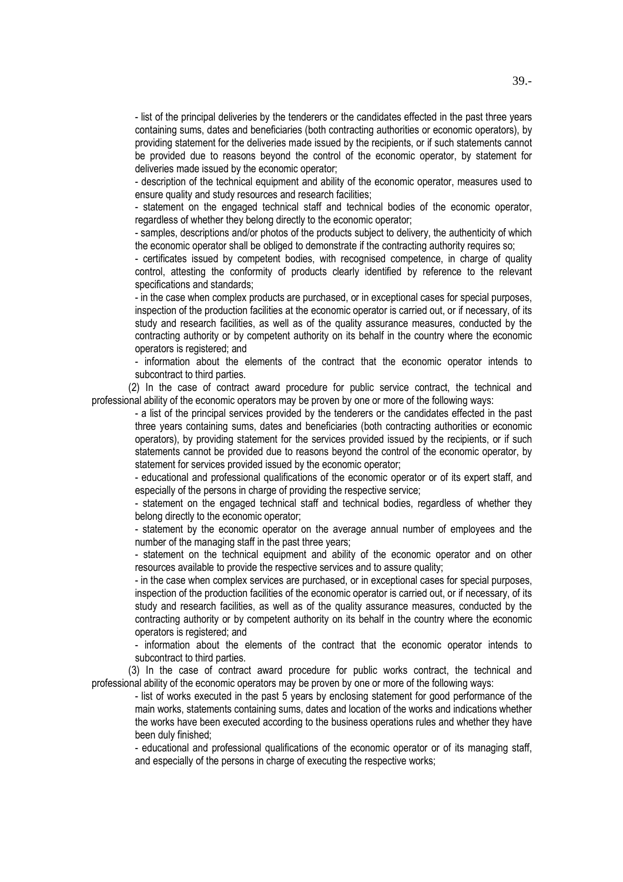- list of the principal deliveries by the tenderers or the candidates effected in the past three years containing sums, dates and beneficiaries (both contracting authorities or economic operators), by providing statement for the deliveries made issued by the recipients, or if such statements cannot be provided due to reasons beyond the control of the economic operator, by statement for deliveries made issued by the economic operator;

- description of the technical equipment and ability of the economic operator, measures used to ensure quality and study resources and research facilities;

- statement on the engaged technical staff and technical bodies of the economic operator, regardless of whether they belong directly to the economic operator;

- samples, descriptions and/or photos of the products subject to delivery, the authenticity of which the economic operator shall be obliged to demonstrate if the contracting authority requires so;

- certificates issued by competent bodies, with recognised competence, in charge of quality control, attesting the conformity of products clearly identified by reference to the relevant specifications and standards;

- in the case when complex products are purchased, or in exceptional cases for special purposes, inspection of the production facilities at the economic operator is carried out, or if necessary, of its study and research facilities, as well as of the quality assurance measures, conducted by the contracting authority or by competent authority on its behalf in the country where the economic operators is registered; and

- information about the elements of the contract that the economic operator intends to subcontract to third parties.

(2) In the case of contract award procedure for public service contract, the technical and professional ability of the economic operators may be proven by one or more of the following ways:

- a list of the principal services provided by the tenderers or the candidates effected in the past three years containing sums, dates and beneficiaries (both contracting authorities or economic operators), by providing statement for the services provided issued by the recipients, or if such statements cannot be provided due to reasons beyond the control of the economic operator, by statement for services provided issued by the economic operator;

- educational and professional qualifications of the economic operator or of its expert staff, and especially of the persons in charge of providing the respective service;

- statement on the engaged technical staff and technical bodies, regardless of whether they belong directly to the economic operator;

- statement by the economic operator on the average annual number of employees and the number of the managing staff in the past three years;

- statement on the technical equipment and ability of the economic operator and on other resources available to provide the respective services and to assure quality;

- in the case when complex services are purchased, or in exceptional cases for special purposes, inspection of the production facilities of the economic operator is carried out, or if necessary, of its study and research facilities, as well as of the quality assurance measures, conducted by the contracting authority or by competent authority on its behalf in the country where the economic operators is registered; and

- information about the elements of the contract that the economic operator intends to subcontract to third parties.

(3) In the case of contract award procedure for public works contract, the technical and professional ability of the economic operators may be proven by one or more of the following ways:

- list of works executed in the past 5 years by enclosing statement for good performance of the main works, statements containing sums, dates and location of the works and indications whether the works have been executed according to the business operations rules and whether they have been duly finished;

- educational and professional qualifications of the economic operator or of its managing staff, and especially of the persons in charge of executing the respective works;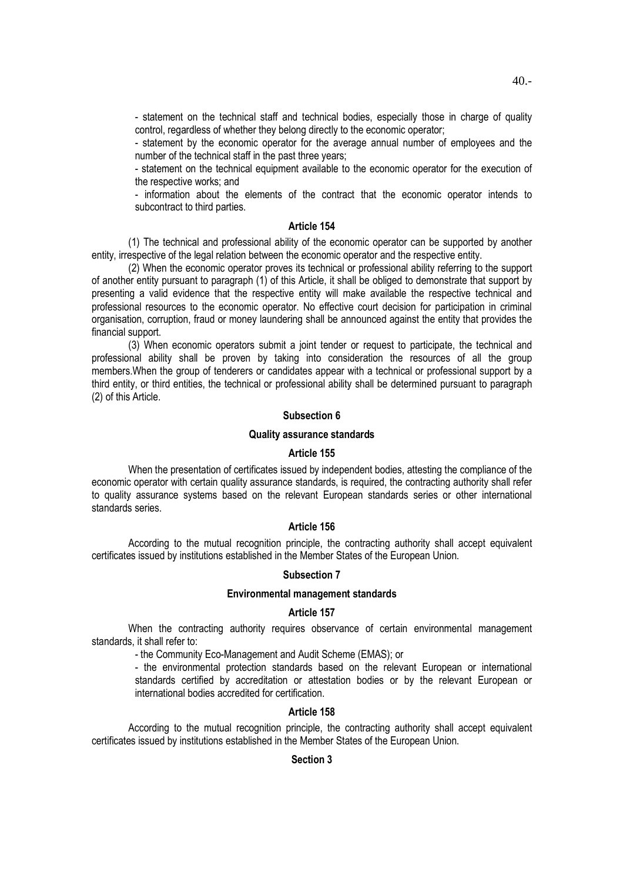- statement on the technical staff and technical bodies, especially those in charge of quality control, regardless of whether they belong directly to the economic operator;

- statement by the economic operator for the average annual number of employees and the number of the technical staff in the past three years;

- statement on the technical equipment available to the economic operator for the execution of the respective works; and

- information about the elements of the contract that the economic operator intends to subcontract to third parties.

#### Article 154

(1) The technical and professional ability of the economic operator can be supported by another entity, irrespective of the legal relation between the economic operator and the respective entity.

(2) When the economic operator proves its technical or professional ability referring to the support of another entity pursuant to paragraph (1) of this Article, it shall be obliged to demonstrate that support by presenting a valid evidence that the respective entity will make available the respective technical and professional resources to the economic operator. No effective court decision for participation in criminal organisation, corruption, fraud or money laundering shall be announced against the entity that provides the financial support.

(3) When economic operators submit a joint tender or request to participate, the technical and professional ability shall be proven by taking into consideration the resources of all the group members.When the group of tenderers or candidates appear with a technical or professional support by a third entity, or third entities, the technical or professional ability shall be determined pursuant to paragraph (2) of this Article.

### Subsection 6

### Quality assurance standards

### Article 155

When the presentation of certificates issued by independent bodies, attesting the compliance of the economic operator with certain quality assurance standards, is required, the contracting authority shall refer to quality assurance systems based on the relevant European standards series or other international standards series.

# Article 156

According to the mutual recognition principle, the contracting authority shall accept equivalent certificates issued by institutions established in the Member States of the European Union.

### Subsection 7

#### Environmental management standards

# Article 157

When the contracting authority requires observance of certain environmental management standards, it shall refer to:

- the Community Eco-Management and Audit Scheme (EMAS); or

- the environmental protection standards based on the relevant European or international standards certified by accreditation or attestation bodies or by the relevant European or international bodies accredited for certification.

# Article 158

According to the mutual recognition principle, the contracting authority shall accept equivalent certificates issued by institutions established in the Member States of the European Union.

### Section 3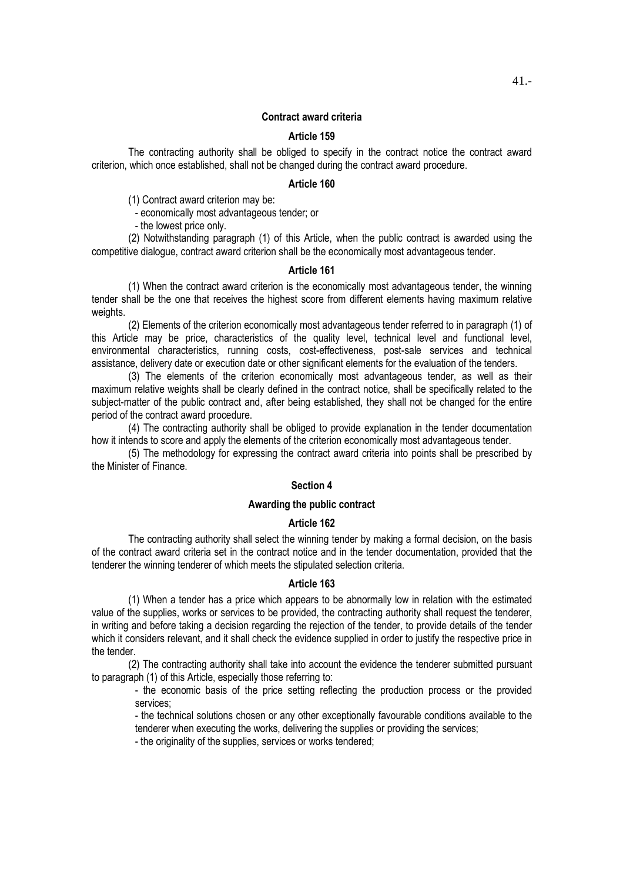#### Contract award criteria

# Article 159

The contracting authority shall be obliged to specify in the contract notice the contract award criterion, which once established, shall not be changed during the contract award procedure.

## Article 160

(1) Contract award criterion may be:

- economically most advantageous tender; or

- the lowest price only.

(2) Notwithstanding paragraph (1) of this Article, when the public contract is awarded using the competitive dialogue, contract award criterion shall be the economically most advantageous tender.

### Article 161

(1) When the contract award criterion is the economically most advantageous tender, the winning tender shall be the one that receives the highest score from different elements having maximum relative weights.

(2) Elements of the criterion economically most advantageous tender referred to in paragraph (1) of this Article may be price, characteristics of the quality level, technical level and functional level, environmental characteristics, running costs, cost-effectiveness, post-sale services and technical assistance, delivery date or execution date or other significant elements for the evaluation of the tenders.

(3) The elements of the criterion economically most advantageous tender, as well as their maximum relative weights shall be clearly defined in the contract notice, shall be specifically related to the subject-matter of the public contract and, after being established, they shall not be changed for the entire period of the contract award procedure.

(4) The contracting authority shall be obliged to provide explanation in the tender documentation how it intends to score and apply the elements of the criterion economically most advantageous tender.

(5) The methodology for expressing the contract award criteria into points shall be prescribed by the Minister of Finance.

### Section 4

# Awarding the public contract

# Article 162

The contracting authority shall select the winning tender by making a formal decision, on the basis of the contract award criteria set in the contract notice and in the tender documentation, provided that the tenderer the winning tenderer of which meets the stipulated selection criteria.

### Article 163

(1) When a tender has a price which appears to be abnormally low in relation with the estimated value of the supplies, works or services to be provided, the contracting authority shall request the tenderer, in writing and before taking a decision regarding the rejection of the tender, to provide details of the tender which it considers relevant, and it shall check the evidence supplied in order to justify the respective price in the tender.

(2) The contracting authority shall take into account the evidence the tenderer submitted pursuant to paragraph (1) of this Article, especially those referring to:

- the economic basis of the price setting reflecting the production process or the provided services;

- the technical solutions chosen or any other exceptionally favourable conditions available to the tenderer when executing the works, delivering the supplies or providing the services;

- the originality of the supplies, services or works tendered;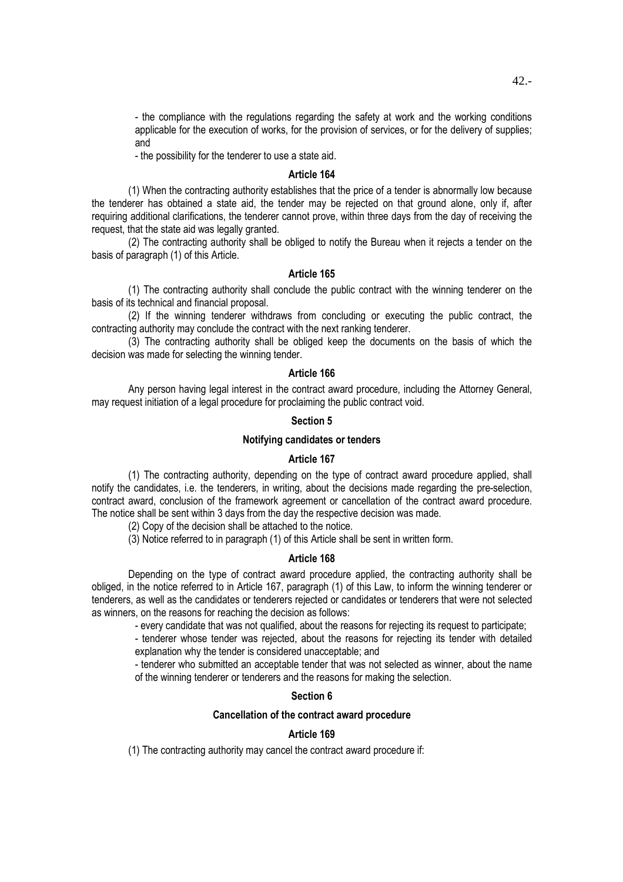- the possibility for the tenderer to use a state aid.

### Article 164

(1) When the contracting authority establishes that the price of a tender is abnormally low because the tenderer has obtained a state aid, the tender may be rejected on that ground alone, only if, after requiring additional clarifications, the tenderer cannot prove, within three days from the day of receiving the request, that the state aid was legally granted.

(2) The contracting authority shall be obliged to notify the Bureau when it rejects a tender on the basis of paragraph (1) of this Article.

## Article 165

(1) The contracting authority shall conclude the public contract with the winning tenderer on the basis of its technical and financial proposal.

(2) If the winning tenderer withdraws from concluding or executing the public contract, the contracting authority may conclude the contract with the next ranking tenderer.

(3) The contracting authority shall be obliged keep the documents on the basis of which the decision was made for selecting the winning tender.

### Article 166

Any person having legal interest in the contract award procedure, including the Attorney General, may request initiation of a legal procedure for proclaiming the public contract void.

# Section 5

#### Notifying candidates or tenders

## Article 167

(1) The contracting authority, depending on the type of contract award procedure applied, shall notify the candidates, i.e. the tenderers, in writing, about the decisions made regarding the pre-selection, contract award, conclusion of the framework agreement or cancellation of the contract award procedure. The notice shall be sent within 3 days from the day the respective decision was made.

(2) Copy of the decision shall be attached to the notice.

(3) Notice referred to in paragraph (1) of this Article shall be sent in written form.

## Article 168

Depending on the type of contract award procedure applied, the contracting authority shall be obliged, in the notice referred to in Article 167, paragraph (1) of this Law, to inform the winning tenderer or tenderers, as well as the candidates or tenderers rejected or candidates or tenderers that were not selected as winners, on the reasons for reaching the decision as follows:

- every candidate that was not qualified, about the reasons for rejecting its request to participate;

- tenderer whose tender was rejected, about the reasons for rejecting its tender with detailed explanation why the tender is considered unacceptable; and

- tenderer who submitted an acceptable tender that was not selected as winner, about the name of the winning tenderer or tenderers and the reasons for making the selection.

#### Section 6

## Cancellation of the contract award procedure

#### Article 169

(1) The contracting authority may cancel the contract award procedure if: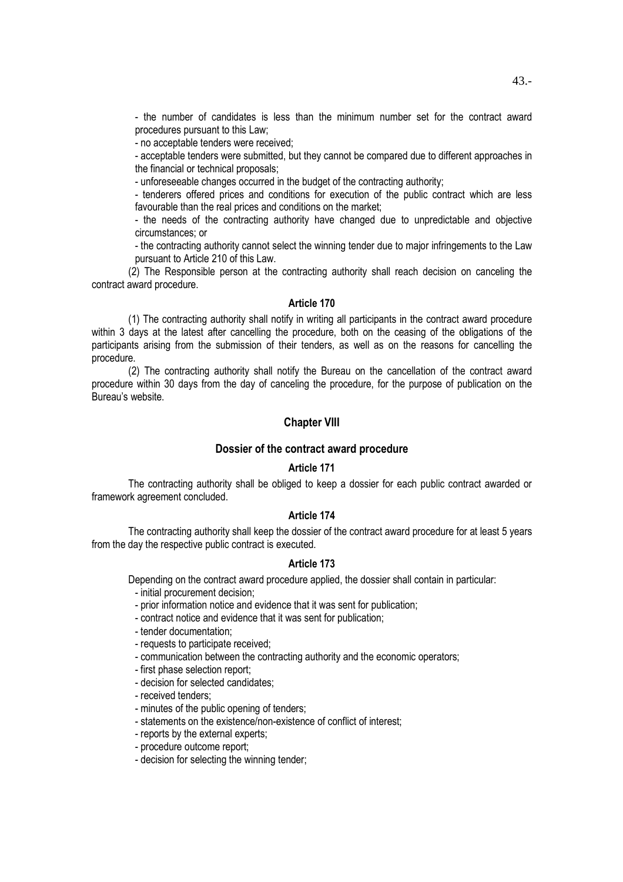- the number of candidates is less than the minimum number set for the contract award procedures pursuant to this Law;

- no acceptable tenders were received;

- acceptable tenders were submitted, but they cannot be compared due to different approaches in the financial or technical proposals;

- unforeseeable changes occurred in the budget of the contracting authority;

- tenderers offered prices and conditions for execution of the public contract which are less favourable than the real prices and conditions on the market;

- the needs of the contracting authority have changed due to unpredictable and objective circumstances; or

- the contracting authority cannot select the winning tender due to major infringements to the Law pursuant to Article 210 of this Law.

(2) The Responsible person at the contracting authority shall reach decision on canceling the contract award procedure.

## Article 170

(1) The contracting authority shall notify in writing all participants in the contract award procedure within 3 days at the latest after cancelling the procedure, both on the ceasing of the obligations of the participants arising from the submission of their tenders, as well as on the reasons for cancelling the procedure.

(2) The contracting authority shall notify the Bureau on the cancellation of the contract award procedure within 30 days from the day of canceling the procedure, for the purpose of publication on the Bureau's website.

# Chapter VIII

### Dossier of the contract award procedure

# Article 171

The contracting authority shall be obliged to keep a dossier for each public contract awarded or framework agreement concluded.

# Article 174

The contracting authority shall keep the dossier of the contract award procedure for at least 5 years from the day the respective public contract is executed.

### Article 173

Depending on the contract award procedure applied, the dossier shall contain in particular:

- initial procurement decision;
- prior information notice and evidence that it was sent for publication;
- contract notice and evidence that it was sent for publication;
- tender documentation;
- requests to participate received;
- communication between the contracting authority and the economic operators;
- first phase selection report;
- decision for selected candidates;
- received tenders;
- minutes of the public opening of tenders;
- statements on the existence/non-existence of conflict of interest;
- reports by the external experts;
- procedure outcome report;
- decision for selecting the winning tender;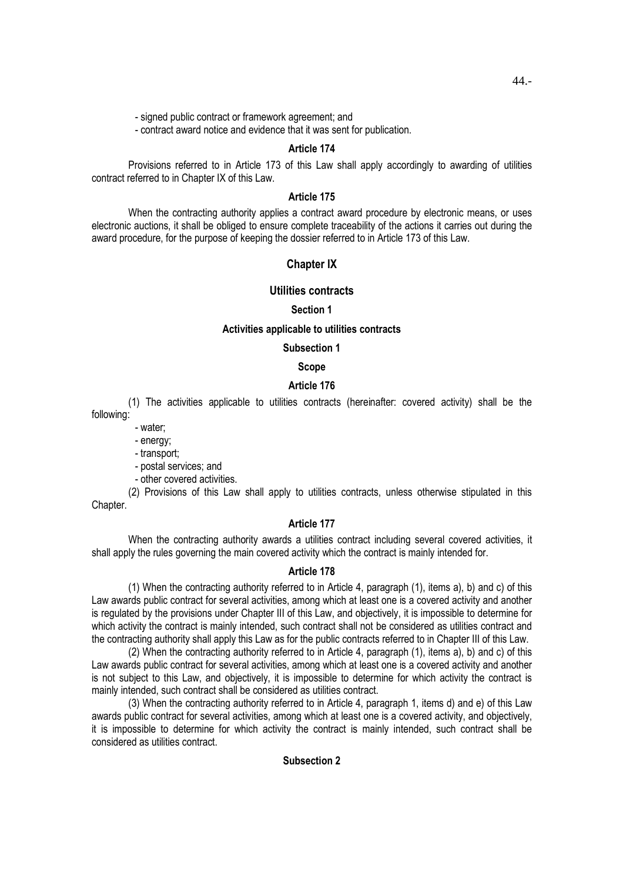- signed public contract or framework agreement; and

- contract award notice and evidence that it was sent for publication.

### Article 174

Provisions referred to in Article 173 of this Law shall apply accordingly to awarding of utilities contract referred to in Chapter IX of this Law.

### Article 175

When the contracting authority applies a contract award procedure by electronic means, or uses electronic auctions, it shall be obliged to ensure complete traceability of the actions it carries out during the award procedure, for the purpose of keeping the dossier referred to in Article 173 of this Law.

## Chapter IX

### Utilities contracts

### Section 1

## Activities applicable to utilities contracts

#### Subsection 1

# Scope

# Article 176

(1) The activities applicable to utilities contracts (hereinafter: covered activity) shall be the following:

- water;

- energy;
- transport;
- postal services; and
- other covered activities.

(2) Provisions of this Law shall apply to utilities contracts, unless otherwise stipulated in this Chapter.

## Article 177

When the contracting authority awards a utilities contract including several covered activities, it shall apply the rules governing the main covered activity which the contract is mainly intended for.

### Article 178

(1) When the contracting authority referred to in Article 4, paragraph (1), items a), b) and c) of this Law awards public contract for several activities, among which at least one is a covered activity and another is regulated by the provisions under Chapter III of this Law, and objectively, it is impossible to determine for which activity the contract is mainly intended, such contract shall not be considered as utilities contract and the contracting authority shall apply this Law as for the public contracts referred to in Chapter III of this Law.

(2) When the contracting authority referred to in Article 4, paragraph (1), items a), b) and c) of this Law awards public contract for several activities, among which at least one is a covered activity and another is not subject to this Law, and objectively, it is impossible to determine for which activity the contract is mainly intended, such contract shall be considered as utilities contract.

(3) When the contracting authority referred to in Article 4, paragraph 1, items d) and e) of this Law awards public contract for several activities, among which at least one is a covered activity, and objectively, it is impossible to determine for which activity the contract is mainly intended, such contract shall be considered as utilities contract.

# Subsection 2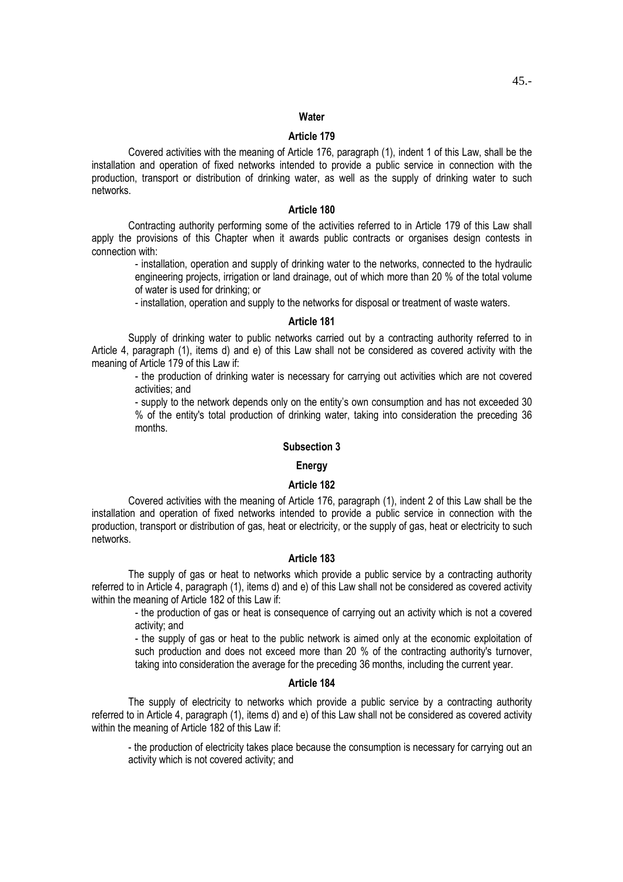### **Water**

# Article 179

Covered activities with the meaning of Article 176, paragraph (1), indent 1 of this Law, shall be the installation and operation of fixed networks intended to provide a public service in connection with the production, transport or distribution of drinking water, as well as the supply of drinking water to such networks.

## Article 180

Contracting authority performing some of the activities referred to in Article 179 of this Law shall apply the provisions of this Chapter when it awards public contracts or organises design contests in connection with:

- installation, operation and supply of drinking water to the networks, connected to the hydraulic engineering projects, irrigation or land drainage, out of which more than 20 % of the total volume of water is used for drinking; or

- installation, operation and supply to the networks for disposal or treatment of waste waters.

#### Article 181

Supply of drinking water to public networks carried out by a contracting authority referred to in Article 4, paragraph (1), items d) and e) of this Law shall not be considered as covered activity with the meaning of Article 179 of this Law if:

- the production of drinking water is necessary for carrying out activities which are not covered activities; and

- supply to the network depends only on the entity's own consumption and has not exceeded 30 % of the entity's total production of drinking water, taking into consideration the preceding 36 months.

## Subsection 3

### **Energy**

#### Article 182

Covered activities with the meaning of Article 176, paragraph (1), indent 2 of this Law shall be the installation and operation of fixed networks intended to provide a public service in connection with the production, transport or distribution of gas, heat or electricity, or the supply of gas, heat or electricity to such networks.

### Article 183

The supply of gas or heat to networks which provide a public service by a contracting authority referred to in Article 4, paragraph (1), items d) and e) of this Law shall not be considered as covered activity within the meaning of Article 182 of this Law if:

- the production of gas or heat is consequence of carrying out an activity which is not a covered activity; and

- the supply of gas or heat to the public network is aimed only at the economic exploitation of such production and does not exceed more than 20 % of the contracting authority's turnover. taking into consideration the average for the preceding 36 months, including the current year.

## Article 184

The supply of electricity to networks which provide a public service by a contracting authority referred to in Article 4, paragraph (1), items d) and e) of this Law shall not be considered as covered activity within the meaning of Article 182 of this Law if:

- the production of electricity takes place because the consumption is necessary for carrying out an activity which is not covered activity; and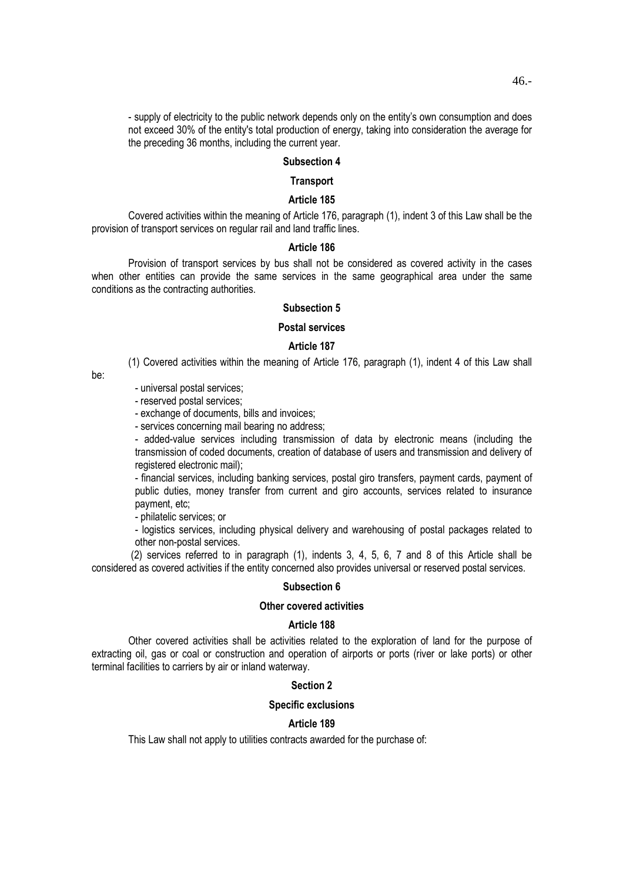- supply of electricity to the public network depends only on the entity's own consumption and does not exceed 30% of the entity's total production of energy, taking into consideration the average for the preceding 36 months, including the current year.

#### Subsection 4

#### **Transport**

### Article 185

Covered activities within the meaning of Article 176, paragraph (1), indent 3 of this Law shall be the provision of transport services on regular rail and land traffic lines.

### Article 186

Provision of transport services by bus shall not be considered as covered activity in the cases when other entities can provide the same services in the same geographical area under the same conditions as the contracting authorities.

#### Subsection 5

#### Postal services

### Article 187

(1) Covered activities within the meaning of Article 176, paragraph (1), indent 4 of this Law shall

be:

- universal postal services;

- reserved postal services;

- exchange of documents, bills and invoices;

- services concerning mail bearing no address;

- added-value services including transmission of data by electronic means (including the transmission of coded documents, creation of database of users and transmission and delivery of registered electronic mail);

- financial services, including banking services, postal giro transfers, payment cards, payment of public duties, money transfer from current and giro accounts, services related to insurance payment, etc;

- philatelic services; or

- logistics services, including physical delivery and warehousing of postal packages related to other non-postal services.

 (2) services referred to in paragraph (1), indents 3, 4, 5, 6, 7 and 8 of this Article shall be considered as covered activities if the entity concerned also provides universal or reserved postal services.

## Subsection 6

# Other covered activities

# Article 188

Other covered activities shall be activities related to the exploration of land for the purpose of extracting oil, gas or coal or construction and operation of airports or ports (river or lake ports) or other terminal facilities to carriers by air or inland waterway.

# Section 2

### Specific exclusions

#### Article 189

This Law shall not apply to utilities contracts awarded for the purchase of: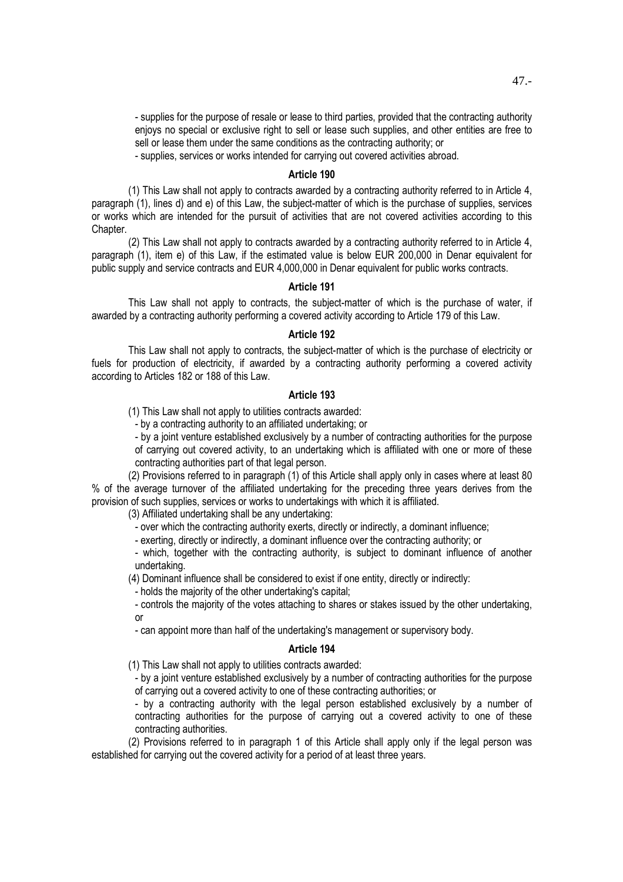- supplies for the purpose of resale or lease to third parties, provided that the contracting authority enjoys no special or exclusive right to sell or lease such supplies, and other entities are free to sell or lease them under the same conditions as the contracting authority; or

- supplies, services or works intended for carrying out covered activities abroad.

### Article 190

(1) This Law shall not apply to contracts awarded by a contracting authority referred to in Article 4, paragraph (1), lines d) and e) of this Law, the subject-matter of which is the purchase of supplies, services or works which are intended for the pursuit of activities that are not covered activities according to this Chapter.

(2) This Law shall not apply to contracts awarded by a contracting authority referred to in Article 4, paragraph (1), item e) of this Law, if the estimated value is below EUR 200,000 in Denar equivalent for public supply and service contracts and EUR 4,000,000 in Denar equivalent for public works contracts.

### Article 191

This Law shall not apply to contracts, the subject-matter of which is the purchase of water, if awarded by a contracting authority performing a covered activity according to Article 179 of this Law.

### Article 192

This Law shall not apply to contracts, the subject-matter of which is the purchase of electricity or fuels for production of electricity, if awarded by a contracting authority performing a covered activity according to Articles 182 or 188 of this Law.

### Article 193

(1) This Law shall not apply to utilities contracts awarded:

- by a contracting authority to an affiliated undertaking; or

- by a joint venture established exclusively by a number of contracting authorities for the purpose of carrying out covered activity, to an undertaking which is affiliated with one or more of these

contracting authorities part of that legal person.

(2) Provisions referred to in paragraph (1) of this Article shall apply only in cases where at least 80 % of the average turnover of the affiliated undertaking for the preceding three years derives from the provision of such supplies, services or works to undertakings with which it is affiliated.

(3) Affiliated undertaking shall be any undertaking:

- over which the contracting authority exerts, directly or indirectly, a dominant influence;

- exerting, directly or indirectly, a dominant influence over the contracting authority; or

- which, together with the contracting authority, is subject to dominant influence of another undertaking.

(4) Dominant influence shall be considered to exist if one entity, directly or indirectly:

- holds the majority of the other undertaking's capital;

- controls the majority of the votes attaching to shares or stakes issued by the other undertaking, or

- can appoint more than half of the undertaking's management or supervisory body.

## Article 194

(1) This Law shall not apply to utilities contracts awarded:

- by a joint venture established exclusively by a number of contracting authorities for the purpose of carrying out a covered activity to one of these contracting authorities; or

- by a contracting authority with the legal person established exclusively by a number of contracting authorities for the purpose of carrying out a covered activity to one of these contracting authorities.

(2) Provisions referred to in paragraph 1 of this Article shall apply only if the legal person was established for carrying out the covered activity for a period of at least three years.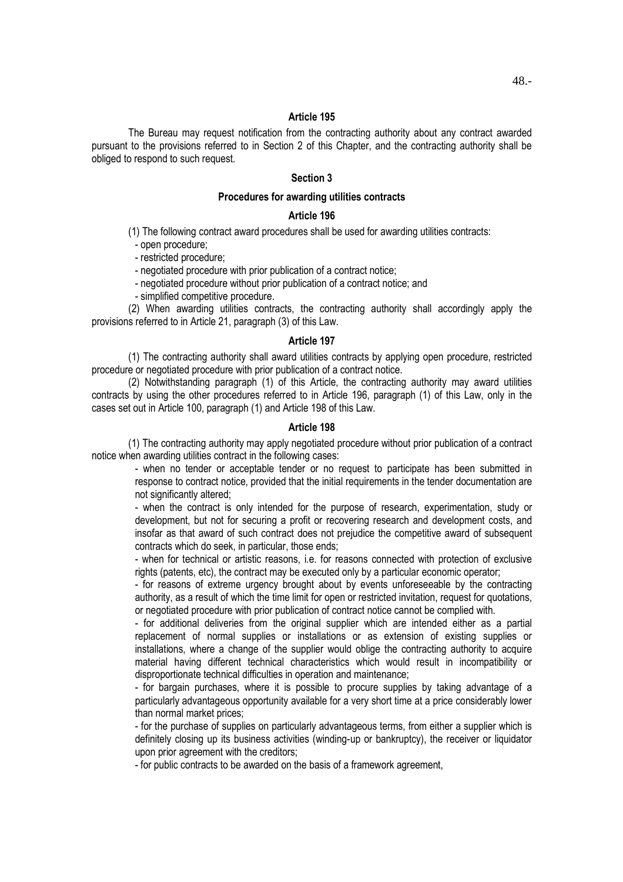#### Article 195

The Bureau may request notification from the contracting authority about any contract awarded pursuant to the provisions referred to in Section 2 of this Chapter, and the contracting authority shall be obliged to respond to such request.

# Section 3

### Procedures for awarding utilities contracts

## Article 196

(1) The following contract award procedures shall be used for awarding utilities contracts:

- open procedure;

- restricted procedure;

- negotiated procedure with prior publication of a contract notice;

- negotiated procedure without prior publication of a contract notice; and

- simplified competitive procedure.

(2) When awarding utilities contracts, the contracting authority shall accordingly apply the provisions referred to in Article 21, paragraph (3) of this Law.

#### Article 197

(1) The contracting authority shall award utilities contracts by applying open procedure, restricted procedure or negotiated procedure with prior publication of a contract notice.

(2) Notwithstanding paragraph (1) of this Article, the contracting authority may award utilities contracts by using the other procedures referred to in Article 196, paragraph (1) of this Law, only in the cases set out in Article 100, paragraph (1) and Article 198 of this Law.

### Article 198

(1) The contracting authority may apply negotiated procedure without prior publication of a contract notice when awarding utilities contract in the following cases:

- when no tender or acceptable tender or no request to participate has been submitted in response to contract notice, provided that the initial requirements in the tender documentation are not significantly altered:

- when the contract is only intended for the purpose of research, experimentation, study or development, but not for securing a profit or recovering research and development costs, and insofar as that award of such contract does not prejudice the competitive award of subsequent contracts which do seek, in particular, those ends;

- when for technical or artistic reasons, i.e. for reasons connected with protection of exclusive rights (patents, etc), the contract may be executed only by a particular economic operator;

- for reasons of extreme urgency brought about by events unforeseeable by the contracting authority, as a result of which the time limit for open or restricted invitation, request for quotations, or negotiated procedure with prior publication of contract notice cannot be complied with.

- for additional deliveries from the original supplier which are intended either as a partial replacement of normal supplies or installations or as extension of existing supplies or installations, where a change of the supplier would oblige the contracting authority to acquire material having different technical characteristics which would result in incompatibility or disproportionate technical difficulties in operation and maintenance;

- for bargain purchases, where it is possible to procure supplies by taking advantage of a particularly advantageous opportunity available for a very short time at a price considerably lower than normal market prices;

- for the purchase of supplies on particularly advantageous terms, from either a supplier which is definitely closing up its business activities (winding-up or bankruptcy), the receiver or liquidator upon prior agreement with the creditors;

- for public contracts to be awarded on the basis of a framework agreement,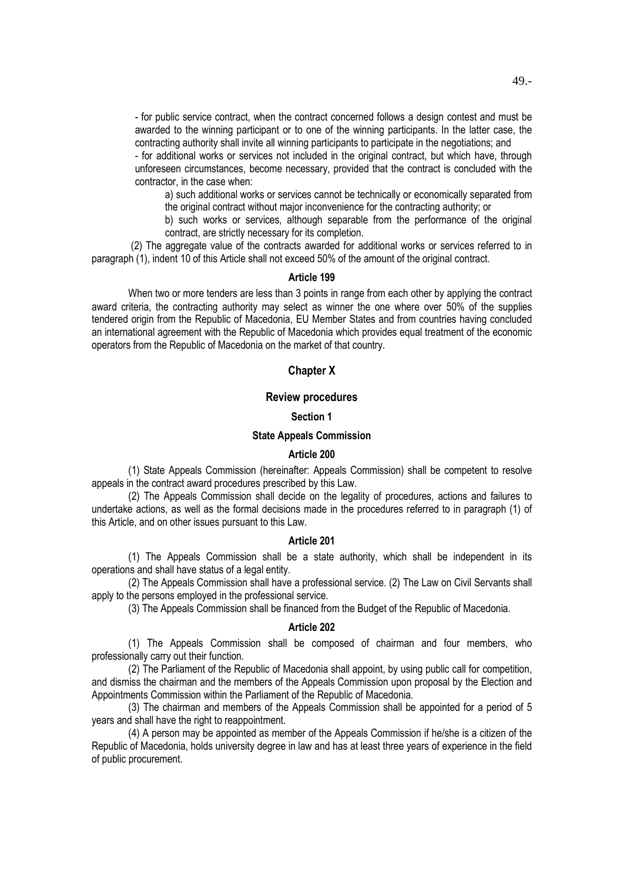- for public service contract, when the contract concerned follows a design contest and must be awarded to the winning participant or to one of the winning participants. In the latter case, the contracting authority shall invite all winning participants to participate in the negotiations; and

- for additional works or services not included in the original contract, but which have, through unforeseen circumstances, become necessary, provided that the contract is concluded with the contractor, in the case when:

a) such additional works or services cannot be technically or economically separated from the original contract without major inconvenience for the contracting authority; or

b) such works or services, although separable from the performance of the original contract, are strictly necessary for its completion.

 (2) The aggregate value of the contracts awarded for additional works or services referred to in paragraph (1), indent 10 of this Article shall not exceed 50% of the amount of the original contract.

## Article 199

When two or more tenders are less than 3 points in range from each other by applying the contract award criteria, the contracting authority may select as winner the one where over 50% of the supplies tendered origin from the Republic of Macedonia, EU Member States and from countries having concluded an international agreement with the Republic of Macedonia which provides equal treatment of the economic operators from the Republic of Macedonia on the market of that country.

# Chapter X

### Review procedures

#### Section 1

# State Appeals Commission

#### Article 200

(1) State Appeals Commission (hereinafter: Appeals Commission) shall be competent to resolve appeals in the contract award procedures prescribed by this Law.

(2) The Appeals Commission shall decide on the legality of procedures, actions and failures to undertake actions, as well as the formal decisions made in the procedures referred to in paragraph (1) of this Article, and on other issues pursuant to this Law.

#### Article 201

(1) The Appeals Commission shall be a state authority, which shall be independent in its operations and shall have status of a legal entity.

(2) The Appeals Commission shall have a professional service. (2) The Law on Civil Servants shall apply to the persons employed in the professional service.

(3) The Appeals Commission shall be financed from the Budget of the Republic of Macedonia.

### Article 202

(1) The Appeals Commission shall be composed of chairman and four members, who professionally carry out their function.

(2) The Parliament of the Republic of Macedonia shall appoint, by using public call for competition, and dismiss the chairman and the members of the Appeals Commission upon proposal by the Election and Appointments Commission within the Parliament of the Republic of Macedonia.

(3) The chairman and members of the Appeals Commission shall be appointed for a period of 5 years and shall have the right to reappointment.

(4) A person may be appointed as member of the Appeals Commission if he/she is a citizen of the Republic of Macedonia, holds university degree in law and has at least three years of experience in the field of public procurement.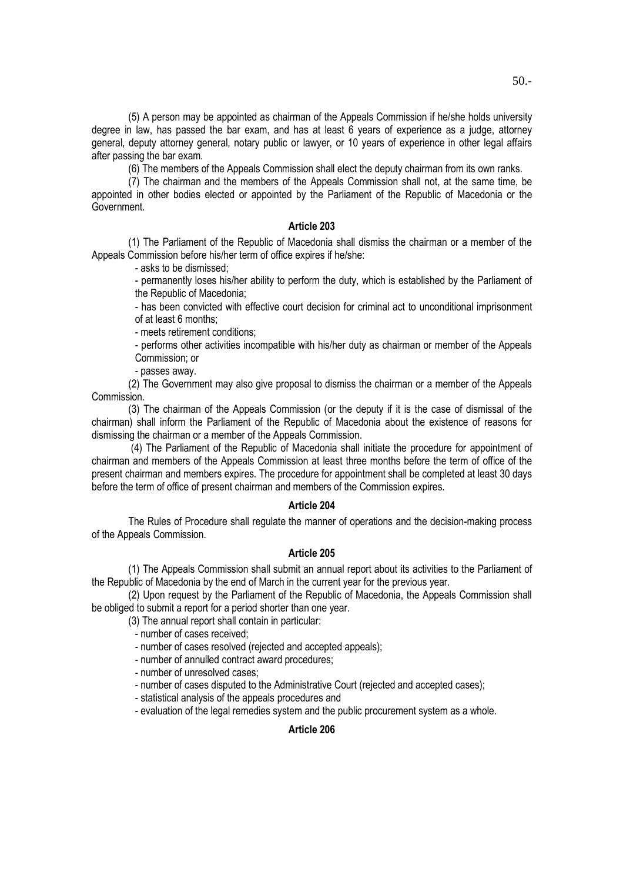(5) A person may be appointed as chairman of the Appeals Commission if he/she holds university degree in law, has passed the bar exam, and has at least 6 years of experience as a judge, attorney general, deputy attorney general, notary public or lawyer, or 10 years of experience in other legal affairs after passing the bar exam.

(6) The members of the Appeals Commission shall elect the deputy chairman from its own ranks.

(7) The chairman and the members of the Appeals Commission shall not, at the same time, be appointed in other bodies elected or appointed by the Parliament of the Republic of Macedonia or the Government.

## Article 203

(1) The Parliament of the Republic of Macedonia shall dismiss the chairman or a member of the Appeals Commission before his/her term of office expires if he/she:

- asks to be dismissed;

- permanently loses his/her ability to perform the duty, which is established by the Parliament of the Republic of Macedonia;

- has been convicted with effective court decision for criminal act to unconditional imprisonment of at least 6 months;

- meets retirement conditions;

- performs other activities incompatible with his/her duty as chairman or member of the Appeals Commission; or

- passes away.

(2) The Government may also give proposal to dismiss the chairman or a member of the Appeals Commission.

(3) The chairman of the Appeals Commission (or the deputy if it is the case of dismissal of the chairman) shall inform the Parliament of the Republic of Macedonia about the existence of reasons for dismissing the chairman or a member of the Appeals Commission.

 (4) The Parliament of the Republic of Macedonia shall initiate the procedure for appointment of chairman and members of the Appeals Commission at least three months before the term of office of the present chairman and members expires. The procedure for appointment shall be completed at least 30 days before the term of office of present chairman and members of the Commission expires.

# Article 204

The Rules of Procedure shall regulate the manner of operations and the decision-making process of the Appeals Commission.

# Article 205

(1) The Appeals Commission shall submit an annual report about its activities to the Parliament of the Republic of Macedonia by the end of March in the current year for the previous year.

(2) Upon request by the Parliament of the Republic of Macedonia, the Appeals Commission shall be obliged to submit a report for a period shorter than one year.

(3) The annual report shall contain in particular:

- number of cases received;

- number of cases resolved (rejected and accepted appeals);

- number of annulled contract award procedures;
- number of unresolved cases;
- number of cases disputed to the Administrative Court (rejected and accepted cases);
- statistical analysis of the appeals procedures and

- evaluation of the legal remedies system and the public procurement system as a whole.

# Article 206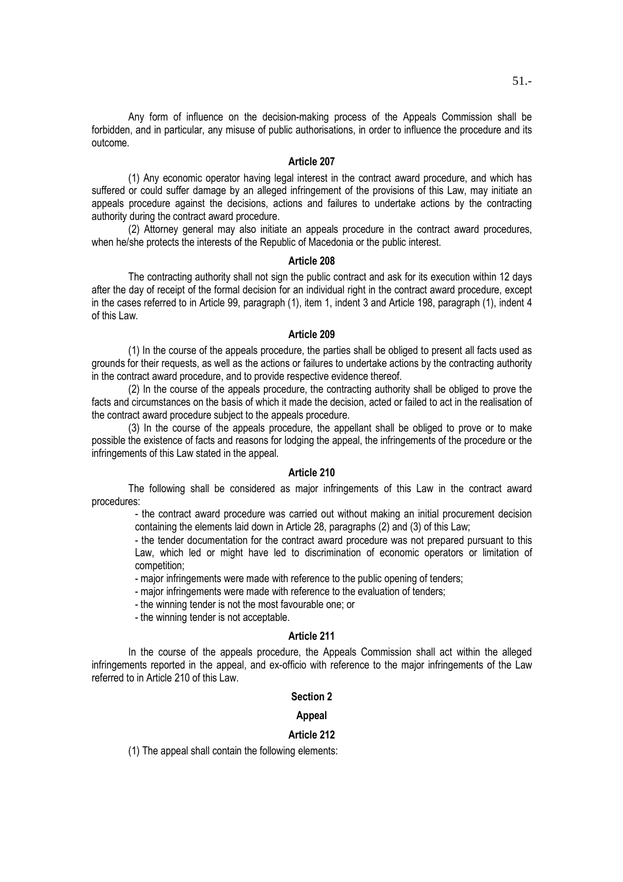Any form of influence on the decision-making process of the Appeals Commission shall be forbidden, and in particular, any misuse of public authorisations, in order to influence the procedure and its outcome.

## Article 207

(1) Any economic operator having legal interest in the contract award procedure, and which has suffered or could suffer damage by an alleged infringement of the provisions of this Law, may initiate an appeals procedure against the decisions, actions and failures to undertake actions by the contracting authority during the contract award procedure.

(2) Attorney general may also initiate an appeals procedure in the contract award procedures, when he/she protects the interests of the Republic of Macedonia or the public interest.

# Article 208

The contracting authority shall not sign the public contract and ask for its execution within 12 days after the day of receipt of the formal decision for an individual right in the contract award procedure, except in the cases referred to in Article 99, paragraph (1), item 1, indent 3 and Article 198, paragraph (1), indent 4 of this Law.

### Article 209

(1) In the course of the appeals procedure, the parties shall be obliged to present all facts used as grounds for their requests, as well as the actions or failures to undertake actions by the contracting authority in the contract award procedure, and to provide respective evidence thereof.

(2) In the course of the appeals procedure, the contracting authority shall be obliged to prove the facts and circumstances on the basis of which it made the decision, acted or failed to act in the realisation of the contract award procedure subject to the appeals procedure.

(3) In the course of the appeals procedure, the appellant shall be obliged to prove or to make possible the existence of facts and reasons for lodging the appeal, the infringements of the procedure or the infringements of this Law stated in the appeal.

## Article 210

The following shall be considered as major infringements of this Law in the contract award procedures:

- the contract award procedure was carried out without making an initial procurement decision containing the elements laid down in Article 28, paragraphs (2) and (3) of this Law;

- the tender documentation for the contract award procedure was not prepared pursuant to this Law, which led or might have led to discrimination of economic operators or limitation of competition;

- major infringements were made with reference to the public opening of tenders;

- major infringements were made with reference to the evaluation of tenders;

- the winning tender is not the most favourable one; or

- the winning tender is not acceptable.

# Article 211

In the course of the appeals procedure, the Appeals Commission shall act within the alleged infringements reported in the appeal, and ex-officio with reference to the major infringements of the Law referred to in Article 210 of this Law.

## Section 2

## Appeal

## Article 212

(1) The appeal shall contain the following elements: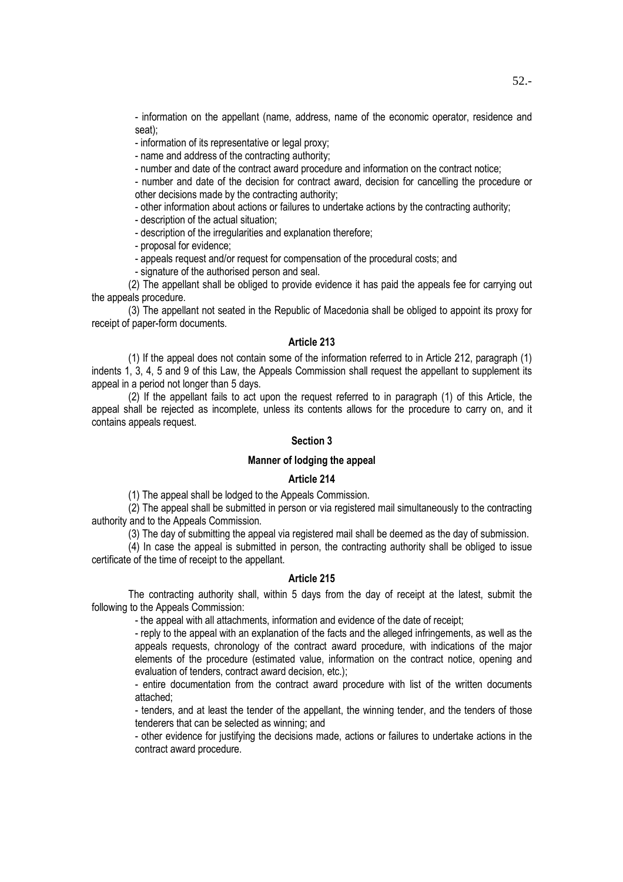- information on the appellant (name, address, name of the economic operator, residence and seat);

- information of its representative or legal proxy;

- name and address of the contracting authority;

- number and date of the contract award procedure and information on the contract notice;

- number and date of the decision for contract award, decision for cancelling the procedure or other decisions made by the contracting authority;

- other information about actions or failures to undertake actions by the contracting authority;

- description of the actual situation;

- description of the irregularities and explanation therefore;

- proposal for evidence;

- appeals request and/or request for compensation of the procedural costs; and

- signature of the authorised person and seal.

(2) The appellant shall be obliged to provide evidence it has paid the appeals fee for carrying out the appeals procedure.

(3) The appellant not seated in the Republic of Macedonia shall be obliged to appoint its proxy for receipt of paper-form documents.

# Article 213

(1) If the appeal does not contain some of the information referred to in Article 212, paragraph (1) indents 1, 3, 4, 5 and 9 of this Law, the Appeals Commission shall request the appellant to supplement its appeal in a period not longer than 5 days.

(2) If the appellant fails to act upon the request referred to in paragraph (1) of this Article, the appeal shall be rejected as incomplete, unless its contents allows for the procedure to carry on, and it contains appeals request.

# Section 3

### Manner of lodging the appeal

### Article 214

(1) The appeal shall be lodged to the Appeals Commission.

(2) The appeal shall be submitted in person or via registered mail simultaneously to the contracting authority and to the Appeals Commission.

(3) The day of submitting the appeal via registered mail shall be deemed as the day of submission.

(4) In case the appeal is submitted in person, the contracting authority shall be obliged to issue certificate of the time of receipt to the appellant.

### Article 215

The contracting authority shall, within 5 days from the day of receipt at the latest, submit the following to the Appeals Commission:

- the appeal with all attachments, information and evidence of the date of receipt;

- reply to the appeal with an explanation of the facts and the alleged infringements, as well as the appeals requests, chronology of the contract award procedure, with indications of the major elements of the procedure (estimated value, information on the contract notice, opening and evaluation of tenders, contract award decision, etc.);

- entire documentation from the contract award procedure with list of the written documents attached;

- tenders, and at least the tender of the appellant, the winning tender, and the tenders of those tenderers that can be selected as winning; and

- other evidence for justifying the decisions made, actions or failures to undertake actions in the contract award procedure.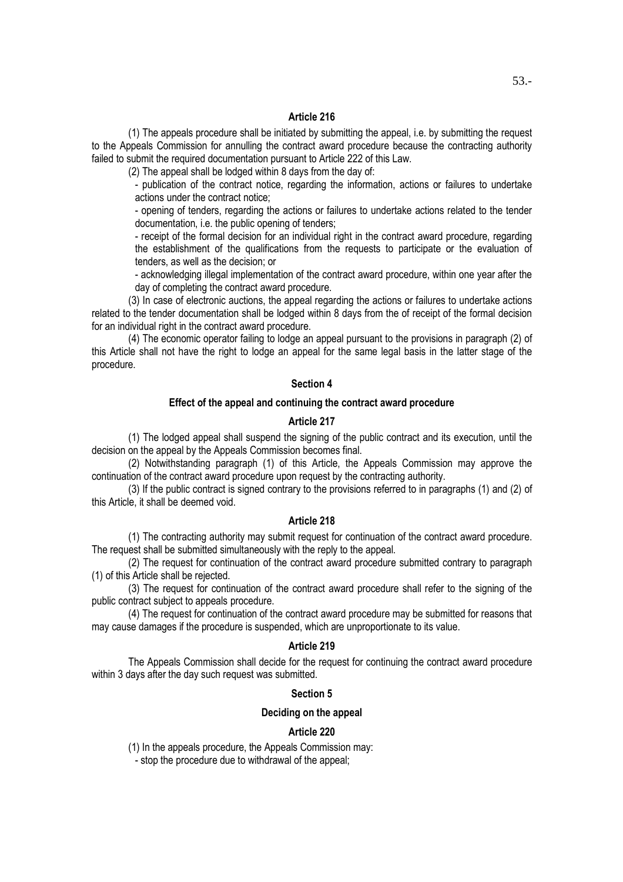(1) The appeals procedure shall be initiated by submitting the appeal, i.e. by submitting the request to the Appeals Commission for annulling the contract award procedure because the contracting authority failed to submit the required documentation pursuant to Article 222 of this Law.

(2) The appeal shall be lodged within 8 days from the day of:

- publication of the contract notice, regarding the information, actions or failures to undertake actions under the contract notice;

- opening of tenders, regarding the actions or failures to undertake actions related to the tender documentation, i.e. the public opening of tenders;

- receipt of the formal decision for an individual right in the contract award procedure, regarding the establishment of the qualifications from the requests to participate or the evaluation of tenders, as well as the decision; or

- acknowledging illegal implementation of the contract award procedure, within one year after the day of completing the contract award procedure.

(3) In case of electronic auctions, the appeal regarding the actions or failures to undertake actions related to the tender documentation shall be lodged within 8 days from the of receipt of the formal decision for an individual right in the contract award procedure.

(4) The economic operator failing to lodge an appeal pursuant to the provisions in paragraph (2) of this Article shall not have the right to lodge an appeal for the same legal basis in the latter stage of the procedure.

# Section 4

#### Effect of the appeal and continuing the contract award procedure

# Article 217

(1) The lodged appeal shall suspend the signing of the public contract and its execution, until the decision on the appeal by the Appeals Commission becomes final.

(2) Notwithstanding paragraph (1) of this Article, the Appeals Commission may approve the continuation of the contract award procedure upon request by the contracting authority.

(3) If the public contract is signed contrary to the provisions referred to in paragraphs (1) and (2) of this Article, it shall be deemed void.

# Article 218

(1) The contracting authority may submit request for continuation of the contract award procedure. The request shall be submitted simultaneously with the reply to the appeal.

(2) The request for continuation of the contract award procedure submitted contrary to paragraph (1) of this Article shall be rejected.

(3) The request for continuation of the contract award procedure shall refer to the signing of the public contract subject to appeals procedure.

(4) The request for continuation of the contract award procedure may be submitted for reasons that may cause damages if the procedure is suspended, which are unproportionate to its value.

# Article 219

The Appeals Commission shall decide for the request for continuing the contract award procedure within 3 days after the day such request was submitted.

#### Section 5

#### Deciding on the appeal

#### Article 220

(1) In the appeals procedure, the Appeals Commission may:

- stop the procedure due to withdrawal of the appeal;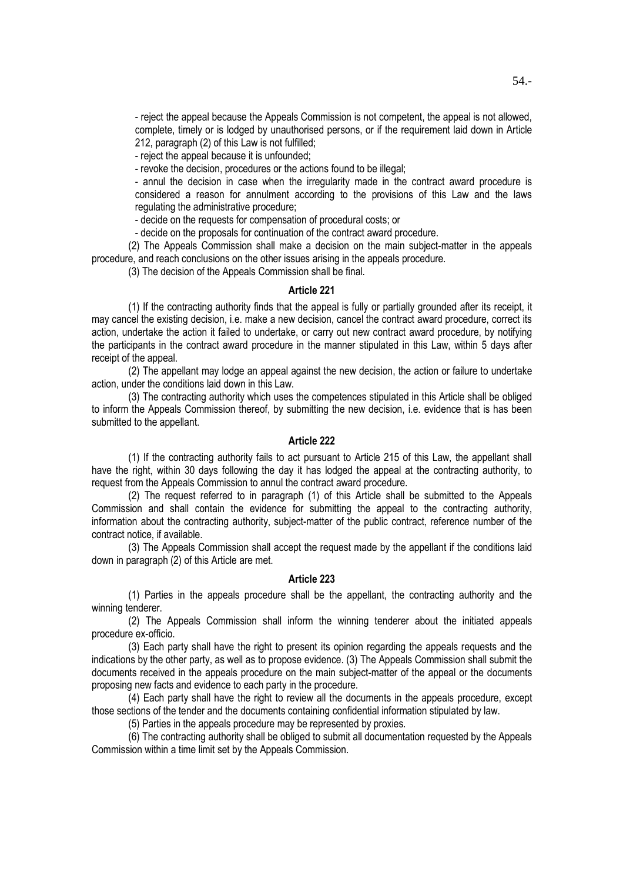- reject the appeal because the Appeals Commission is not competent, the appeal is not allowed, complete, timely or is lodged by unauthorised persons, or if the requirement laid down in Article 212, paragraph (2) of this Law is not fulfilled;

- reject the appeal because it is unfounded;

- revoke the decision, procedures or the actions found to be illegal;

- annul the decision in case when the irregularity made in the contract award procedure is considered a reason for annulment according to the provisions of this Law and the laws regulating the administrative procedure;

- decide on the requests for compensation of procedural costs; or

- decide on the proposals for continuation of the contract award procedure.

(2) The Appeals Commission shall make a decision on the main subject-matter in the appeals procedure, and reach conclusions on the other issues arising in the appeals procedure.

(3) The decision of the Appeals Commission shall be final.

# Article 221

(1) If the contracting authority finds that the appeal is fully or partially grounded after its receipt, it may cancel the existing decision, i.e. make a new decision, cancel the contract award procedure, correct its action, undertake the action it failed to undertake, or carry out new contract award procedure, by notifying the participants in the contract award procedure in the manner stipulated in this Law, within 5 days after receipt of the appeal.

(2) The appellant may lodge an appeal against the new decision, the action or failure to undertake action, under the conditions laid down in this Law.

(3) The contracting authority which uses the competences stipulated in this Article shall be obliged to inform the Appeals Commission thereof, by submitting the new decision, i.e. evidence that is has been submitted to the appellant.

# Article 222

(1) If the contracting authority fails to act pursuant to Article 215 of this Law, the appellant shall have the right, within 30 days following the day it has lodged the appeal at the contracting authority, to request from the Appeals Commission to annul the contract award procedure.

(2) The request referred to in paragraph (1) of this Article shall be submitted to the Appeals Commission and shall contain the evidence for submitting the appeal to the contracting authority, information about the contracting authority, subject-matter of the public contract, reference number of the contract notice, if available.

(3) The Appeals Commission shall accept the request made by the appellant if the conditions laid down in paragraph (2) of this Article are met.

### Article 223

(1) Parties in the appeals procedure shall be the appellant, the contracting authority and the winning tenderer.

(2) The Appeals Commission shall inform the winning tenderer about the initiated appeals procedure ex-officio.

(3) Each party shall have the right to present its opinion regarding the appeals requests and the indications by the other party, as well as to propose evidence. (3) The Appeals Commission shall submit the documents received in the appeals procedure on the main subject-matter of the appeal or the documents proposing new facts and evidence to each party in the procedure.

(4) Each party shall have the right to review all the documents in the appeals procedure, except those sections of the tender and the documents containing confidential information stipulated by law.

(5) Parties in the appeals procedure may be represented by proxies.

(6) The contracting authority shall be obliged to submit all documentation requested by the Appeals Commission within a time limit set by the Appeals Commission.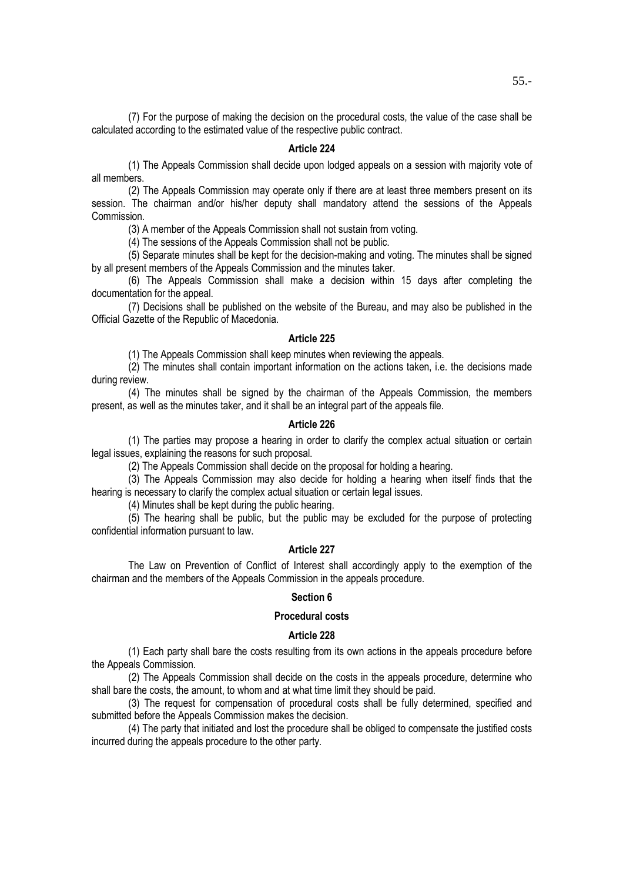(7) For the purpose of making the decision on the procedural costs, the value of the case shall be calculated according to the estimated value of the respective public contract.

#### Article 224

(1) The Appeals Commission shall decide upon lodged appeals on a session with majority vote of all members.

(2) The Appeals Commission may operate only if there are at least three members present on its session. The chairman and/or his/her deputy shall mandatory attend the sessions of the Appeals Commission.

(3) A member of the Appeals Commission shall not sustain from voting.

(4) The sessions of the Appeals Commission shall not be public.

(5) Separate minutes shall be kept for the decision-making and voting. The minutes shall be signed by all present members of the Appeals Commission and the minutes taker.

(6) The Appeals Commission shall make a decision within 15 days after completing the documentation for the appeal.

(7) Decisions shall be published on the website of the Bureau, and may also be published in the Official Gazette of the Republic of Macedonia.

## Article 225

(1) The Appeals Commission shall keep minutes when reviewing the appeals.

(2) The minutes shall contain important information on the actions taken, i.e. the decisions made during review.

(4) The minutes shall be signed by the chairman of the Appeals Commission, the members present, as well as the minutes taker, and it shall be an integral part of the appeals file.

### Article 226

(1) The parties may propose a hearing in order to clarify the complex actual situation or certain legal issues, explaining the reasons for such proposal.

(2) The Appeals Commission shall decide on the proposal for holding a hearing.

(3) The Appeals Commission may also decide for holding a hearing when itself finds that the hearing is necessary to clarify the complex actual situation or certain legal issues.

(4) Minutes shall be kept during the public hearing.

(5) The hearing shall be public, but the public may be excluded for the purpose of protecting confidential information pursuant to law.

#### Article 227

 The Law on Prevention of Conflict of Interest shall accordingly apply to the exemption of the chairman and the members of the Appeals Commission in the appeals procedure.

### Section 6

# Procedural costs

# Article 228

(1) Each party shall bare the costs resulting from its own actions in the appeals procedure before the Appeals Commission.

(2) The Appeals Commission shall decide on the costs in the appeals procedure, determine who shall bare the costs, the amount, to whom and at what time limit they should be paid.

(3) The request for compensation of procedural costs shall be fully determined, specified and submitted before the Appeals Commission makes the decision.

(4) The party that initiated and lost the procedure shall be obliged to compensate the justified costs incurred during the appeals procedure to the other party.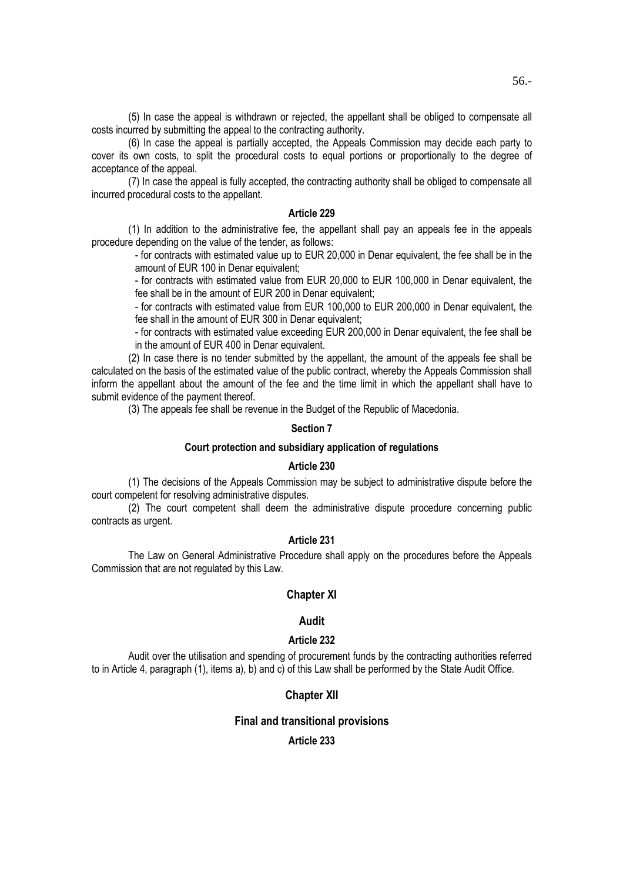(5) In case the appeal is withdrawn or rejected, the appellant shall be obliged to compensate all costs incurred by submitting the appeal to the contracting authority.

(6) In case the appeal is partially accepted, the Appeals Commission may decide each party to cover its own costs, to split the procedural costs to equal portions or proportionally to the degree of acceptance of the appeal.

(7) In case the appeal is fully accepted, the contracting authority shall be obliged to compensate all incurred procedural costs to the appellant.

# Article 229

(1) In addition to the administrative fee, the appellant shall pay an appeals fee in the appeals procedure depending on the value of the tender, as follows:

- for contracts with estimated value up to EUR 20,000 in Denar equivalent, the fee shall be in the amount of EUR 100 in Denar equivalent;

- for contracts with estimated value from EUR 20,000 to EUR 100,000 in Denar equivalent, the fee shall be in the amount of EUR 200 in Denar equivalent:

- for contracts with estimated value from EUR 100,000 to EUR 200,000 in Denar equivalent, the fee shall in the amount of EUR 300 in Denar equivalent;

- for contracts with estimated value exceeding EUR 200,000 in Denar equivalent, the fee shall be in the amount of EUR 400 in Denar equivalent.

(2) In case there is no tender submitted by the appellant, the amount of the appeals fee shall be calculated on the basis of the estimated value of the public contract, whereby the Appeals Commission shall inform the appellant about the amount of the fee and the time limit in which the appellant shall have to submit evidence of the payment thereof.

(3) The appeals fee shall be revenue in the Budget of the Republic of Macedonia.

#### Section 7

## Court protection and subsidiary application of regulations

# Article 230

(1) The decisions of the Appeals Commission may be subject to administrative dispute before the court competent for resolving administrative disputes.

(2) The court competent shall deem the administrative dispute procedure concerning public contracts as urgent.

### Article 231

The Law on General Administrative Procedure shall apply on the procedures before the Appeals Commission that are not regulated by this Law.

### Chapter XI

# Audit

## Article 232

Audit over the utilisation and spending of procurement funds by the contracting authorities referred to in Article 4, paragraph (1), items a), b) and c) of this Law shall be performed by the State Audit Office.

## Chapter XII

# Final and transitional provisions

Article 233